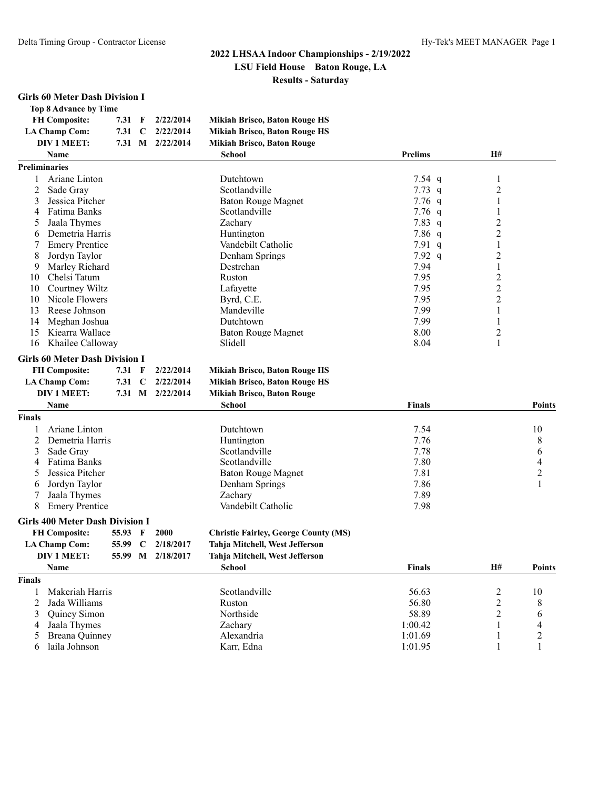#### **2022 LHSAA Indoor Championships - 2/19/2022 LSU Field House Baton Rouge, LA Results - Saturday**

#### **Girls 60 Meter Dash Division I**

|                      | Top 8 Advance by Time |             |           |                                      |                  |                |
|----------------------|-----------------------|-------------|-----------|--------------------------------------|------------------|----------------|
| <b>FH Composite:</b> | 7.31                  | $\mathbf F$ | 2/22/2014 | <b>Mikiah Brisco, Baton Rouge HS</b> |                  |                |
| <b>LA Champ Com:</b> | 7.31                  | C           | 2/22/2014 | <b>Mikiah Brisco, Baton Rouge HS</b> |                  |                |
| DIV 1 MEET:          | 7.31                  | M           | 2/22/2014 | <b>Mikiah Brisco, Baton Rouge</b>    |                  |                |
| <b>Name</b>          |                       |             |           | School                               | <b>Prelims</b>   | H#             |
| <b>Preliminaries</b> |                       |             |           |                                      |                  |                |
|                      | Ariane Linton         |             |           | Dutchtown                            | $7.54$ q         |                |
|                      | Sade Gray             |             |           | Scotlandville                        | $7.73 \text{ q}$ | $\overline{2}$ |
|                      | Jessica Pitcher       |             |           | <b>Baton Rouge Magnet</b>            | $7.76$ q         |                |

|     | Jessica Pitcher       | Baton Rouge Magnet | $7.76$ q         |  |
|-----|-----------------------|--------------------|------------------|--|
|     | Fatima Banks          | Scotlandville      | $7.76$ q         |  |
|     | Jaala Thymes          | Zachary            | $7.83\ q$        |  |
| 6   | Demetria Harris       | Huntington         | $7.86$ q         |  |
|     | <b>Emery Prentice</b> | Vandebilt Catholic | 7.91 q           |  |
| 8.  | Jordyn Taylor         | Denham Springs     | $7.92 \text{ q}$ |  |
| 9   | Marley Richard        | Destrehan          | 7.94             |  |
| 10  | Chelsi Tatum          | Ruston             | 7.95             |  |
| 10  | Courtney Wiltz        | Lafavette          | 7.95             |  |
| 10  | Nicole Flowers        | Byrd, C.E.         | 7.95             |  |
| 13. | Reese Johnson         | Mandeville         | 7.99             |  |
| 14  | Meghan Joshua         | Dutchtown          | 7.99             |  |
| 15  | Kiearra Wallace       | Baton Rouge Magnet | 8.00             |  |
|     | 16 Khailee Calloway   | Slidell            | 8.04             |  |

#### **Girls 60 Meter Dash Division I**

| <b>FH Composite:</b> |  |  | 7.31 F 2/22/2014 | Mikiah Brisco, Baton Rouge HS |
|----------------------|--|--|------------------|-------------------------------|
|----------------------|--|--|------------------|-------------------------------|

```
LA Champ Com: 7.31 C 2/22/2014 Mikiah Brisco, Baton Rouge HS
```
**DIV 1 MEET: 7.31 M 2/22/2014 Mikiah Brisco, Baton Rouge**

|               | <b>Name</b>           | <b>School</b>      | Finals |    |
|---------------|-----------------------|--------------------|--------|----|
| <b>Finals</b> |                       |                    |        |    |
|               | Ariane Linton         | Dutchtown          | 7.54   | 10 |
|               | 2 Demetria Harris     | Huntington         | 7.76   | 8  |
|               | 3 Sade Gray           | Scotlandville      | 7.78   | b  |
|               | 4 Fatima Banks        | Scotlandville      | 7.80   | 4  |
|               | 5 Jessica Pitcher     | Baton Rouge Magnet | 7.81   |    |
|               | 6 Jordyn Taylor       | Denham Springs     | 7.86   |    |
|               | Jaala Thymes          | Zachary            | 7.89   |    |
|               | <b>Emery Prentice</b> | Vandebilt Catholic | 7.98   |    |

#### **Girls 400 Meter Dash Division I**

| <b>FH Composite:</b><br><b>Christie Fairley, George County (MS)</b><br>55.93 F 2000 |  |  |  |  |
|-------------------------------------------------------------------------------------|--|--|--|--|
|-------------------------------------------------------------------------------------|--|--|--|--|

|               | LA Champ Com:                 | 2/18/2017<br>55.99<br>- C |           | Tahja Mitchell, West Jefferson |         |    |               |
|---------------|-------------------------------|---------------------------|-----------|--------------------------------|---------|----|---------------|
|               | DIV 1 MEET:<br>55.99<br>M     |                           | 2/18/2017 | Tahja Mitchell, West Jefferson |         |    |               |
|               | <b>Name</b>                   |                           |           | <b>School</b>                  | Finals  | H# | <b>Points</b> |
| <b>Finals</b> |                               |                           |           |                                |         |    |               |
|               | Makeriah Harris               |                           |           | Scotlandville                  | 56.63   |    | 10            |
|               | 2 Jada Williams               |                           |           | Ruston                         | 56.80   |    |               |
|               | 3 Ouincy Simon                |                           |           | Northside                      | 58.89   |    | <sub>b</sub>  |
|               | 4 Jaala Thymes                |                           |           | Zachary                        | 1:00.42 |    | 4             |
|               | 5 Breana Quinney              |                           |           | Alexandria                     | 1:01.69 |    |               |
|               | Karr. Edna<br>6 laila Johnson |                           |           | 1:01.95                        |         |    |               |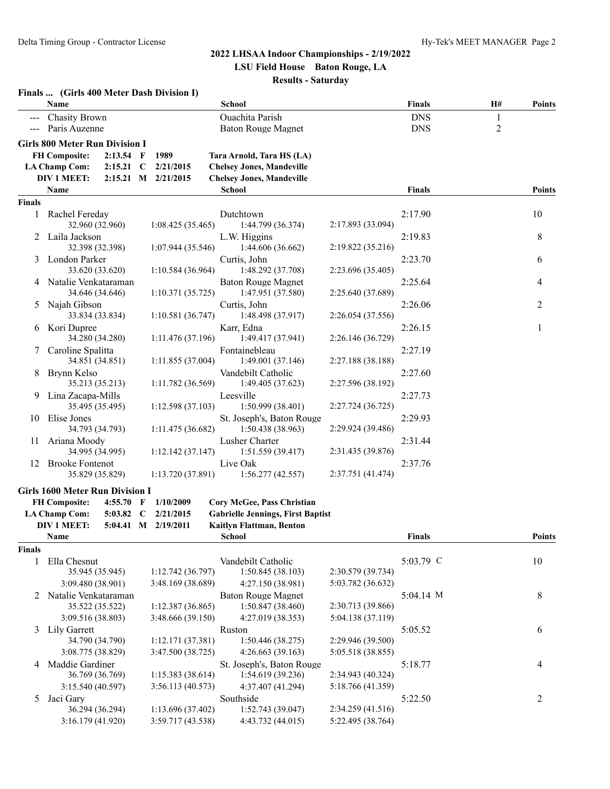#### **2022 LHSAA Indoor Championships - 2/19/2022 LSU Field House Baton Rouge, LA**

# **Results - Saturday**

|               | Finals  (Girls 400 Meter Dash Division I)      |                     |                                                |                   |                          |                                |               |
|---------------|------------------------------------------------|---------------------|------------------------------------------------|-------------------|--------------------------|--------------------------------|---------------|
|               | Name                                           |                     | School                                         |                   | Finals                   | Н#                             | <b>Points</b> |
|               | <b>Chasity Brown</b><br>Paris Auzenne          |                     | Ouachita Parish<br>Baton Rouge Magnet          |                   | <b>DNS</b><br><b>DNS</b> | $\mathbf{1}$<br>$\overline{c}$ |               |
|               | <b>Girls 800 Meter Run Division I</b>          |                     |                                                |                   |                          |                                |               |
|               | <b>FH Composite:</b><br>$2:13.54$ F            | 1989                | Tara Arnold, Tara HS (LA)                      |                   |                          |                                |               |
|               | <b>LA Champ Com:</b><br>$2:15.21$ C            | 2/21/2015           | <b>Chelsey Jones, Mandeville</b>               |                   |                          |                                |               |
|               | <b>DIV 1 MEET:</b>                             | 2:15.21 M 2/21/2015 | <b>Chelsey Jones, Mandeville</b>               |                   |                          |                                |               |
|               | Name                                           |                     | School                                         |                   | <b>Finals</b>            |                                | <b>Points</b> |
| <b>Finals</b> |                                                |                     |                                                |                   |                          |                                |               |
| 1             | Rachel Fereday<br>32.960 (32.960)              | 1:08.425(35.465)    | Dutchtown<br>1:44.799 (36.374)                 | 2:17.893 (33.094) | 2:17.90                  |                                | 10            |
| 2             | Laila Jackson<br>32.398 (32.398)               | 1:07.944(35.546)    | L.W. Higgins<br>1:44.606 (36.662)              | 2:19.822 (35.216) | 2:19.83                  |                                | 8             |
| 3             | London Parker                                  |                     | Curtis, John                                   |                   | 2:23.70                  |                                | 6             |
|               | 33.620 (33.620)                                | 1:10.584(36.964)    | 1:48.292 (37.708)                              | 2:23.696 (35.405) |                          |                                |               |
|               | 4 Natalie Venkataraman                         |                     | <b>Baton Rouge Magnet</b>                      |                   | 2:25.64                  |                                | 4             |
|               | 34.646 (34.646)                                | 1:10.371(35.725)    | 1:47.951 (37.580)                              | 2:25.640 (37.689) |                          |                                |               |
| 5             | Najah Gibson                                   |                     | Curtis, John                                   |                   | 2:26.06                  |                                | 2             |
|               | 33.834 (33.834)                                | 1:10.581(36.747)    | 1:48.498 (37.917)                              | 2:26.054 (37.556) |                          |                                |               |
| 6             | Kori Dupree                                    |                     | Karr, Edna                                     |                   | 2:26.15                  |                                | 1             |
|               | 34.280 (34.280)                                | 1:11.476(37.196)    | 1:49.417 (37.941)                              | 2:26.146 (36.729) |                          |                                |               |
| 7             | Caroline Spalitta                              |                     | Fontainebleau                                  |                   | 2:27.19                  |                                |               |
|               | 34.851 (34.851)                                | 1:11.855(37.004)    | 1:49.001 (37.146)                              | 2:27.188 (38.188) |                          |                                |               |
| 8             | Brynn Kelso                                    |                     | Vandebilt Catholic                             |                   | 2:27.60                  |                                |               |
|               | 35.213 (35.213)                                | 1:11.782 (36.569)   | 1:49.405 (37.623)                              | 2:27.596 (38.192) |                          |                                |               |
| 9             | Lina Zacapa-Mills                              |                     | Leesville                                      |                   | 2:27.73                  |                                |               |
|               | 35.495 (35.495)                                | 1:12.598(37.103)    | 1:50.999(38.401)                               | 2:27.724 (36.725) |                          |                                |               |
| 10            | Elise Jones<br>34.793 (34.793)                 | 1:11.475(36.682)    | St. Joseph's, Baton Rouge<br>1:50.438 (38.963) | 2:29.924 (39.486) | 2:29.93                  |                                |               |
| 11            | Ariana Moody                                   |                     | Lusher Charter                                 |                   | 2:31.44                  |                                |               |
|               | 34.995 (34.995)                                | 1:12.142(37.147)    | 1:51.559 (39.417)                              | 2:31.435 (39.876) |                          |                                |               |
| 12            | <b>Brooke Fontenot</b>                         |                     | Live Oak                                       |                   | 2:37.76                  |                                |               |
|               | 35.829 (35.829)                                | 1:13.720(37.891)    | 1:56.277(42.557)                               | 2:37.751 (41.474) |                          |                                |               |
|               | <b>Girls 1600 Meter Run Division I</b>         |                     |                                                |                   |                          |                                |               |
|               | <b>FH Composite:</b><br>$4:55.70$ F            | 1/10/2009           | Cory McGee, Pass Christian                     |                   |                          |                                |               |
|               | <b>LA Champ Com:</b><br>5:03.82<br>$\mathbf C$ | 2/21/2015           | <b>Gabrielle Jennings, First Baptist</b>       |                   |                          |                                |               |
|               | DIV 1 MEET:                                    | 5:04.41 M 2/19/2011 | Kaitlyn Flattman, Benton                       |                   |                          |                                |               |
|               | Name                                           |                     | School                                         |                   | Finals                   |                                | Points        |
| <b>Finals</b> |                                                |                     |                                                |                   |                          |                                |               |
| 1             | Ella Chesnut                                   |                     | Vandebilt Catholic                             |                   | 5:03.79 C                |                                | 10            |
|               | 35.945 (35.945)                                | 1:12.742(36.797)    | 1:50.845 (38.103)                              | 2:30.579 (39.734) |                          |                                |               |
|               | 3:09.480 (38.901)                              | 3:48.169 (38.689)   | 4:27.150 (38.981)                              | 5:03.782 (36.632) |                          |                                |               |
| 2             | Natalie Venkataraman                           |                     | <b>Baton Rouge Magnet</b>                      |                   | 5:04.14 M                |                                | 8             |
|               | 35.522 (35.522)                                | 1:12.387 (36.865)   | 1:50.847 (38.460)                              | 2:30.713 (39.866) |                          |                                |               |
|               | 3:09.516 (38.803)                              | 3:48.666 (39.150)   | 4:27.019 (38.353)                              | 5:04.138 (37.119) |                          |                                |               |
| 3             | Lily Garrett                                   |                     | Ruston                                         |                   | 5:05.52                  |                                | 6             |
|               | 34.790 (34.790)                                | 1:12.171 (37.381)   | 1:50.446 (38.275)                              | 2:29.946 (39.500) |                          |                                |               |
|               | 3:08.775 (38.829)                              | 3:47.500 (38.725)   | 4:26.663 (39.163)                              | 5:05.518 (38.855) |                          |                                |               |
|               | 4 Maddie Gardiner                              |                     | St. Joseph's, Baton Rouge                      |                   | 5:18.77                  |                                | 4             |
|               | 36.769 (36.769)                                | 1:15.383 (38.614)   | 1:54.619 (39.236)                              | 2:34.943 (40.324) |                          |                                |               |
|               | 3:15.540 (40.597)                              | 3:56.113 (40.573)   | 4:37.407 (41.294)                              | 5:18.766 (41.359) |                          |                                |               |
| 5             | Jaci Gary                                      |                     | Southside                                      |                   | 5:22.50                  |                                | 2             |
|               | 36.294 (36.294)                                | 1:13.696 (37.402)   | 1:52.743 (39.047)                              | 2:34.259 (41.516) |                          |                                |               |
|               | 3:16.179 (41.920)                              | 3:59.717 (43.538)   | 4:43.732 (44.015)                              | 5:22.495 (38.764) |                          |                                |               |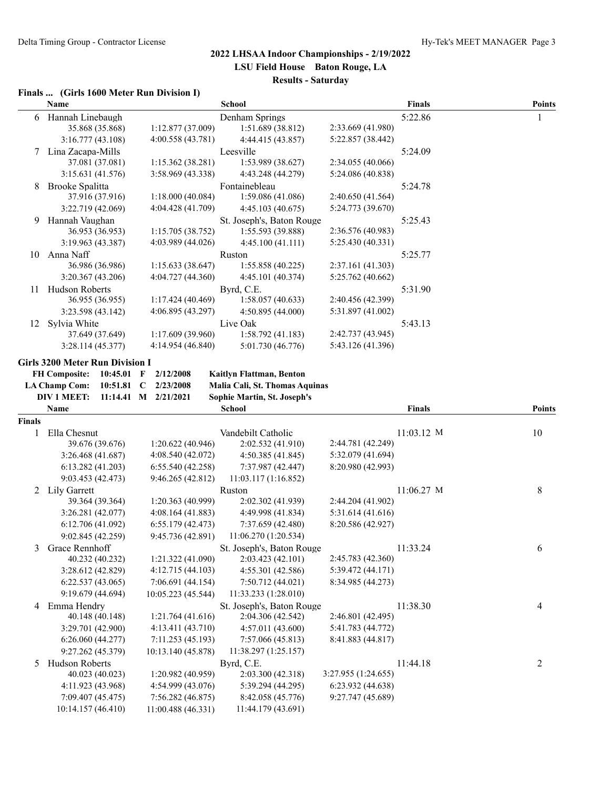| Finals  (Girls 1600 Meter Run Division I) |  |  |  |  |
|-------------------------------------------|--|--|--|--|
|                                           |  |  |  |  |

|        | Name                                   |                      | <b>School</b>                  |                     | <b>Finals</b> | <b>Points</b> |
|--------|----------------------------------------|----------------------|--------------------------------|---------------------|---------------|---------------|
| 6      | Hannah Linebaugh                       |                      | Denham Springs                 |                     | 5:22.86       | 1             |
|        | 35.868 (35.868)                        | 1:12.877 (37.009)    | 1:51.689 (38.812)              | 2:33.669 (41.980)   |               |               |
|        | 3:16.777 (43.108)                      | 4:00.558 (43.781)    | 4:44.415 (43.857)              | 5:22.857 (38.442)   |               |               |
| 7      | Lina Zacapa-Mills                      |                      | Leesville                      |                     | 5:24.09       |               |
|        | 37.081 (37.081)                        | 1:15.362(38.281)     | 1:53.989 (38.627)              | 2:34.055 (40.066)   |               |               |
|        | 3:15.631 (41.576)                      | 3:58.969 (43.338)    | 4:43.248 (44.279)              | 5:24.086 (40.838)   |               |               |
| 8      | Brooke Spalitta                        |                      | Fontainebleau                  |                     | 5:24.78       |               |
|        | 37.916 (37.916)                        | 1:18.000 (40.084)    | 1:59.086 (41.086)              | 2:40.650 (41.564)   |               |               |
|        | 3:22.719 (42.069)                      | 4:04.428 (41.709)    | 4:45.103 (40.675)              | 5:24.773 (39.670)   |               |               |
| 9      | Hannah Vaughan                         |                      | St. Joseph's, Baton Rouge      |                     | 5:25.43       |               |
|        | 36.953 (36.953)                        | 1:15.705 (38.752)    | 1:55.593 (39.888)              | 2:36.576 (40.983)   |               |               |
|        | 3:19.963 (43.387)                      | 4:03.989 (44.026)    | 4:45.100 (41.111)              | 5:25.430 (40.331)   |               |               |
| 10     | Anna Naff                              |                      | Ruston                         |                     | 5:25.77       |               |
|        | 36.986 (36.986)                        | 1:15.633 (38.647)    | 1:55.858 (40.225)              | 2:37.161 (41.303)   |               |               |
|        | 3:20.367 (43.206)                      | 4:04.727 (44.360)    | 4:45.101 (40.374)              | 5:25.762 (40.662)   |               |               |
| 11     | Hudson Roberts                         |                      | Byrd, C.E.                     |                     | 5:31.90       |               |
|        | 36.955 (36.955)                        | 1:17.424 (40.469)    | 1:58.057 (40.633)              | 2:40.456 (42.399)   |               |               |
|        | 3:23.598 (43.142)                      | 4:06.895 (43.297)    | 4:50.895 (44.000)              | 5:31.897 (41.002)   |               |               |
| 12     | Sylvia White                           |                      | Live Oak                       |                     | 5:43.13       |               |
|        | 37.649 (37.649)                        | 1:17.609 (39.960)    | 1:58.792(41.183)               | 2:42.737 (43.945)   |               |               |
|        | 3:28.114(45.377)                       | 4:14.954 (46.840)    | 5:01.730 (46.776)              | 5:43.126 (41.396)   |               |               |
|        | <b>Girls 3200 Meter Run Division I</b> |                      |                                |                     |               |               |
|        | <b>FH Composite:</b><br>$10:45.01$ F   | 2/12/2008            | Kaitlyn Flattman, Benton       |                     |               |               |
|        | <b>LA Champ Com:</b><br>$10:51.81$ C   | 2/23/2008            | Malia Cali, St. Thomas Aquinas |                     |               |               |
|        | <b>DIV 1 MEET:</b>                     | 11:14.41 M 2/21/2021 | Sophie Martin, St. Joseph's    |                     |               |               |
|        | Name                                   |                      | <b>School</b>                  |                     | <b>Finals</b> | Points        |
| Finals |                                        |                      |                                |                     |               |               |
| 1      | Ella Chesnut                           |                      | Vandebilt Catholic             |                     | $11:03.12$ M  | 10            |
|        | 39.676 (39.676)                        | 1:20.622(40.946)     | 2:02.532 (41.910)              | 2:44.781 (42.249)   |               |               |
|        | 3:26.468 (41.687)                      | 4:08.540 (42.072)    | 4:50.385 (41.845)              | 5:32.079 (41.694)   |               |               |
|        | 6:13.282 (41.203)                      | 6:55.540(42.258)     | 7:37.987 (42.447)              | 8:20.980 (42.993)   |               |               |
|        | 9:03.453 (42.473)                      | 9:46.265 (42.812)    | 11:03.117(1:16.852)            |                     |               |               |
|        | 2 Lily Garrett<br>39.364 (39.364)      | 1:20.363 (40.999)    | Ruston<br>2:02.302 (41.939)    | 2:44.204 (41.902)   | 11:06.27 M    | 8             |
|        | 3:26.281 (42.077)                      | 4:08.164 (41.883)    | 4:49.998 (41.834)              | 5:31.614 (41.616)   |               |               |
|        | 6:12.706 (41.092)                      | 6:55.179(42.473)     | 7:37.659 (42.480)              | 8:20.586 (42.927)   |               |               |
|        | 9:02.845 (42.259)                      | 9:45.736 (42.891)    | 11:06.270 (1:20.534)           |                     |               |               |
|        | 3 Grace Rennhoff                       |                      | St. Joseph's, Baton Rouge      |                     | 11:33.24      | 6             |
|        | 40.232 (40.232)                        | 1:21.322 (41.090)    | 2:03.423 (42.101)              | 2:45.783 (42.360)   |               |               |
|        | 3:28.612 (42.829)                      | 4:12.715 (44.103)    | 4:55.301 (42.586)              | 5:39.472 (44.171)   |               |               |
|        | 6:22.537(43.065)                       | 7:06.691 (44.154)    | 7:50.712 (44.021)              | 8:34.985 (44.273)   |               |               |
|        | 9:19.679 (44.694)                      | 10:05.223 (45.544)   | 11:33.233 (1:28.010)           |                     |               |               |
| 4      | Emma Hendry                            |                      | St. Joseph's, Baton Rouge      |                     | 11:38.30      | 4             |
|        | 40.148 (40.148)                        | 1:21.764 (41.616)    | 2:04.306 (42.542)              | 2:46.801 (42.495)   |               |               |
|        | 3:29.701 (42.900)                      | 4:13.411 (43.710)    | 4:57.011 (43.600)              | 5:41.783 (44.772)   |               |               |
|        | 6:26.060(44.277)                       | 7:11.253 (45.193)    | 7:57.066 (45.813)              | 8:41.883 (44.817)   |               |               |
|        | 9:27.262 (45.379)                      | 10:13.140 (45.878)   | 11:38.297 (1:25.157)           |                     |               |               |
|        | 5 Hudson Roberts                       |                      | Byrd, C.E.                     |                     | 11:44.18      | 2             |
|        | 40.023 (40.023)                        | 1:20.982 (40.959)    | 2:03.300 (42.318)              | 3:27.955 (1:24.655) |               |               |
|        | 4:11.923 (43.968)                      | 4:54.999 (43.076)    | 5:39.294 (44.295)              | 6:23.932 (44.638)   |               |               |
|        | 7:09.407 (45.475)                      | 7:56.282 (46.875)    | 8:42.058 (45.776)              | 9:27.747 (45.689)   |               |               |
|        | 10:14.157 (46.410)                     | 11:00.488 (46.331)   | 11:44.179 (43.691)             |                     |               |               |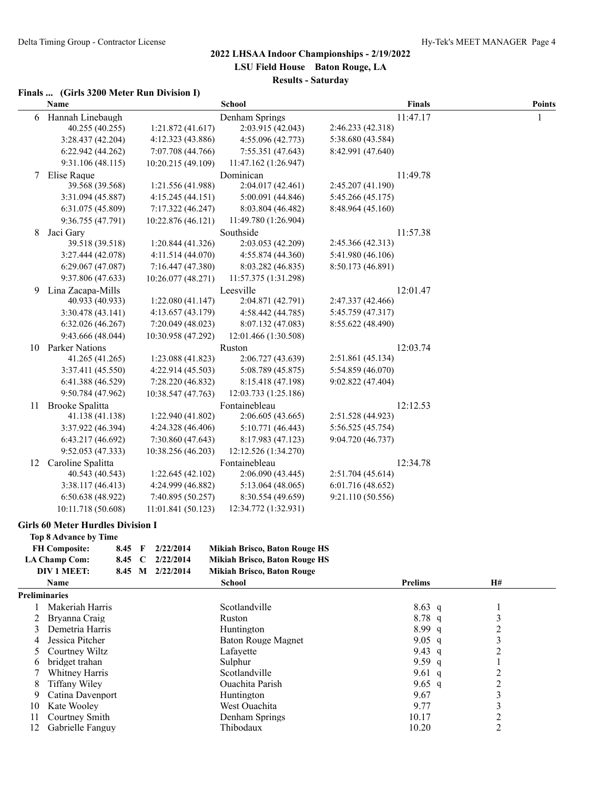#### **Finals ... (Girls 3200 Meter Run Division I)**

|    | Name                   |                    | <b>School</b>        |                   | <b>Finals</b> | <b>Points</b> |
|----|------------------------|--------------------|----------------------|-------------------|---------------|---------------|
| 6  | Hannah Linebaugh       |                    | Denham Springs       |                   | 11:47.17      | 1             |
|    | 40.255 (40.255)        | 1:21.872(41.617)   | 2:03.915 (42.043)    | 2:46.233 (42.318) |               |               |
|    | 3:28.437 (42.204)      | 4:12.323 (43.886)  | 4:55.096 (42.773)    | 5:38.680 (43.584) |               |               |
|    | 6:22.942 (44.262)      | 7:07.708 (44.766)  | 7:55.351 (47.643)    | 8:42.991 (47.640) |               |               |
|    | 9:31.106 (48.115)      | 10:20.215 (49.109) | 11:47.162 (1:26.947) |                   |               |               |
| 7  | Elise Raque            |                    | Dominican            |                   | 11:49.78      |               |
|    | 39.568 (39.568)        | 1:21.556 (41.988)  | 2:04.017 (42.461)    | 2:45.207 (41.190) |               |               |
|    | 3:31.094 (45.887)      | 4:15.245 (44.151)  | 5:00.091 (44.846)    | 5:45.266 (45.175) |               |               |
|    | 6:31.075 (45.809)      | 7:17.322 (46.247)  | 8:03.804 (46.482)    | 8:48.964 (45.160) |               |               |
|    | 9:36.755 (47.791)      | 10:22.876 (46.121) | 11:49.780 (1:26.904) |                   |               |               |
| 8  | Jaci Gary              |                    | Southside            |                   | 11:57.38      |               |
|    | 39.518 (39.518)        | 1:20.844(41.326)   | 2:03.053 (42.209)    | 2:45.366 (42.313) |               |               |
|    | 3:27.444(42.078)       | 4:11.514(44.070)   | 4:55.874(44.360)     | 5:41.980 (46.106) |               |               |
|    | 6:29.067(47.087)       | 7:16.447 (47.380)  | 8:03.282 (46.835)    | 8:50.173 (46.891) |               |               |
|    | 9:37.806 (47.633)      | 10:26.077 (48.271) | 11:57.375 (1:31.298) |                   |               |               |
| 9  | Lina Zacapa-Mills      |                    | Leesville            |                   | 12:01.47      |               |
|    | 40.933 (40.933)        | 1:22.080(41.147)   | 2:04.871 (42.791)    | 2:47.337 (42.466) |               |               |
|    | 3:30.478 (43.141)      | 4:13.657 (43.179)  | 4:58.442 (44.785)    | 5:45.759 (47.317) |               |               |
|    | 6:32.026(46.267)       | 7:20.049 (48.023)  | 8:07.132 (47.083)    | 8:55.622 (48.490) |               |               |
|    | 9:43.666 (48.044)      | 10:30.958 (47.292) | 12:01.466 (1:30.508) |                   |               |               |
| 10 | <b>Parker Nations</b>  |                    | Ruston               |                   | 12:03.74      |               |
|    | 41.265 (41.265)        | 1:23.088 (41.823)  | 2:06.727 (43.639)    | 2:51.861 (45.134) |               |               |
|    | 3:37.411 (45.550)      | 4:22.914(45.503)   | 5:08.789 (45.875)    | 5:54.859 (46.070) |               |               |
|    | 6:41.388 (46.529)      | 7:28.220 (46.832)  | 8:15.418 (47.198)    | 9:02.822 (47.404) |               |               |
|    | 9:50.784 (47.962)      | 10:38.547 (47.763) | 12:03.733 (1:25.186) |                   |               |               |
| 11 | <b>Brooke Spalitta</b> |                    | Fontainebleau        |                   | 12:12.53      |               |
|    | 41.138 (41.138)        | 1:22.940 (41.802)  | 2:06.605 (43.665)    | 2:51.528 (44.923) |               |               |
|    | 3:37.922 (46.394)      | 4:24.328 (46.406)  | 5:10.771 (46.443)    | 5:56.525 (45.754) |               |               |
|    | 6:43.217 (46.692)      | 7:30.860 (47.643)  | 8:17.983 (47.123)    | 9:04.720 (46.737) |               |               |
|    | 9:52.053 (47.333)      | 10:38.256 (46.203) | 12:12.526 (1:34.270) |                   |               |               |
| 12 | Caroline Spalitta      |                    | Fontainebleau        |                   | 12:34.78      |               |
|    | 40.543 (40.543)        | 1:22.645 (42.102)  | 2:06.090 (43.445)    | 2:51.704 (45.614) |               |               |
|    | 3:38.117(46.413)       | 4:24.999 (46.882)  | 5:13.064(48.065)     | 6:01.716(48.652)  |               |               |
|    | 6:50.638 (48.922)      | 7:40.895 (50.257)  | 8:30.554 (49.659)    | 9:21.110 (50.556) |               |               |
|    | 10:11.718 (50.608)     | 11:01.841 (50.123) | 12:34.772 (1:32.931) |                   |               |               |

#### **Girls 60 Meter Hurdles Division I**

|               | Top 8 Advance by Time |                        |        |                                                |                                      |          |    |   |  |
|---------------|-----------------------|------------------------|--------|------------------------------------------------|--------------------------------------|----------|----|---|--|
|               | <b>FH Composite:</b>  | 8.45                   | F      | 2/22/2014                                      | Mikiah Brisco, Baton Rouge HS        |          |    |   |  |
|               | <b>LA Champ Com:</b>  | 2/22/2014<br>8.45<br>C |        |                                                | <b>Mikiah Brisco, Baton Rouge HS</b> |          |    |   |  |
|               | DIV 1 MEET:           | 8.45                   | M      | 2/22/2014<br><b>Mikiah Brisco, Baton Rouge</b> |                                      |          |    |   |  |
| Name          |                       |                        | School | <b>Prelims</b>                                 |                                      |          | H# |   |  |
|               | <b>Preliminaries</b>  |                        |        |                                                |                                      |          |    |   |  |
|               | Makeriah Harris       |                        |        |                                                | Scotlandville                        | $8.63$ q |    |   |  |
|               | Bryanna Craig         |                        |        |                                                | Ruston                               | $8.78$ q |    | 3 |  |
|               | Demetria Harris       |                        |        |                                                | Huntington                           | 8.99q    |    | 2 |  |
| 4             | Jessica Pitcher       |                        |        |                                                | Baton Rouge Magnet                   | 9.05 q   |    | 3 |  |
| $\mathcal{D}$ | Courtney Wiltz        |                        |        |                                                | Lafavette                            | 9.43 q   |    | 2 |  |
| 6             | bridget trahan        |                        |        |                                                | Sulphur                              | 9.59 q   |    |   |  |
|               | Whitney Harris        |                        |        |                                                | Scotlandville                        | 9.61 q   |    | າ |  |
| 8             | Tiffany Wilev         |                        |        |                                                | Quachita Parish                      | 9.65 q   |    | 2 |  |
| 9             | Catina Davenport      |                        |        |                                                | Huntington                           | 9.67     |    | 3 |  |
| 10            | Kate Wooley           |                        |        |                                                | West Ouachita                        | 9.77     |    | 3 |  |
| 11            | Courtney Smith        |                        |        |                                                | Denham Springs                       | 10.17    |    | 2 |  |
| 12            | Gabrielle Fanguy      |                        |        |                                                | Thibodaux                            | 10.20    |    | 2 |  |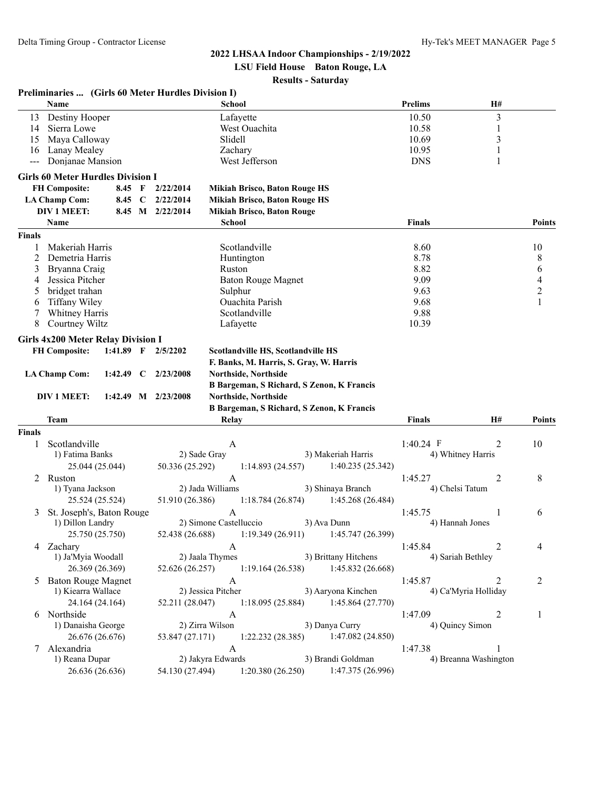**LSU Field House Baton Rouge, LA**

#### **Results - Saturday**

|               | Preliminaries  (Girls 60 Meter Hurdles Division I) |             |             |                         |                        |                                         |                                                     |                |                       |                          |
|---------------|----------------------------------------------------|-------------|-------------|-------------------------|------------------------|-----------------------------------------|-----------------------------------------------------|----------------|-----------------------|--------------------------|
|               | Name                                               |             |             |                         | School                 |                                         |                                                     | <b>Prelims</b> | <b>H#</b>             |                          |
| 13            | Destiny Hooper                                     |             |             |                         |                        | Lafayette                               |                                                     | 10.50          | $\mathfrak{Z}$        |                          |
| 14            | Sierra Lowe                                        |             |             |                         |                        | West Ouachita                           |                                                     | 10.58          | 1                     |                          |
| 15            | Maya Calloway                                      |             |             |                         | Slidell                |                                         |                                                     | 10.69          | 3                     |                          |
| 16            | Lanay Mealey                                       |             |             |                         |                        | Zachary                                 |                                                     | 10.95          | 1                     |                          |
| ---           | Donjanae Mansion                                   |             |             |                         |                        | West Jefferson                          |                                                     | <b>DNS</b>     | 1                     |                          |
|               | <b>Girls 60 Meter Hurdles Division I</b>           |             |             |                         |                        |                                         |                                                     |                |                       |                          |
|               | <b>FH Composite:</b>                               | 8.45 F      |             | 2/22/2014               |                        | <b>Mikiah Brisco, Baton Rouge HS</b>    |                                                     |                |                       |                          |
|               | <b>LA Champ Com:</b>                               | 8.45        | $\mathbf C$ | 2/22/2014               |                        | <b>Mikiah Brisco, Baton Rouge HS</b>    |                                                     |                |                       |                          |
|               | DIV 1 MEET:                                        | 8.45 M      |             | 2/22/2014               |                        | <b>Mikiah Brisco, Baton Rouge</b>       |                                                     |                |                       |                          |
|               | Name                                               |             |             |                         | <b>School</b>          |                                         |                                                     | <b>Finals</b>  |                       | <b>Points</b>            |
| <b>Finals</b> |                                                    |             |             |                         |                        |                                         |                                                     |                |                       |                          |
|               | Makeriah Harris                                    |             |             |                         |                        | Scotlandville                           |                                                     | 8.60           |                       | 10                       |
| 2             | Demetria Harris                                    |             |             |                         |                        | Huntington                              |                                                     | 8.78           |                       | 8                        |
| 3             | Bryanna Craig                                      |             |             |                         | Ruston                 |                                         |                                                     | 8.82           |                       | 6                        |
| 4             | Jessica Pitcher                                    |             |             |                         |                        | <b>Baton Rouge Magnet</b>               |                                                     | 9.09           |                       | $\overline{\mathcal{A}}$ |
| 5             | bridget trahan                                     |             |             |                         |                        | Sulphur                                 |                                                     | 9.63           |                       | $\overline{2}$           |
| 6             | Tiffany Wiley                                      |             |             |                         |                        | Ouachita Parish                         |                                                     | 9.68           |                       | 1                        |
| 7             | Whitney Harris                                     |             |             |                         |                        | Scotlandville                           |                                                     | 9.88           |                       |                          |
| 8             | Courtney Wiltz                                     |             |             |                         |                        | Lafayette                               |                                                     | 10.39          |                       |                          |
|               | <b>Girls 4x200 Meter Relay Division I</b>          |             |             |                         |                        |                                         |                                                     |                |                       |                          |
|               | <b>FH Composite:</b>                               | $1:41.89$ F |             | 2/5/2202                |                        | Scotlandville HS, Scotlandville HS      |                                                     |                |                       |                          |
|               |                                                    |             |             |                         |                        | F. Banks, M. Harris, S. Gray, W. Harris |                                                     |                |                       |                          |
|               | <b>LA Champ Com:</b>                               | 1:42.49     | C           | 2/23/2008               |                        | Northside, Northside                    |                                                     |                |                       |                          |
|               |                                                    |             |             |                         |                        |                                         | B Bargeman, S Richard, S Zenon, K Francis           |                |                       |                          |
|               | DIV 1 MEET:                                        |             |             | $1:42.49$ M $2/23/2008$ |                        | Northside, Northside                    |                                                     |                |                       |                          |
|               |                                                    |             |             |                         |                        |                                         | B Bargeman, S Richard, S Zenon, K Francis           |                |                       |                          |
|               | <b>Team</b>                                        |             |             |                         | Relay                  |                                         |                                                     | <b>Finals</b>  | Н#                    | <b>Points</b>            |
| <b>Finals</b> |                                                    |             |             |                         |                        |                                         |                                                     |                |                       |                          |
| 1             | Scotlandville                                      |             |             |                         | A                      |                                         |                                                     | $1:40.24$ F    | 2                     | 10                       |
|               | 1) Fatima Banks                                    |             |             | 2) Sade Gray            |                        |                                         | 3) Makeriah Harris                                  |                | 4) Whitney Harris     |                          |
|               | 25.044 (25.044)                                    |             |             | 50.336 (25.292)         |                        | 1:14.893(24.557)                        | 1:40.235 (25.342)                                   |                |                       |                          |
| 2             | Ruston                                             |             |             |                         | $\mathbf{A}$           |                                         |                                                     | 1:45.27        | 2                     | 8                        |
|               | 1) Tyana Jackson                                   |             |             |                         | 2) Jada Williams       |                                         | 3) Shinaya Branch                                   |                | 4) Chelsi Tatum       |                          |
|               | 25.524 (25.524)                                    |             |             | 51.910 (26.386)         |                        | 1:18.784 (26.874)                       | 1:45.268 (26.484)                                   |                |                       |                          |
| 3             | St. Joseph's, Baton Rouge                          |             |             |                         | $\mathbf{A}$           |                                         |                                                     | 1:45.75        | 1                     | 6                        |
|               | 1) Dillon Landry                                   |             |             |                         | 2) Simone Castelluccio |                                         | 3) Ava Dunn                                         |                | 4) Hannah Jones       |                          |
|               | 25.750 (25.750)                                    |             |             |                         |                        |                                         | 52.438 (26.688) 1:19.349 (26.911) 1:45.747 (26.399) |                |                       |                          |
|               | 4 Zachary                                          |             |             |                         | A                      |                                         |                                                     | 1:45.84        | 2                     | 4                        |
|               | 1) Ja'Myia Woodall                                 |             |             |                         | 2) Jaala Thymes        |                                         | 3) Brittany Hitchens                                |                | 4) Sariah Bethley     |                          |
|               | 26.369 (26.369)                                    |             |             | 52.626 (26.257)         |                        | 1:19.164(26.538)                        | 1:45.832 (26.668)                                   |                |                       |                          |
| 5             | <b>Baton Rouge Magnet</b>                          |             |             |                         | A                      |                                         |                                                     | 1:45.87        | 2                     | 2                        |
|               | 1) Kiearra Wallace                                 |             |             |                         | 2) Jessica Pitcher     |                                         | 3) Aaryona Kinchen                                  |                | 4) Ca'Myria Holliday  |                          |
|               | 24.164 (24.164)                                    |             |             | 52.211 (28.047)         |                        | 1:18.095(25.884)                        | 1:45.864 (27.770)                                   |                |                       |                          |
|               | 6 Northside                                        |             |             |                         | A                      |                                         |                                                     | 1:47.09        | 2                     | 1                        |
|               | 1) Danaisha George                                 |             |             |                         | 2) Zirra Wilson        |                                         | 3) Danya Curry                                      |                | 4) Quincy Simon       |                          |
|               | 26.676 (26.676)                                    |             |             | 53.847 (27.171)         |                        | 1:22.232(28.385)                        | 1:47.082 (24.850)                                   |                |                       |                          |
| 7             | Alexandria                                         |             |             |                         | $\mathbf{A}$           |                                         |                                                     | 1:47.38        | 1                     |                          |
|               | 1) Reana Dupar                                     |             |             |                         | 2) Jakyra Edwards      |                                         | 3) Brandi Goldman                                   |                | 4) Breanna Washington |                          |
|               | 26.636 (26.636)                                    |             |             | 54.130 (27.494)         |                        | 1:20.380(26.250)                        | 1:47.375 (26.996)                                   |                |                       |                          |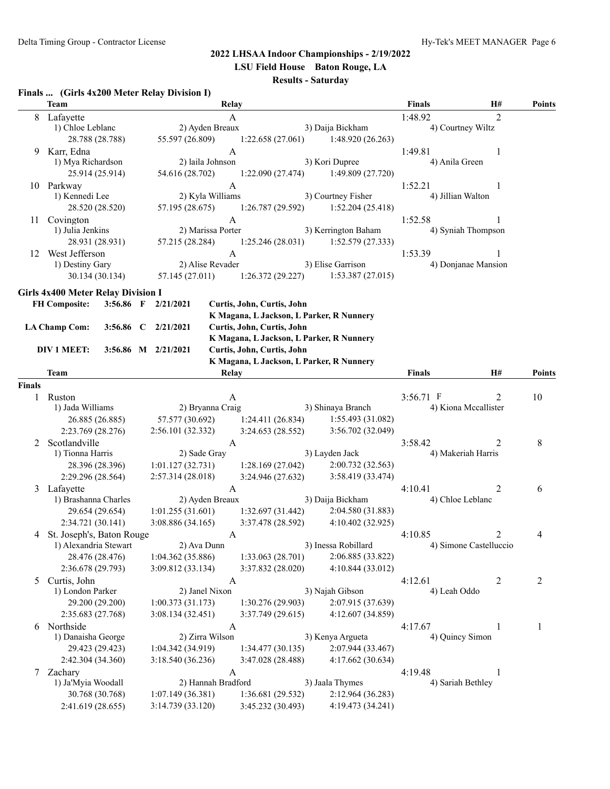**LSU Field House Baton Rouge, LA**

#### **Results - Saturday**

#### **Finals ... (Girls 4x200 Meter Relay Division I)**

|               | <b>Team</b>                               |                     | Relay                            |                                        |                                          | <b>Finals</b>             | H#                     | Points        |
|---------------|-------------------------------------------|---------------------|----------------------------------|----------------------------------------|------------------------------------------|---------------------------|------------------------|---------------|
| 8             | Lafayette                                 |                     | A                                |                                        |                                          | 1:48.92                   | $\overline{2}$         |               |
|               | 1) Chloe Leblanc                          |                     | 2) Ayden Breaux                  |                                        | 3) Daija Bickham                         |                           | 4) Courtney Wiltz      |               |
|               | 28.788 (28.788)                           | 55.597 (26.809)     |                                  | 1:22.658(27.061)                       | 1:48.920(26.263)                         |                           |                        |               |
| 9             | Karr, Edna<br>1) Mya Richardson           |                     | $\mathbf{A}$<br>2) laila Johnson |                                        | 3) Kori Dupree                           | 1:49.81<br>4) Anila Green | 1                      |               |
|               | 25.914 (25.914)                           | 54.616 (28.702)     |                                  | 1:22.090(27.474)                       | 1:49.809 (27.720)                        |                           |                        |               |
|               | 10 Parkway                                |                     | $\mathbf{A}$                     |                                        |                                          | 1:52.21                   | 1                      |               |
|               | 1) Kennedi Lee                            |                     | 2) Kyla Williams                 |                                        | 3) Courtney Fisher                       | 4) Jillian Walton         |                        |               |
|               | 28.520 (28.520)                           | 57.195 (28.675)     |                                  | 1:26.787(29.592)                       | 1:52.204(25.418)                         |                           |                        |               |
| 11            | Covington                                 |                     | $\mathbf{A}$                     |                                        |                                          | 1:52.58                   | 1                      |               |
|               | 1) Julia Jenkins                          |                     | 2) Marissa Porter                |                                        | 3) Kerrington Baham                      |                           | 4) Syniah Thompson     |               |
|               | 28.931 (28.931)                           | 57.215 (28.284)     |                                  | 1:25.246(28.031)                       | 1:52.579(27.333)                         |                           |                        |               |
|               | 12 West Jefferson                         |                     | $\boldsymbol{A}$                 |                                        |                                          | 1:53.39                   | 1                      |               |
|               | 1) Destiny Gary                           |                     | 2) Alise Revader                 |                                        | 3) Elise Garrison                        |                           | 4) Donjanae Mansion    |               |
|               | 30.134 (30.134)                           | 57.145 (27.011)     |                                  | 1:26.372(29.227)                       | 1:53.387(27.015)                         |                           |                        |               |
|               | <b>Girls 4x400 Meter Relay Division I</b> |                     |                                  |                                        |                                          |                           |                        |               |
|               | <b>FH Composite:</b>                      | 3:56.86 F 2/21/2021 | Curtis, John, Curtis, John       |                                        |                                          |                           |                        |               |
|               |                                           |                     |                                  |                                        | K Magana, L Jackson, L Parker, R Nunnery |                           |                        |               |
|               | <b>LA Champ Com:</b>                      | 3:56.86 C 2/21/2021 | Curtis, John, Curtis, John       |                                        |                                          |                           |                        |               |
|               |                                           |                     |                                  |                                        | K Magana, L Jackson, L Parker, R Nunnery |                           |                        |               |
|               | DIV 1 MEET:                               | 3:56.86 M 2/21/2021 | Curtis, John, Curtis, John       |                                        | K Magana, L Jackson, L Parker, R Nunnery |                           |                        |               |
|               | Team                                      |                     | Relay                            |                                        |                                          | <b>Finals</b>             | H#                     | <b>Points</b> |
| <b>Finals</b> |                                           |                     |                                  |                                        |                                          |                           |                        |               |
| 1             | Ruston                                    |                     | A                                |                                        |                                          | 3:56.71 F                 | 2                      | 10            |
|               | 1) Jada Williams                          |                     | 2) Bryanna Craig                 |                                        | 3) Shinaya Branch                        |                           | 4) Kiona Mccallister   |               |
|               | 26.885 (26.885)                           | 57.577 (30.692)     |                                  | 1:24.411(26.834)                       | 1:55.493 (31.082)                        |                           |                        |               |
|               | 2:23.769 (28.276)                         | 2:56.101 (32.332)   |                                  | 3:24.653(28.552)                       | 3:56.702 (32.049)                        |                           |                        |               |
| 2             | Scotlandville                             |                     | A                                |                                        |                                          | 3:58.42                   | 2                      | 8             |
|               | 1) Tionna Harris                          |                     | 2) Sade Gray                     |                                        | 3) Layden Jack                           |                           | 4) Makeriah Harris     |               |
|               | 28.396 (28.396)                           | 1:01.127(32.731)    |                                  | 1:28.169(27.042)                       | 2:00.732(32.563)                         |                           |                        |               |
|               | 2:29.296 (28.564)                         | 2:57.314(28.018)    |                                  | 3:24.946 (27.632)                      | 3:58.419 (33.474)                        |                           |                        |               |
| 3             | Lafayette                                 |                     | A                                |                                        |                                          | 4:10.41                   | 2                      | 6             |
|               | 1) Brashanna Charles<br>29.654 (29.654)   | 1:01.255(31.601)    | 2) Ayden Breaux                  | 1:32.697 (31.442)                      | 3) Daija Bickham<br>2:04.580 (31.883)    |                           | 4) Chloe Leblanc       |               |
|               | 2:34.721 (30.141)                         | 3:08.886(34.165)    |                                  | 3:37.478 (28.592)                      | 4:10.402 (32.925)                        |                           |                        |               |
|               | 4 St. Joseph's, Baton Rouge               |                     | A                                |                                        |                                          | 4:10.85                   | 2                      | 4             |
|               | 1) Alexandria Stewart                     | 2) Ava Dunn         |                                  |                                        | 3) Inessa Robillard                      |                           | 4) Simone Castelluccio |               |
|               | 28.476 (28.476)                           | 1:04.362(35.886)    |                                  | 1:33.063 (28.701)                      | 2:06.885 (33.822)                        |                           |                        |               |
|               | 2:36.678 (29.793)                         | 3:09.812 (33.134)   |                                  | 3:37.832 (28.020)                      | 4:10.844 (33.012)                        |                           |                        |               |
| 5             | Curtis, John                              |                     | A                                |                                        |                                          | 4:12.61                   | 2                      | 2             |
|               | 1) London Parker                          |                     | 2) Janel Nixon                   |                                        | 3) Najah Gibson                          | 4) Leah Oddo              |                        |               |
|               | 29.200 (29.200)                           | 1:00.373(31.173)    |                                  | 1:30.276 (29.903)                      | 2:07.915 (37.639)                        |                           |                        |               |
|               | 2:35.683 (27.768)                         | 3:08.134(32.451)    |                                  | 3:37.749 (29.615)                      | 4:12.607 (34.859)                        |                           |                        |               |
|               | 6 Northside                               |                     | A                                |                                        |                                          | 4:17.67                   | -1                     | 1             |
|               | 1) Danaisha George                        |                     | 2) Zirra Wilson                  |                                        | 3) Kenya Argueta                         |                           | 4) Quincy Simon        |               |
|               | 29.423 (29.423)<br>2:42.304 (34.360)      | 1:04.342(34.919)    |                                  | 1:34.477 (30.135)<br>3:47.028 (28.488) | 2:07.944 (33.467)<br>4:17.662 (30.634)   |                           |                        |               |
| 7             | Zachary                                   | 3:18.540 (36.236)   | A                                |                                        |                                          | 4:19.48                   | 1                      |               |
|               | 1) Ja'Myia Woodall                        |                     | 2) Hannah Bradford               |                                        | 3) Jaala Thymes                          |                           | 4) Sariah Bethley      |               |
|               | 30.768 (30.768)                           | 1:07.149 (36.381)   |                                  | 1:36.681 (29.532)                      | 2:12.964 (36.283)                        |                           |                        |               |
|               | 2:41.619 (28.655)                         | 3:14.739 (33.120)   |                                  | 3:45.232 (30.493)                      | 4:19.473 (34.241)                        |                           |                        |               |
|               |                                           |                     |                                  |                                        |                                          |                           |                        |               |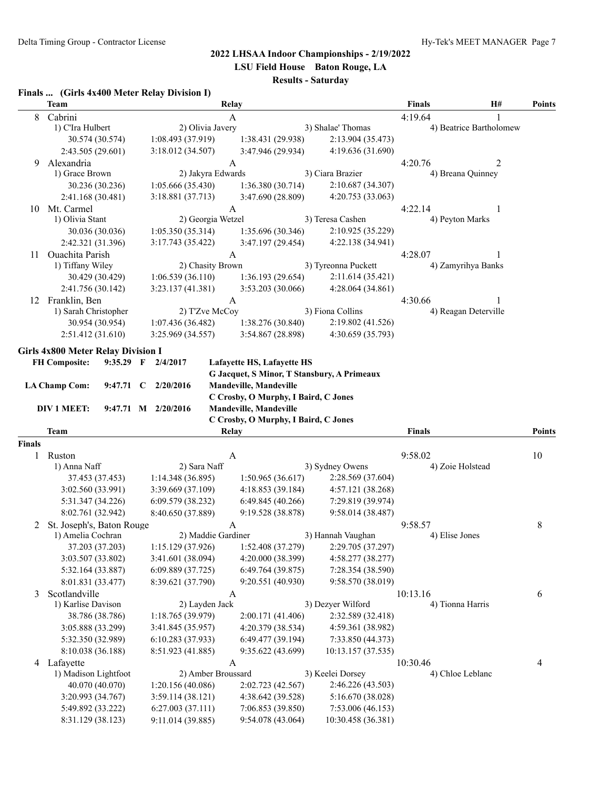**LSU Field House Baton Rouge, LA**

# **Results - Saturday**

#### **Finals ... (Girls 4x400 Meter Relay Division I)**

|        | <b>Team</b>                               |                                       | Relay                                                                        |                                         | <b>Finals</b>                | H#                      | <b>Points</b> |
|--------|-------------------------------------------|---------------------------------------|------------------------------------------------------------------------------|-----------------------------------------|------------------------------|-------------------------|---------------|
| 8      | Cabrini                                   |                                       | A                                                                            |                                         | 4:19.64                      |                         |               |
|        | 1) C'Ira Hulbert                          | 2) Olivia Javery                      |                                                                              | 3) Shalae' Thomas                       |                              | 4) Beatrice Bartholomew |               |
|        | 30.574 (30.574)                           | 1:08.493 (37.919)                     | 1:38.431 (29.938)                                                            | 2:13.904 (35.473)                       |                              |                         |               |
|        | 2:43.505 (29.601)                         | 3:18.012 (34.507)                     | 3:47.946 (29.934)                                                            | 4:19.636 (31.690)                       |                              |                         |               |
| 9      | Alexandria                                |                                       | $\mathbf{A}$                                                                 |                                         | 4:20.76                      | 2                       |               |
|        | 1) Grace Brown                            | 2) Jakyra Edwards                     |                                                                              | 3) Ciara Brazier                        |                              | 4) Breana Quinney       |               |
|        | 30.236 (30.236)                           | 1:05.666(35.430)                      | 1:36.380(30.714)                                                             | 2:10.687 (34.307)                       |                              |                         |               |
|        | 2:41.168 (30.481)                         | 3:18.881 (37.713)                     | 3:47.690 (28.809)                                                            | 4:20.753 (33.063)                       |                              |                         |               |
| 10     | Mt. Carmel                                |                                       | $\mathbf{A}$                                                                 |                                         | 4:22.14                      | 1                       |               |
|        | 1) Olivia Stant                           | 2) Georgia Wetzel                     |                                                                              | 3) Teresa Cashen                        | 4) Peyton Marks              |                         |               |
|        | 30.036 (30.036)                           | 1:05.350(35.314)<br>3:17.743 (35.422) | 1:35.696(30.346)                                                             | 2:10.925 (35.229)<br>4:22.138 (34.941)  |                              |                         |               |
|        | 2:42.321 (31.396)                         |                                       | 3:47.197(29.454)                                                             |                                         |                              |                         |               |
| 11     | Ouachita Parish<br>1) Tiffany Wiley       | 2) Chasity Brown                      | A                                                                            | 3) Tyreonna Puckett                     | 4:28.07                      | 4) Zamyrihya Banks      |               |
|        | 30.429 (30.429)                           | 1:06.539(36.110)                      | 1:36.193 (29.654)                                                            | 2:11.614 (35.421)                       |                              |                         |               |
|        | 2:41.756 (30.142)                         | 3:23.137 (41.381)                     | 3:53.203 (30.066)                                                            | 4:28.064 (34.861)                       |                              |                         |               |
| 12     | Franklin, Ben                             |                                       | A                                                                            |                                         | 4:30.66                      | 1                       |               |
|        | 1) Sarah Christopher                      | 2) T'Zve McCoy                        |                                                                              | 3) Fiona Collins                        |                              | 4) Reagan Deterville    |               |
|        | 30.954 (30.954)                           | 1:07.436(36.482)                      | 1:38.276 (30.840)                                                            | 2:19.802 (41.526)                       |                              |                         |               |
|        | 2:51.412(31.610)                          | 3:25.969 (34.557)                     | 3:54.867 (28.898)                                                            | 4:30.659 (35.793)                       |                              |                         |               |
|        |                                           |                                       |                                                                              |                                         |                              |                         |               |
|        | <b>Girls 4x800 Meter Relay Division I</b> |                                       |                                                                              |                                         |                              |                         |               |
|        | <b>FH Composite:</b><br>$9:35.29$ F       | 2/4/2017                              | Lafayette HS, Lafayette HS                                                   |                                         |                              |                         |               |
|        |                                           |                                       | G Jacquet, S Minor, T Stansbury, A Primeaux<br><b>Mandeville, Mandeville</b> |                                         |                              |                         |               |
|        | <b>LA Champ Com:</b><br>9:47.71           | 2/20/2016<br>$\mathbf{C}$             | C Crosby, O Murphy, I Baird, C Jones                                         |                                         |                              |                         |               |
|        | DIV 1 MEET:                               | 9:47.71 M 2/20/2016                   | Mandeville, Mandeville                                                       |                                         |                              |                         |               |
|        |                                           |                                       | C Crosby, O Murphy, I Baird, C Jones                                         |                                         |                              |                         |               |
|        | <b>Team</b>                               |                                       | <b>Relay</b>                                                                 |                                         | <b>Finals</b>                |                         | Points        |
| Finals |                                           |                                       |                                                                              |                                         |                              |                         |               |
| 1      | Ruston                                    |                                       | A                                                                            |                                         | 9:58.02                      |                         | 10            |
|        | 1) Anna Naff                              | 2) Sara Naff                          |                                                                              | 3) Sydney Owens                         | 4) Zoie Holstead             |                         |               |
|        | 37.453 (37.453)                           | 1:14.348(36.895)                      | 1:50.965(36.617)                                                             | 2:28.569 (37.604)                       |                              |                         |               |
|        | 3:02.560(33.991)                          | 3:39.669 (37.109)                     | 4:18.853(39.184)                                                             | 4:57.121 (38.268)                       |                              |                         |               |
|        | 5:31.347 (34.226)                         | 6:09.579 (38.232)                     | 6:49.845(40.266)                                                             | 7:29.819 (39.974)                       |                              |                         |               |
|        | 8:02.761 (32.942)                         | 8:40.650 (37.889)                     | 9:19.528 (38.878)                                                            | 9:58.014 (38.487)                       |                              |                         |               |
| 2      | St. Joseph's, Baton Rouge                 |                                       | A                                                                            |                                         | 9:58.57                      |                         | 8             |
|        | 1) Amelia Cochran                         | 2) Maddie Gardiner                    |                                                                              | 3) Hannah Vaughan                       | 4) Elise Jones               |                         |               |
|        | 37.203 (37.203)                           | 1:15.129 (37.926) 1:52.408 (37.279)   |                                                                              | 2:29.705 (37.297)                       |                              |                         |               |
|        | 3:03.507 (33.802)                         | 3:41.601 (38.094)                     | 4:20.000 (38.399)                                                            | 4:58.277 (38.277)                       |                              |                         |               |
|        | 5:32.164 (33.887)                         | 6:09.889 (37.725)                     | 6:49.764 (39.875)                                                            | 7:28.354 (38.590)                       |                              |                         |               |
|        | 8:01.831 (33.477)                         | 8:39.621 (37.790)                     | 9:20.551(40.930)                                                             | 9:58.570 (38.019)                       |                              |                         |               |
| 3      | Scotlandville<br>1) Karlise Davison       | 2) Layden Jack                        | A                                                                            | 3) Dezyer Wilford                       | 10:13.16<br>4) Tionna Harris |                         | 6             |
|        | 38.786 (38.786)                           | 1:18.765 (39.979)                     | 2:00.171 (41.406)                                                            | 2:32.589 (32.418)                       |                              |                         |               |
|        | 3:05.888 (33.299)                         | 3:41.845 (35.957)                     | 4:20.379 (38.534)                                                            | 4:59.361 (38.982)                       |                              |                         |               |
|        | 5:32.350 (32.989)                         | 6:10.283(37.933)                      | 6:49.477 (39.194)                                                            | 7:33.850 (44.373)                       |                              |                         |               |
|        | 8:10.038 (36.188)                         | 8:51.923 (41.885)                     | 9:35.622 (43.699)                                                            | 10:13.157 (37.535)                      |                              |                         |               |
|        | 4 Lafayette                               |                                       |                                                                              |                                         |                              |                         |               |
|        | 1) Madison Lightfoot                      | 2) Amber Broussard                    | A                                                                            | 3) Keelei Dorsey                        | 10:30.46                     | 4) Chloe Leblanc        | 4             |
|        |                                           |                                       |                                                                              |                                         |                              |                         |               |
|        |                                           |                                       |                                                                              |                                         |                              |                         |               |
|        | 40.070 (40.070)                           | 1:20.156 (40.086)                     | 2:02.723 (42.567)                                                            | 2:46.226 (43.503)                       |                              |                         |               |
|        | 3:20.993 (34.767)                         | 3:59.114 (38.121)                     | 4:38.642 (39.528)                                                            | 5:16.670 (38.028)                       |                              |                         |               |
|        | 5:49.892 (33.222)<br>8:31.129 (38.123)    | 6:27.003(37.111)<br>9:11.014 (39.885) | 7:06.853 (39.850)<br>9:54.078 (43.064)                                       | 7:53.006 (46.153)<br>10:30.458 (36.381) |                              |                         |               |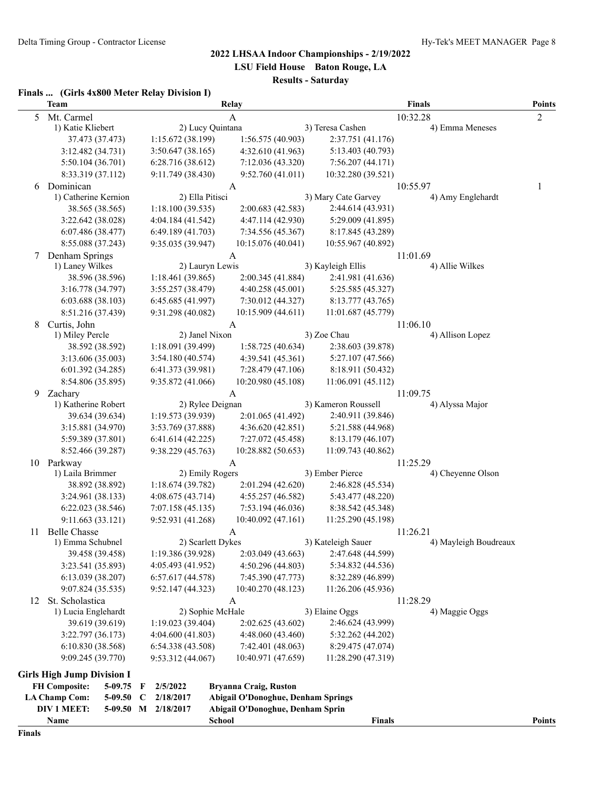**LSU Field House Baton Rouge, LA**

# **Results - Saturday**

#### **Finals ... (Girls 4x800 Meter Relay Division I)**

|    | <b>Team</b>                            |                          | Relay                                     |                     | <b>Finals</b>               | <b>Points</b>  |
|----|----------------------------------------|--------------------------|-------------------------------------------|---------------------|-----------------------------|----------------|
| 5  | Mt. Carmel                             |                          | А                                         |                     | 10:32.28                    | $\overline{2}$ |
|    | 1) Katie Kliebert                      | 2) Lucy Quintana         |                                           | 3) Teresa Cashen    | 4) Emma Meneses             |                |
|    | 37.473 (37.473)                        | 1:15.672 (38.199)        | 1:56.575 (40.903)                         | 2:37.751 (41.176)   |                             |                |
|    | 3:12.482 (34.731)                      | 3:50.647(38.165)         | 4:32.610 (41.963)                         | 5:13.403 (40.793)   |                             |                |
|    | 5:50.104 (36.701)                      | 6:28.716(38.612)         | 7:12.036 (43.320)                         | 7:56.207 (44.171)   |                             |                |
|    | 8:33.319 (37.112)                      | 9:11.749 (38.430)        | 9:52.760 (41.011)                         | 10:32.280 (39.521)  |                             |                |
| 6  | Dominican                              |                          | A                                         |                     | 10:55.97                    | 1              |
|    | 1) Catherine Kernion                   | 2) Ella Pitisci          |                                           | 3) Mary Cate Garvey | 4) Amy Englehardt           |                |
|    | 38.565 (38.565)                        | 1:18.100(39.535)         | 2:00.683 (42.583)                         | 2:44.614 (43.931)   |                             |                |
|    | 3:22.642 (38.028)                      | 4:04.184(41.542)         | 4:47.114 (42.930)                         | 5:29.009 (41.895)   |                             |                |
|    | 6:07.486(38.477)                       | 6:49.189(41.703)         | 7:34.556 (45.367)                         | 8:17.845 (43.289)   |                             |                |
|    | 8:55.088 (37.243)                      | 9:35.035 (39.947)        | 10:15.076 (40.041)                        | 10:55.967 (40.892)  |                             |                |
| 7  | Denham Springs                         |                          | A                                         |                     | 11:01.69                    |                |
|    | 1) Laney Wilkes                        | 2) Lauryn Lewis          |                                           | 3) Kayleigh Ellis   | 4) Allie Wilkes             |                |
|    | 38.596 (38.596)                        | 1:18.461 (39.865)        | 2:00.345 (41.884)                         | 2:41.981 (41.636)   |                             |                |
|    | 3:16.778 (34.797)                      | 3:55.257 (38.479)        | 4:40.258 (45.001)                         | 5:25.585 (45.327)   |                             |                |
|    | 6:03.688 (38.103)                      | 6:45.685(41.997)         | 7:30.012 (44.327)                         | 8:13.777 (43.765)   |                             |                |
|    | 8:51.216 (37.439)                      | 9:31.298 (40.082)        | 10:15.909 (44.611)                        | 11:01.687 (45.779)  |                             |                |
| 8  | Curtis, John                           |                          | A                                         |                     | 11:06.10                    |                |
|    | 1) Miley Percle                        | 2) Janel Nixon           |                                           | 3) Zoe Chau         | 4) Allison Lopez            |                |
|    | 38.592 (38.592)                        | 1:18.091 (39.499)        | 1:58.725(40.634)                          | 2:38.603 (39.878)   |                             |                |
|    | 3:13.606 (35.003)                      | 3:54.180(40.574)         | 4:39.541 (45.361)                         | 5:27.107 (47.566)   |                             |                |
|    | 6:01.392 (34.285)                      | 6:41.373 (39.981)        | 7:28.479 (47.106)                         | 8:18.911 (50.432)   |                             |                |
|    | 8:54.806 (35.895)                      | 9:35.872 (41.066)        | 10:20.980 (45.108)                        | 11:06.091 (45.112)  |                             |                |
| 9  | Zachary                                | 2) Rylee Deignan         | А                                         | 3) Kameron Roussell | 11:09.75<br>4) Alyssa Major |                |
|    | 1) Katherine Robert<br>39.634 (39.634) | 1:19.573(39.939)         | 2:01.065 (41.492)                         | 2:40.911 (39.846)   |                             |                |
|    |                                        | 3:53.769 (37.888)        | 4:36.620 (42.851)                         | 5:21.588 (44.968)   |                             |                |
|    | 3:15.881 (34.970)<br>5:59.389 (37.801) | 6:41.614(42.225)         | 7:27.072 (45.458)                         | 8:13.179 (46.107)   |                             |                |
|    | 8:52.466 (39.287)                      | 9:38.229 (45.763)        | 10:28.882 (50.653)                        | 11:09.743 (40.862)  |                             |                |
|    | 10 Parkway                             |                          | A                                         |                     | 11:25.29                    |                |
|    | 1) Laila Brimmer                       | 2) Emily Rogers          |                                           | 3) Ember Pierce     | 4) Cheyenne Olson           |                |
|    | 38.892 (38.892)                        | 1:18.674(39.782)         | 2:01.294 (42.620)                         | 2:46.828 (45.534)   |                             |                |
|    | 3:24.961 (38.133)                      | 4:08.675(43.714)         | 4:55.257 (46.582)                         | 5:43.477 (48.220)   |                             |                |
|    | 6:22.023 (38.546)                      | 7:07.158(45.135)         | 7:53.194 (46.036)                         | 8:38.542 (45.348)   |                             |                |
|    | 9:11.663 (33.121)                      | 9:52.931 (41.268)        | 10:40.092 (47.161)                        | 11:25.290 (45.198)  |                             |                |
| 11 | <b>Belle Chasse</b>                    |                          | A                                         |                     | 11:26.21                    |                |
|    | 1) Emma Schubnel                       | 2) Scarlett Dykes        |                                           | 3) Kateleigh Sauer  | 4) Mayleigh Boudreaux       |                |
|    | 39.458 (39.458)                        | 1:19.386 (39.928)        | 2:03.049 (43.663)                         | 2:47.648 (44.599)   |                             |                |
|    | 3:23.541 (35.893)                      | 4:05.493 (41.952)        | 4:50.296 (44.803)                         | 5:34.832 (44.536)   |                             |                |
|    | 6:13.039(38.207)                       | 6:57.617(44.578)         | 7:45.390 (47.773)                         | 8:32.289 (46.899)   |                             |                |
|    | 9:07.824 (35.535)                      | 9:52.147(44.323)         | 10:40.270 (48.123)                        | 11:26.206 (45.936)  |                             |                |
| 12 | St. Scholastica                        |                          | A                                         |                     | 11:28.29                    |                |
|    | 1) Lucia Englehardt                    | 2) Sophie McHale         |                                           | 3) Elaine Oggs      | 4) Maggie Oggs              |                |
|    | 39.619 (39.619)                        | 1:19.023 (39.404)        | 2:02.625 (43.602)                         | 2:46.624 (43.999)   |                             |                |
|    | 3:22.797 (36.173)                      | 4:04.600(41.803)         | 4:48.060 (43.460)                         | 5:32.262 (44.202)   |                             |                |
|    | 6:10.830 (38.568)                      | 6:54.338(43.508)         | 7:42.401 (48.063)                         | 8:29.475 (47.074)   |                             |                |
|    | 9:09.245 (39.770)                      | 9:53.312 (44.067)        | 10:40.971 (47.659)                        | 11:28.290 (47.319)  |                             |                |
|    | <b>Girls High Jump Division I</b>      |                          |                                           |                     |                             |                |
|    | <b>FH Composite:</b><br>5-09.75        | 2/5/2022<br>F            | <b>Bryanna Craig, Ruston</b>              |                     |                             |                |
|    | <b>LA Champ Com:</b><br>5-09.50        | 2/18/2017<br>$\mathbf C$ | <b>Abigail O'Donoghue, Denham Springs</b> |                     |                             |                |
|    | DIV 1 MEET:                            | 5-09.50 M 2/18/2017      | Abigail O'Donoghue, Denham Sprin          |                     |                             |                |
|    | Name                                   |                          | <b>School</b>                             | <b>Finals</b>       |                             | Points         |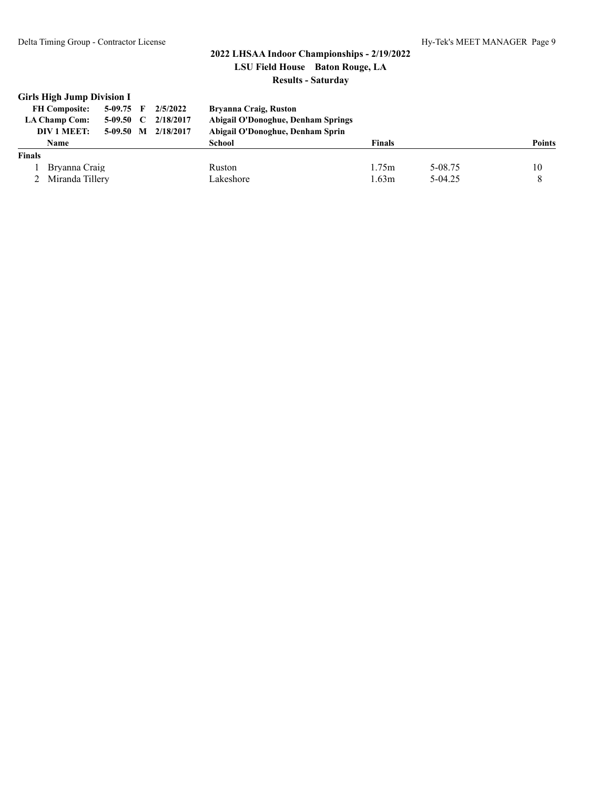Delta Timing Group - Contractor License Hy-Tek's MEET MANAGER Page 9

#### **2022 LHSAA Indoor Championships - 2/19/2022 LSU Field House Baton Rouge, LA Results - Saturday**

| <b>Girls High Jump Division I</b><br>2/5/2022<br>$5-09.75$ F<br><b>FH Composite:</b><br>2/18/2017<br>$\mathbf C$<br><b>LA Champ Com:</b><br>5-09.50<br>DIV 1 MEET:<br>2/18/2017<br>M<br>$5-09.50$ | <b>Bryanna Craig, Ruston</b><br><b>Abigail O'Donoghue, Denham Springs</b><br>Abigail O'Donoghue, Denham Sprin |               |         |               |  |
|---------------------------------------------------------------------------------------------------------------------------------------------------------------------------------------------------|---------------------------------------------------------------------------------------------------------------|---------------|---------|---------------|--|
| <b>Name</b>                                                                                                                                                                                       | School                                                                                                        | <b>Finals</b> |         | <b>Points</b> |  |
| <b>Finals</b>                                                                                                                                                                                     |                                                                                                               |               |         |               |  |
| Bryanna Craig                                                                                                                                                                                     | <b>Ruston</b>                                                                                                 | 1.75m         | 5-08.75 | 10            |  |
| Miranda Tillery                                                                                                                                                                                   | Lakeshore                                                                                                     | 1.63m         | 5-04.25 | 8             |  |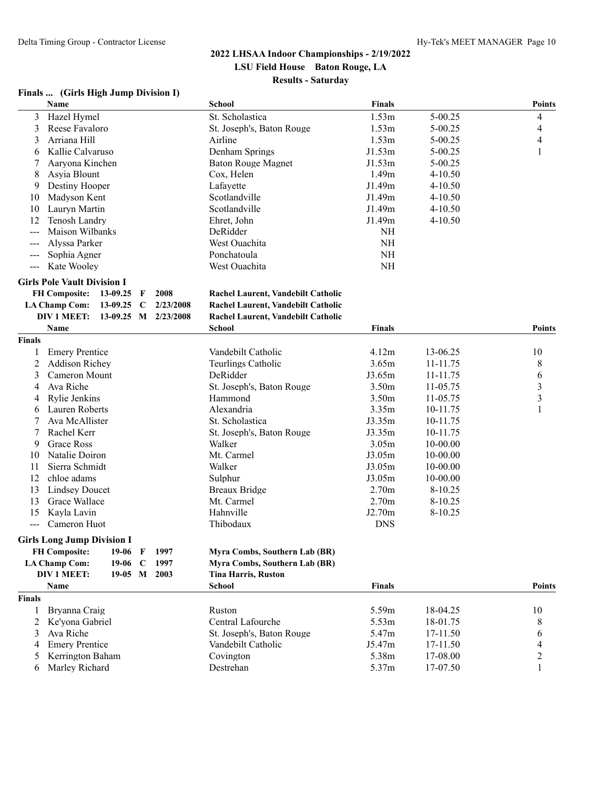#### **Finals ... (Girls High Jump Division I)**

|                     | Name                                                       |              |              |             | <b>School</b>                      | <b>Finals</b>     |             | <b>Points</b>  |
|---------------------|------------------------------------------------------------|--------------|--------------|-------------|------------------------------------|-------------------|-------------|----------------|
| 3                   | Hazel Hymel                                                |              |              |             | St. Scholastica                    | 1.53m             | 5-00.25     | 4              |
| 3                   | Reese Favaloro                                             |              |              |             | St. Joseph's, Baton Rouge          | 1.53m             | 5-00.25     | 4              |
| 3                   | Arriana Hill                                               |              |              |             | Airline                            | 1.53m             | $5 - 00.25$ | 4              |
| 6                   | Kallie Calvaruso                                           |              |              |             | Denham Springs                     | J1.53m            | $5 - 00.25$ | 1              |
| 7                   | Aaryona Kinchen                                            |              |              |             | <b>Baton Rouge Magnet</b>          | J1.53m            | $5 - 00.25$ |                |
| 8                   | Asyia Blount                                               |              |              |             | Cox, Helen                         | 1.49 <sub>m</sub> | $4 - 10.50$ |                |
| 9                   | Destiny Hooper                                             |              |              |             | Lafayette                          | J1.49m            | $4 - 10.50$ |                |
| 10                  | Madyson Kent                                               |              |              |             | Scotlandville                      | J1.49m            | $4 - 10.50$ |                |
| 10                  | Lauryn Martin                                              |              |              |             | Scotlandville                      | J1.49m            | $4 - 10.50$ |                |
| 12                  | Tenosh Landry                                              |              |              |             | Ehret, John                        | J1.49m            | 4-10.50     |                |
| $ -$                | Maison Wilbanks                                            |              |              |             | DeRidder                           | $\rm NH$          |             |                |
| ---                 | Alyssa Parker                                              |              |              |             | West Ouachita                      | $\rm NH$          |             |                |
| $---$               | Sophia Agner                                               |              |              |             | Ponchatoula                        | NH                |             |                |
| $\qquad \qquad - -$ | Kate Wooley                                                |              |              |             | West Ouachita                      | NH                |             |                |
|                     | <b>Girls Pole Vault Division I</b><br><b>FH Composite:</b> | 13-09.25     | F            | 2008        | Rachel Laurent, Vandebilt Catholic |                   |             |                |
|                     | <b>LA Champ Com:</b>                                       | 13-09.25     | $\mathbf C$  | 2/23/2008   | Rachel Laurent, Vandebilt Catholic |                   |             |                |
|                     | DIV 1 MEET:                                                | $13-09.25$   |              | M 2/23/2008 | Rachel Laurent, Vandebilt Catholic |                   |             |                |
|                     | Name                                                       |              |              |             | <b>School</b>                      | <b>Finals</b>     |             | <b>Points</b>  |
| <b>Finals</b>       |                                                            |              |              |             |                                    |                   |             |                |
| 1                   | <b>Emery Prentice</b>                                      |              |              |             | Vandebilt Catholic                 | 4.12m             | 13-06.25    | 10             |
| 2                   | <b>Addison Richey</b>                                      |              |              |             | Teurlings Catholic                 | 3.65m             | 11-11.75    | 8              |
| 3                   | Cameron Mount                                              |              |              |             | DeRidder                           | J3.65m            | 11-11.75    | 6              |
| 4                   | Ava Riche                                                  |              |              |             | St. Joseph's, Baton Rouge          | 3.50m             | 11-05.75    | 3              |
| 4                   | Rylie Jenkins                                              |              |              |             | Hammond                            | 3.50m             | 11-05.75    | 3              |
| 6                   | Lauren Roberts                                             |              |              |             | Alexandria                         | 3.35m             | 10-11.75    | 1              |
| 7                   | Ava McAllister                                             |              |              |             | St. Scholastica                    | J3.35m            | 10-11.75    |                |
| 7                   | Rachel Kerr                                                |              |              |             | St. Joseph's, Baton Rouge          | J3.35m            | 10-11.75    |                |
| 9                   | <b>Grace Ross</b>                                          |              |              |             | Walker                             | 3.05m             | 10-00.00    |                |
| 10                  | Natalie Doiron                                             |              |              |             | Mt. Carmel                         | J3.05m            | 10-00.00    |                |
| 11                  | Sierra Schmidt                                             |              |              |             | Walker                             | J3.05m            | 10-00.00    |                |
| 12                  | chloe adams                                                |              |              |             | Sulphur                            | J3.05m            | 10-00.00    |                |
| 13                  | <b>Lindsey Doucet</b>                                      |              |              |             | <b>Breaux Bridge</b>               | 2.70 <sub>m</sub> | 8-10.25     |                |
| 13                  | Grace Wallace                                              |              |              |             | Mt. Carmel                         | 2.70 <sub>m</sub> | 8-10.25     |                |
| 15                  | Kayla Lavin                                                |              |              |             | Hahnville                          | J2.70m            | 8-10.25     |                |
|                     | Cameron Huot                                               |              |              |             | Thibodaux                          |                   |             |                |
| $---$               |                                                            |              |              |             |                                    | <b>DNS</b>        |             |                |
|                     | <b>Girls Long Jump Division I</b>                          |              |              |             |                                    |                   |             |                |
|                     | <b>FH Composite:</b>                                       | $19-06$      | $\mathbf{F}$ | 1997        | Myra Combs, Southern Lab (BR)      |                   |             |                |
|                     | <b>LA Champ Com:</b>                                       | $19-06$      | $\mathbf C$  | 1997        | Myra Combs, Southern Lab (BR)      |                   |             |                |
|                     | <b>DIV 1 MEET:</b>                                         | 19-05 M 2003 |              |             | <b>Tina Harris, Ruston</b>         |                   |             |                |
|                     | Name                                                       |              |              |             | <b>School</b>                      | <b>Finals</b>     |             | <b>Points</b>  |
| <b>Finals</b>       |                                                            |              |              |             |                                    |                   |             |                |
| 1                   | Bryanna Craig                                              |              |              |             | Ruston                             | 5.59m             | 18-04.25    | 10             |
| 2                   | Ke'yona Gabriel                                            |              |              |             | Central Lafourche                  | 5.53m             | 18-01.75    | 8              |
| 3                   | Ava Riche                                                  |              |              |             | St. Joseph's, Baton Rouge          | 5.47m             | 17-11.50    | 6              |
| 4                   | <b>Emery Prentice</b>                                      |              |              |             | Vandebilt Catholic                 | J5.47m            | 17-11.50    | 4              |
| 5                   | Kerrington Baham                                           |              |              |             | Covington                          | 5.38m             | 17-08.00    | $\overline{c}$ |
| 6                   | Marley Richard                                             |              |              |             | Destrehan                          | 5.37m             | 17-07.50    | $\mathbf{1}$   |
|                     |                                                            |              |              |             |                                    |                   |             |                |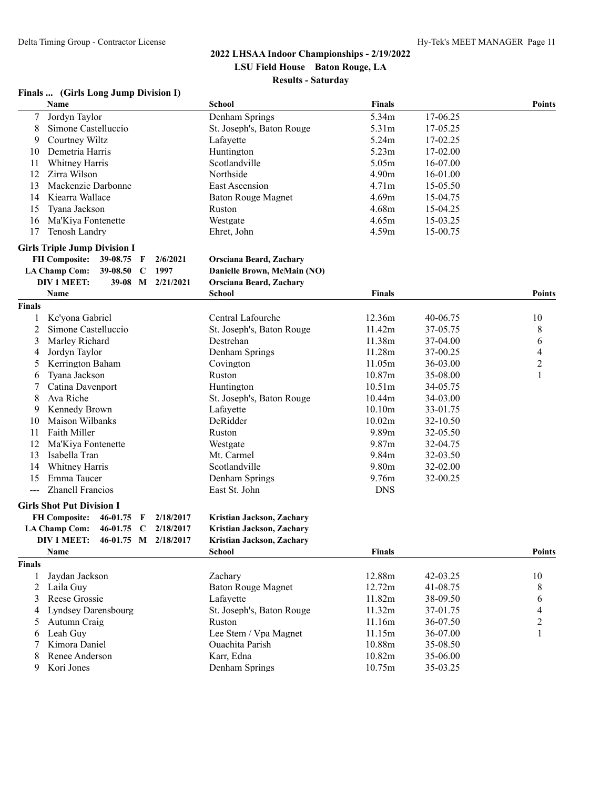#### **Finals ... (Girls Long Jump Division I)**

|                | Name                                            |               | <b>School</b>                  | <b>Finals</b>      |          | <b>Points</b>  |
|----------------|-------------------------------------------------|---------------|--------------------------------|--------------------|----------|----------------|
| $\overline{7}$ | Jordyn Taylor                                   |               | Denham Springs                 | 5.34m              | 17-06.25 |                |
| 8              | Simone Castelluccio                             |               | St. Joseph's, Baton Rouge      | 5.31m              | 17-05.25 |                |
| 9              | Courtney Wiltz                                  |               | Lafayette                      | 5.24m              | 17-02.25 |                |
| 10             | Demetria Harris                                 |               | Huntington                     | 5.23m              | 17-02.00 |                |
| 11             | Whitney Harris                                  |               | Scotlandville                  | 5.05m              | 16-07.00 |                |
| 12             | Zirra Wilson                                    |               | Northside                      | 4.90m              | 16-01.00 |                |
| 13             | Mackenzie Darbonne                              |               | East Ascension                 | 4.71m              | 15-05.50 |                |
| 14             | Kiearra Wallace                                 |               | <b>Baton Rouge Magnet</b>      | 4.69m              | 15-04.75 |                |
| 15             | Tyana Jackson                                   |               | Ruston                         | 4.68m              | 15-04.25 |                |
| 16             | Ma'Kiya Fontenette                              |               | Westgate                       | 4.65m              | 15-03.25 |                |
| 17             | Tenosh Landry                                   |               | Ehret, John                    | 4.59m              | 15-00.75 |                |
|                | <b>Girls Triple Jump Division I</b>             |               |                                |                    |          |                |
|                | <b>FH Composite:</b><br>39-08.75 F              | 2/6/2021      | <b>Orsciana Beard, Zachary</b> |                    |          |                |
|                | <b>LA Champ Com:</b><br>39-08.50<br>$\mathbf C$ | 1997          | Danielle Brown, McMain (NO)    |                    |          |                |
|                | DIV 1 MEET:<br>$39 - 08$                        | $M$ 2/21/2021 | Orsciana Beard, Zachary        |                    |          |                |
|                | Name                                            |               | <b>School</b>                  | <b>Finals</b>      |          | Points         |
| <b>Finals</b>  |                                                 |               |                                |                    |          |                |
| 1              | Ke'yona Gabriel                                 |               | Central Lafourche              | 12.36m             | 40-06.75 | 10             |
| 2              | Simone Castelluccio                             |               | St. Joseph's, Baton Rouge      | 11.42m             | 37-05.75 | 8              |
| 3              | Marley Richard                                  |               | Destrehan                      | 11.38m             | 37-04.00 | 6              |
| 4              | Jordyn Taylor                                   |               | Denham Springs                 | 11.28m             | 37-00.25 | 4              |
| 5              | Kerrington Baham                                |               | Covington                      | 11.05m             | 36-03.00 | $\overline{c}$ |
| 6              | Tyana Jackson                                   |               | Ruston                         | 10.87m             | 35-08.00 | 1              |
|                | Catina Davenport                                |               | Huntington                     | 10.51 <sub>m</sub> | 34-05.75 |                |
| 8              | Ava Riche                                       |               | St. Joseph's, Baton Rouge      | 10.44m             | 34-03.00 |                |
| 9              | Kennedy Brown                                   |               | Lafayette                      | 10.10m             | 33-01.75 |                |
| 10             | Maison Wilbanks                                 |               | DeRidder                       | 10.02m             | 32-10.50 |                |
| 11             | Faith Miller                                    |               | Ruston                         | 9.89m              | 32-05.50 |                |
| 12             | Ma'Kiya Fontenette                              |               | Westgate                       | 9.87m              | 32-04.75 |                |
| 13             | Isabella Tran                                   |               | Mt. Carmel                     | 9.84m              | 32-03.50 |                |
| 14             | Whitney Harris                                  |               | Scotlandville                  | 9.80m              | 32-02.00 |                |
| 15             | Emma Taucer                                     |               | Denham Springs                 | 9.76m              | 32-00.25 |                |
| $---$          | <b>Zhanell Francios</b>                         |               | East St. John                  | <b>DNS</b>         |          |                |
|                | <b>Girls Shot Put Division I</b>                |               |                                |                    |          |                |
|                | <b>FH Composite:</b><br>46-01.75<br>F           | 2/18/2017     | Kristian Jackson, Zachary      |                    |          |                |
|                | <b>LA Champ Com:</b><br>46-01.75<br>$\mathbf C$ | 2/18/2017     | Kristian Jackson, Zachary      |                    |          |                |
|                | <b>DIV 1 MEET:</b><br>46-01.75 M 2/18/2017      |               | Kristian Jackson, Zachary      |                    |          |                |
|                | Name                                            |               | <b>School</b>                  | <b>Finals</b>      |          | <b>Points</b>  |
| <b>Finals</b>  |                                                 |               |                                |                    |          |                |
| 1              | Jaydan Jackson                                  |               | Zachary                        | 12.88m             | 42-03.25 | 10             |
| 2              | Laila Guy                                       |               | <b>Baton Rouge Magnet</b>      | 12.72m             | 41-08.75 | 8              |
| 3              | Reese Grossie                                   |               | Lafayette                      | 11.82m             | 38-09.50 | 6              |
| 4              | Lyndsey Darensbourg                             |               | St. Joseph's, Baton Rouge      | 11.32m             | 37-01.75 | 4              |
| 5              | Autumn Craig                                    |               | Ruston                         | 11.16m             | 36-07.50 | $\overline{2}$ |
| 6              | Leah Guy                                        |               | Lee Stem / Vpa Magnet          | 11.15m             | 36-07.00 | 1              |
|                | Kimora Daniel                                   |               | Ouachita Parish                | 10.88m             | 35-08.50 |                |
| 8              | Renee Anderson                                  |               | Karr, Edna                     | 10.82m             | 35-06.00 |                |
| 9              | Kori Jones                                      |               | Denham Springs                 | 10.75m             | 35-03.25 |                |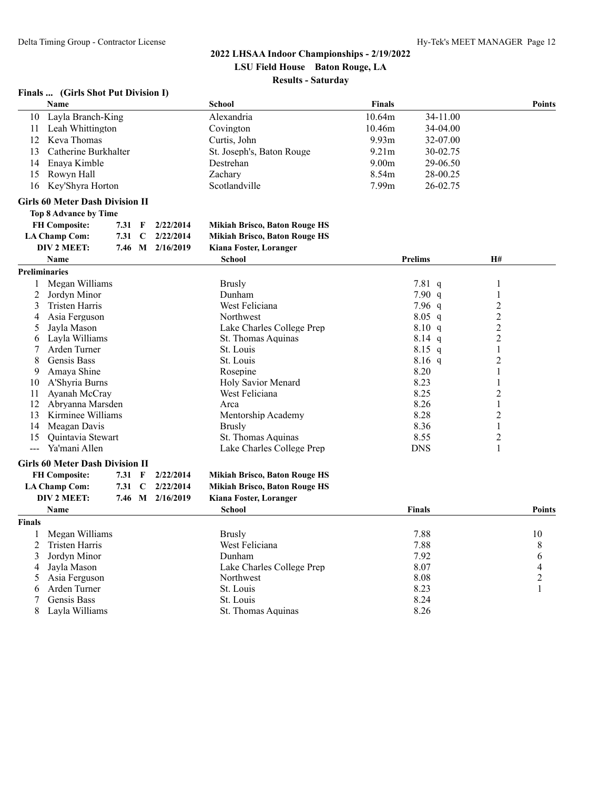#### **Finals ... (Girls Shot Put Division I)**

|                      | <b>Name</b>                            |        |             |                  | <b>School</b>                        | <b>Finals</b>     |                |                | <b>Points</b>  |
|----------------------|----------------------------------------|--------|-------------|------------------|--------------------------------------|-------------------|----------------|----------------|----------------|
| 10                   | Layla Branch-King                      |        |             |                  | Alexandria                           | 10.64m            | 34-11.00       |                |                |
|                      | 11 Leah Whittington                    |        |             |                  | Covington                            | 10.46m            | 34-04.00       |                |                |
|                      | 12 Keva Thomas                         |        |             |                  | Curtis, John                         | 9.93m             | 32-07.00       |                |                |
| 13                   | Catherine Burkhalter                   |        |             |                  | St. Joseph's, Baton Rouge            | 9.21 <sub>m</sub> | 30-02.75       |                |                |
| 14                   | Enaya Kimble                           |        |             |                  | Destrehan                            | 9.00 <sub>m</sub> | 29-06.50       |                |                |
| 15                   | Rowyn Hall                             |        |             |                  | Zachary                              | 8.54m             | 28-00.25       |                |                |
| 16                   | Key'Shyra Horton                       |        |             |                  | Scotlandville                        | 7.99m             | 26-02.75       |                |                |
|                      | <b>Girls 60 Meter Dash Division II</b> |        |             |                  |                                      |                   |                |                |                |
|                      | <b>Top 8 Advance by Time</b>           |        |             |                  |                                      |                   |                |                |                |
|                      | <b>FH Composite:</b>                   | 7.31   | F           | 2/22/2014        | Mikiah Brisco, Baton Rouge HS        |                   |                |                |                |
|                      | <b>LA Champ Com:</b>                   | 7.31   | $\mathbf C$ | 2/22/2014        | <b>Mikiah Brisco, Baton Rouge HS</b> |                   |                |                |                |
|                      | DIV 2 MEET:                            |        |             | 7.46 M 2/16/2019 | Kiana Foster, Loranger               |                   |                |                |                |
|                      | <b>Name</b>                            |        |             |                  | <b>School</b>                        |                   | <b>Prelims</b> | <b>H#</b>      |                |
| <b>Preliminaries</b> |                                        |        |             |                  |                                      |                   |                |                |                |
| $\mathbf{1}$         | Megan Williams                         |        |             |                  | <b>Brusly</b>                        |                   | 7.81 q         | 1              |                |
| $\overline{2}$       | Jordyn Minor                           |        |             |                  | Dunham                               |                   | 7.90 q         | 1              |                |
| 3                    | <b>Tristen Harris</b>                  |        |             |                  | West Feliciana                       |                   | $7.96\ q$      | $\overline{2}$ |                |
| 4                    | Asia Ferguson                          |        |             |                  | Northwest                            |                   | $8.05$ q       | $\overline{2}$ |                |
| 5                    | Jayla Mason                            |        |             |                  | Lake Charles College Prep            |                   | 8.10 q         | $\overline{2}$ |                |
| 6                    | Lavla Williams                         |        |             |                  | St. Thomas Aquinas                   |                   | $8.14$ q       | $\sqrt{2}$     |                |
| 7                    | Arden Turner                           |        |             |                  | St. Louis                            |                   | $8.15$ q       | 1              |                |
| 8                    | Gensis Bass                            |        |             |                  | St. Louis                            |                   | $8.16$ q       | 2              |                |
| 9                    | Amaya Shine                            |        |             |                  | Rosepine                             |                   | 8.20           | 1              |                |
| 10                   | A'Shyria Burns                         |        |             |                  | Holy Savior Menard                   |                   | 8.23           | 1              |                |
| 11                   | Ayanah McCray                          |        |             |                  | West Feliciana                       |                   | 8.25           | $\overline{c}$ |                |
| 12                   | Abryanna Marsden                       |        |             |                  | Arca                                 |                   | 8.26           | 1              |                |
| 13                   | Kirminee Williams                      |        |             |                  | Mentorship Academy                   |                   | 8.28           | 2              |                |
| 14                   | Meagan Davis                           |        |             |                  | <b>Brusly</b>                        |                   | 8.36           | 1              |                |
| 15                   | Quintavia Stewart                      |        |             |                  | St. Thomas Aquinas                   |                   | 8.55           | $\overline{c}$ |                |
| <u></u>              | Ya'mani Allen                          |        |             |                  | Lake Charles College Prep            |                   | <b>DNS</b>     | 1              |                |
|                      | <b>Girls 60 Meter Dash Division II</b> |        |             |                  |                                      |                   |                |                |                |
|                      | <b>FH Composite:</b>                   | 7.31 F |             | 2/22/2014        | <b>Mikiah Brisco, Baton Rouge HS</b> |                   |                |                |                |
|                      | <b>LA Champ Com:</b>                   | 7.31   | C           | 2/22/2014        | <b>Mikiah Brisco, Baton Rouge HS</b> |                   |                |                |                |
|                      | DIV 2 MEET:                            | 7.46 M |             | 2/16/2019        | Kiana Foster, Loranger               |                   |                |                |                |
|                      | <b>Name</b>                            |        |             |                  | <b>School</b>                        |                   | <b>Finals</b>  |                | <b>Points</b>  |
| Finals               |                                        |        |             |                  |                                      |                   |                |                |                |
| 1                    | Megan Williams                         |        |             |                  | <b>Brusly</b>                        |                   | 7.88           |                | 10             |
| 2                    | <b>Tristen Harris</b>                  |        |             |                  | West Feliciana                       |                   | 7.88           |                | 8              |
| 3                    | Jordyn Minor                           |        |             |                  | Dunham                               |                   | 7.92           |                | 6              |
| 4                    | Jayla Mason                            |        |             |                  | Lake Charles College Prep            |                   | 8.07           |                | 4              |
| 5                    | Asia Ferguson                          |        |             |                  | Northwest                            |                   | 8.08           |                | $\overline{c}$ |
| 6                    | Arden Turner                           |        |             |                  | St. Louis                            |                   | 8.23           |                | $\mathbf{1}$   |
| 7                    | Gensis Bass                            |        |             |                  | St. Louis                            |                   | 8.24           |                |                |
| 8                    | Layla Williams                         |        |             |                  | St. Thomas Aquinas                   |                   | 8.26           |                |                |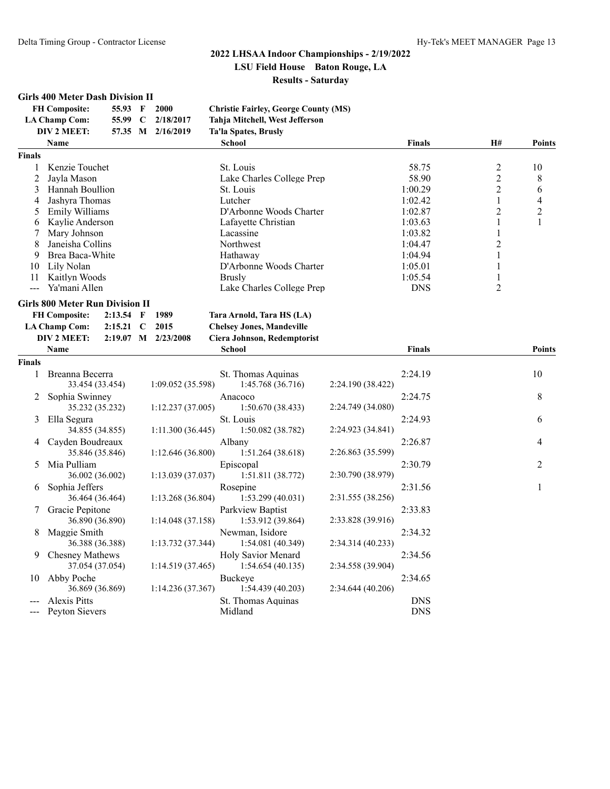#### **Girls 400 Meter Dash Division II**

| <b>FH</b> Composite: | 55.93 F | 2000              | <b>Christie Fairley, George County (MS)</b> |
|----------------------|---------|-------------------|---------------------------------------------|
| LA Champ Com:        |         | 55.99 C 2/18/2017 | Tahja Mitchell, West Jefferson              |
| DIV 2 MEET:          |         | 57.35 M 2/16/2019 | Ta'la Spates, Brusly                        |

|               | <b>Name</b>      | <b>School</b>             | <b>Finals</b> | <b>H#</b> | <b>Points</b> |
|---------------|------------------|---------------------------|---------------|-----------|---------------|
| <b>Finals</b> |                  |                           |               |           |               |
|               | Kenzie Touchet   | St. Louis                 | 58.75         | ∍         | 10            |
|               | Javla Mason      | Lake Charles College Prep | 58.90         |           | 8             |
|               | Hannah Boullion  | St. Louis                 | 1:00.29       |           | 6             |
| 4             | Jashyra Thomas   | Lutcher                   | 1:02.42       |           | 4             |
|               | Emily Williams   | D'Arbonne Woods Charter   | 1:02.87       |           | ◠             |
| 6             | Kaylie Anderson  | Lafavette Christian       | 1:03.63       |           |               |
|               | Mary Johnson     | Lacassine                 | 1:03.82       |           |               |
| 8             | Janeisha Collins | <b>Northwest</b>          | 1:04.47       |           |               |
| 9             | Brea Baca-White  | Hathaway                  | 1:04.94       |           |               |
| 10            | Lily Nolan       | D'Arbonne Woods Charter   | 1:05.01       |           |               |
|               | Kaitlyn Woods    | <b>Brusly</b>             | 1:05.54       |           |               |
|               | Ya'mani Allen    | Lake Charles College Prep | <b>DNS</b>    |           |               |

#### **Girls 800 Meter Run Division II**

| FH Composite: 2:13.54 F 1989           |  |                     | Tara Arnold, Tara HS (LA)        |               |               |
|----------------------------------------|--|---------------------|----------------------------------|---------------|---------------|
| LA Champ Com: $2:15.21 \text{ }C 2015$ |  |                     | <b>Chelsey Jones, Mandeville</b> |               |               |
| DIV 2 MEET:                            |  | 2:19.07 M 2/23/2008 | Ciera Johnson, Redemptorist      |               |               |
| Name                                   |  |                     | School                           | <b>Finals</b> | <b>Points</b> |

| <b>Finals</b> |                                           |                  |                                        |                   |                          |                |
|---------------|-------------------------------------------|------------------|----------------------------------------|-------------------|--------------------------|----------------|
|               | Breanna Becerra<br>33.454 (33.454)        | 1:09.052(35.598) | St. Thomas Aquinas<br>1:45.768(36.716) | 2:24.190 (38.422) | 2:24.19                  | 10             |
|               | Sophia Swinney<br>35.232 (35.232)         | 1:12.237(37.005) | Anacoco<br>1:50.670(38.433)            | 2:24.749 (34.080) | 2:24.75                  | 8              |
| 3             | Ella Segura                               |                  | St. Louis                              |                   | 2:24.93                  | 6              |
| 4             | 34.855 (34.855)<br>Cayden Boudreaux       | 1:11.300(36.445) | 1:50.082(38.782)<br>Albany             | 2:24.923 (34.841) | 2:26.87                  | $\overline{4}$ |
| 5.            | 35.846 (35.846)<br>Mia Pulliam            | 1:12.646(36.800) | 1:51.264(38.618)<br>Episcopal          | 2:26.863 (35.599) | 2:30.79                  | $\overline{2}$ |
| 6.            | 36.002 (36.002)<br>Sophia Jeffers         | 1:13.039(37.037) | 1:51.811(38.772)<br>Rosepine           | 2:30.790 (38.979) | 2:31.56                  |                |
|               | 36.464 (36.464)<br>Gracie Pepitone        | 1:13.268(36.804) | 1:53.299(40.031)<br>Parkview Baptist   | 2:31.555 (38.256) | 2:33.83                  |                |
|               | 36.890 (36.890)                           | 1:14.048(37.158) | 1:53.912 (39.864)                      | 2:33.828 (39.916) |                          |                |
| 8             | Maggie Smith<br>36.388 (36.388)           | 1:13.732(37.344) | Newman, Isidore<br>1:54.081(40.349)    | 2:34.314(40.233)  | 2:34.32                  |                |
| 9.            | <b>Chesney Mathews</b><br>37.054 (37.054) | 1:14.519(37.465) | Holy Savior Menard<br>1:54.654(40.135) | 2:34.558 (39.904) | 2:34.56                  |                |
| 10            | Abby Poche<br>36.869 (36.869)             | 1:14.236(37.367) | Buckeye<br>1:54.439(40.203)            | 2:34.644(40.206)  | 2:34.65                  |                |
| ---           | Alexis Pitts<br>Peyton Sievers            |                  | St. Thomas Aquinas<br>Midland          |                   | <b>DNS</b><br><b>DNS</b> |                |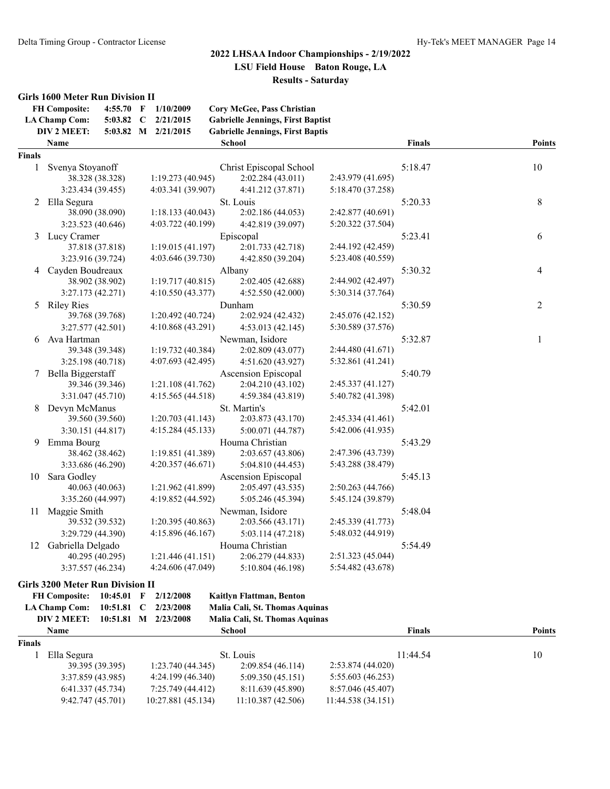#### **Girls 1600 Meter Run Division II**

|               | <b>FH Composite:</b><br>4:55.70 F<br><b>LA Champ Com:</b><br>$5:03.82$ C | 1/10/2009<br>2/21/2015 | Cory McGee, Pass Christian<br><b>Gabrielle Jennings, First Baptist</b> |                   |               |               |
|---------------|--------------------------------------------------------------------------|------------------------|------------------------------------------------------------------------|-------------------|---------------|---------------|
|               | DIV 2 MEET:                                                              | 5:03.82 M 2/21/2015    | <b>Gabrielle Jennings, First Baptis</b>                                |                   |               |               |
|               | Name                                                                     |                        | <b>School</b>                                                          |                   | <b>Finals</b> | <b>Points</b> |
| <b>Finals</b> |                                                                          |                        |                                                                        |                   |               |               |
| 1             | Svenya Stoyanoff                                                         |                        | Christ Episcopal School                                                |                   | 5:18.47       | 10            |
|               | 38.328 (38.328)                                                          | 1:19.273 (40.945)      | 2:02.284 (43.011)                                                      | 2:43.979 (41.695) |               |               |
|               | 3:23.434 (39.455)                                                        | 4:03.341 (39.907)      | 4:41.212 (37.871)                                                      | 5:18.470 (37.258) |               |               |
| 2             | Ella Segura                                                              |                        | St. Louis                                                              |                   | 5:20.33       | 8             |
|               | 38.090 (38.090)                                                          | 1:18.133(40.043)       | 2:02.186 (44.053)                                                      | 2:42.877 (40.691) |               |               |
|               | 3:23.523 (40.646)                                                        | 4:03.722 (40.199)      | 4:42.819 (39.097)                                                      | 5:20.322 (37.504) |               |               |
|               | 3 Lucy Cramer                                                            |                        | Episcopal                                                              |                   | 5:23.41       | 6             |
|               | 37.818 (37.818)                                                          | 1:19.015 (41.197)      | 2:01.733 (42.718)                                                      | 2:44.192 (42.459) |               |               |
|               | 3:23.916 (39.724)                                                        | 4:03.646 (39.730)      | 4:42.850 (39.204)                                                      | 5:23.408 (40.559) |               |               |
| 4             | Cayden Boudreaux                                                         |                        | Albany                                                                 |                   | 5:30.32       | 4             |
|               | 38.902 (38.902)                                                          | 1:19.717(40.815)       | 2:02.405 (42.688)                                                      | 2:44.902 (42.497) |               |               |
|               | 3:27.173 (42.271)                                                        | 4:10.550 (43.377)      | 4:52.550 (42.000)                                                      | 5:30.314 (37.764) |               |               |
|               | 5 Riley Ries                                                             |                        | Dunham                                                                 |                   | 5:30.59       | 2             |
|               | 39.768 (39.768)                                                          | 1:20.492 (40.724)      | 2:02.924 (42.432)                                                      | 2:45.076 (42.152) |               |               |
|               | 3:27.577 (42.501)                                                        | 4:10.868 (43.291)      | 4:53.013 (42.145)                                                      | 5:30.589 (37.576) |               |               |
| 6             | Ava Hartman                                                              |                        | Newman, Isidore                                                        |                   | 5:32.87       | 1             |
|               | 39.348 (39.348)                                                          | 1:19.732 (40.384)      | 2:02.809 (43.077)                                                      | 2:44.480 (41.671) |               |               |
|               | 3:25.198 (40.718)                                                        | 4:07.693 (42.495)      | 4:51.620 (43.927)                                                      | 5:32.861 (41.241) |               |               |
| 7             | Bella Biggerstaff                                                        |                        | Ascension Episcopal                                                    |                   | 5:40.79       |               |
|               | 39.346 (39.346)                                                          | 1:21.108(41.762)       | 2:04.210 (43.102)                                                      | 2:45.337 (41.127) |               |               |
|               | 3:31.047 (45.710)                                                        | 4:15.565 (44.518)      | 4:59.384 (43.819)                                                      | 5:40.782 (41.398) |               |               |
| 8             | Devyn McManus                                                            |                        | St. Martin's                                                           |                   | 5:42.01       |               |
|               | 39.560 (39.560)                                                          | 1:20.703(41.143)       | 2:03.873 (43.170)                                                      | 2:45.334 (41.461) |               |               |
|               | 3:30.151 (44.817)                                                        | 4:15.284 (45.133)      | 5:00.071 (44.787)                                                      | 5:42.006 (41.935) |               |               |
| 9             | Emma Bourg                                                               |                        | Houma Christian                                                        |                   | 5:43.29       |               |
|               | 38.462 (38.462)                                                          | 1:19.851 (41.389)      | 2:03.657 (43.806)                                                      | 2:47.396 (43.739) |               |               |
|               | 3:33.686 (46.290)                                                        | 4:20.357 (46.671)      | 5:04.810 (44.453)                                                      | 5:43.288 (38.479) |               |               |
| 10            | Sara Godley                                                              |                        | <b>Ascension Episcopal</b>                                             |                   | 5:45.13       |               |
|               | 40.063 (40.063)                                                          | 1:21.962 (41.899)      | 2:05.497 (43.535)                                                      | 2:50.263 (44.766) |               |               |
|               | 3:35.260 (44.997)                                                        | 4:19.852 (44.592)      | 5:05.246 (45.394)                                                      | 5:45.124 (39.879) |               |               |
| 11            | Maggie Smith                                                             |                        | Newman, Isidore                                                        |                   | 5:48.04       |               |
|               | 39.532 (39.532)                                                          | 1:20.395 (40.863)      | 2:03.566 (43.171)                                                      | 2:45.339 (41.773) |               |               |
|               | 3:29.729 (44.390)                                                        | 4:15.896 (46.167)      | 5:03.114 (47.218)                                                      | 5:48.032 (44.919) |               |               |
| 12            | Gabriella Delgado                                                        |                        | Houma Christian                                                        |                   | 5:54.49       |               |
|               | 40.295 (40.295)                                                          | 1:21.446(41.151)       | 2:06.279 (44.833)                                                      | 2:51.323 (45.044) |               |               |
|               | 3:37.557 (46.234)                                                        | 4:24.606 (47.049)      | 5:10.804 (46.198)                                                      | 5:54.482 (43.678) |               |               |

#### **Girls 3200 Meter Run Division II FH Composite: 10:45.01 F 2/12/2008 Kaitlyn Flattman, Benton**

| r 11 Composite. |                      |              |   | $10.73.01$ $1$ $212.000$ | каптуп гланицан, всиноп        |                   |          |    |               |
|-----------------|----------------------|--------------|---|--------------------------|--------------------------------|-------------------|----------|----|---------------|
|                 | <b>LA Champ Com:</b> | $10:51.81$ C |   | 2/23/2008                | Malia Cali, St. Thomas Aquinas |                   |          |    |               |
|                 | DIV 2 MEET:          | 10:51.81     | M | 2/23/2008                | Malia Cali, St. Thomas Aquinas |                   |          |    |               |
|                 | <b>Name</b>          |              |   |                          | School                         |                   | Finals   |    | <b>Points</b> |
| <b>Finals</b>   |                      |              |   |                          |                                |                   |          |    |               |
|                 | Ella Segura          |              |   |                          | St. Louis                      |                   | 11:44.54 | 10 |               |
|                 | 39.395 (39.395)      |              |   | 1:23.740(44.345)         | 2:09.854(46.114)               | 2:53.874(44.020)  |          |    |               |
|                 | 3:37.859(43.985)     |              |   | 4:24.199(46.340)         | 5:09.350(45.151)               | 5:55.603 (46.253) |          |    |               |
|                 | 6:41.337(45.734)     |              |   | 7:25.749 (44.412)        | 8:11.639 (45.890)              | 8:57.046 (45.407) |          |    |               |
|                 | 9:42.747(45.701)     |              |   | 10:27.881 (45.134)       | 11:10.387(42.506)              | 11:44.538(34.151) |          |    |               |
|                 |                      |              |   |                          |                                |                   |          |    |               |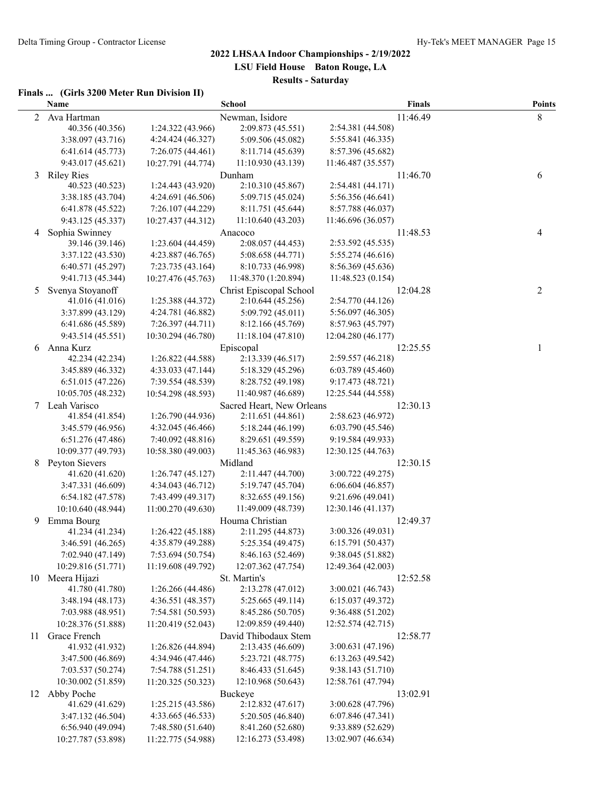## **2022 LHSAA Indoor Championships - 2/19/2022 LSU Field House Baton Rouge, LA**

**Results - Saturday**

#### **Finals ... (Girls 3200 Meter Run Division II)**

|    | Name                                  |                    | <b>School</b>                      |                    | <b>Finals</b> | <b>Points</b> |
|----|---------------------------------------|--------------------|------------------------------------|--------------------|---------------|---------------|
| 2  | Ava Hartman                           |                    | Newman, Isidore                    |                    | 11:46.49      | 8             |
|    | 40.356 (40.356)                       | 1:24.322 (43.966)  | 2:09.873 (45.551)                  | 2:54.381 (44.508)  |               |               |
|    | 3:38.097 (43.716)                     | 4:24.424 (46.327)  | 5:09.506 (45.082)                  | 5:55.841 (46.335)  |               |               |
|    | 6:41.614(45.773)                      | 7:26.075 (44.461)  | 8:11.714 (45.639)                  | 8:57.396 (45.682)  |               |               |
|    | 9:43.017 (45.621)                     | 10:27.791 (44.774) | 11:10.930 (43.139)                 | 11:46.487 (35.557) |               |               |
| 3  | <b>Riley Ries</b>                     |                    | Dunham                             |                    | 11:46.70      | 6             |
|    | 40.523 (40.523)                       | 1:24.443 (43.920)  | 2:10.310 (45.867)                  | 2:54.481 (44.171)  |               |               |
|    | 3:38.185 (43.704)                     | 4:24.691 (46.506)  | 5:09.715 (45.024)                  | 5:56.356 (46.641)  |               |               |
|    | 6:41.878 (45.522)                     | 7:26.107 (44.229)  | 8:11.751 (45.644)                  | 8:57.788 (46.037)  |               |               |
|    | 9:43.125 (45.337)                     | 10:27.437 (44.312) | 11:10.640 (43.203)                 | 11:46.696 (36.057) |               |               |
| 4  | Sophia Swinney                        |                    | Anacoco                            |                    | 11:48.53      | 4             |
|    | 39.146 (39.146)                       | 1:23.604 (44.459)  | 2:08.057 (44.453)                  | 2:53.592 (45.535)  |               |               |
|    | 3:37.122 (43.530)                     | 4:23.887 (46.765)  | 5:08.658 (44.771)                  | 5:55.274 (46.616)  |               |               |
|    | 6:40.571 (45.297)                     | 7:23.735 (43.164)  | 8:10.733 (46.998)                  | 8:56.369 (45.636)  |               |               |
|    | 9:41.713 (45.344)                     | 10:27.476 (45.763) | 11:48.370 (1:20.894)               | 11:48.523 (0.154)  |               |               |
| 5  | Svenya Stoyanoff                      |                    | Christ Episcopal School            |                    | 12:04.28      | 2             |
|    | 41.016 (41.016)                       | 1:25.388 (44.372)  | 2:10.644(45.256)                   | 2:54.770 (44.126)  |               |               |
|    | 3:37.899 (43.129)                     | 4:24.781 (46.882)  | 5:09.792 (45.011)                  | 5:56.097 (46.305)  |               |               |
|    | 6:41.686 (45.589)                     | 7:26.397 (44.711)  | 8:12.166 (45.769)                  | 8:57.963 (45.797)  |               |               |
|    | 9:43.514 (45.551)                     | 10:30.294 (46.780) | 11:18.104 (47.810)                 | 12:04.280 (46.177) |               |               |
| 6  | Anna Kurz                             |                    | Episcopal                          |                    | 12:25.55      | 1             |
|    | 42.234 (42.234)                       | 1:26.822 (44.588)  | 2:13.339 (46.517)                  | 2:59.557 (46.218)  |               |               |
|    | 3:45.889 (46.332)                     | 4:33.033 (47.144)  | 5:18.329 (45.296)                  | 6:03.789(45.460)   |               |               |
|    | 6:51.015 (47.226)                     | 7:39.554 (48.539)  | 8:28.752 (49.198)                  | 9:17.473 (48.721)  |               |               |
|    | 10:05.705 (48.232)                    | 10:54.298 (48.593) | 11:40.987 (46.689)                 | 12:25.544 (44.558) |               |               |
|    | 7 Leah Varisco                        |                    | Sacred Heart, New Orleans          |                    | 12:30.13      |               |
|    | 41.854 (41.854)                       | 1:26.790 (44.936)  | 2:11.651 (44.861)                  | 2:58.623 (46.972)  |               |               |
|    | 3:45.579 (46.956)                     | 4:32.045 (46.466)  | 5:18.244 (46.199)                  | 6:03.790(45.546)   |               |               |
|    | 6:51.276 (47.486)                     | 7:40.092 (48.816)  | 8:29.651 (49.559)                  | 9:19.584 (49.933)  |               |               |
|    | 10:09.377 (49.793)                    | 10:58.380 (49.003) | 11:45.363 (46.983)                 | 12:30.125 (44.763) |               |               |
| 8  | Peyton Sievers                        |                    | Midland                            |                    | 12:30.15      |               |
|    | 41.620 (41.620)                       | 1:26.747(45.127)   | 2:11.447 (44.700)                  | 3:00.722 (49.275)  |               |               |
|    | 3:47.331 (46.609)                     | 4:34.043 (46.712)  | 5:19.747 (45.704)                  | 6:06.604(46.857)   |               |               |
|    | 6:54.182 (47.578)                     | 7:43.499 (49.317)  | 8:32.655 (49.156)                  | 9:21.696 (49.041)  |               |               |
|    | 10:10.640 (48.944)                    | 11:00.270 (49.630) | 11:49.009 (48.739)                 | 12:30.146 (41.137) |               |               |
| 9  | Emma Bourg                            |                    | Houma Christian                    |                    | 12:49.37      |               |
|    | 41.234 (41.234)                       | 1:26.422 (45.188)  | 2:11.295 (44.873)                  | 3:00.326 (49.031)  |               |               |
|    | 3:46.591 (46.265)                     | 4:35.879 (49.288)  | 5:25.354 (49.475)                  | 6:15.791(50.437)   |               |               |
|    | 7:02.940 (47.149)                     | 7:53.694 (50.754)  | 8:46.163 (52.469)                  | 9:38.045 (51.882)  |               |               |
|    | 10:29.816 (51.771)<br>10 Meera Hijazi | 11:19.608 (49.792) | 12:07.362 (47.754)<br>St. Martin's | 12:49.364 (42.003) |               |               |
|    | 41.780 (41.780)                       | 1:26.266 (44.486)  | 2:13.278 (47.012)                  | 3:00.021 (46.743)  | 12:52.58      |               |
|    | 3:48.194 (48.173)                     | 4:36.551 (48.357)  | 5:25.665 (49.114)                  | 6:15.037(49.372)   |               |               |
|    | 7:03.988 (48.951)                     | 7:54.581 (50.593)  | 8:45.286 (50.705)                  | 9:36.488 (51.202)  |               |               |
|    | 10:28.376 (51.888)                    | 11:20.419 (52.043) | 12:09.859 (49.440)                 | 12:52.574 (42.715) |               |               |
| 11 | Grace French                          |                    | David Thibodaux Stem               |                    | 12:58.77      |               |
|    | 41.932 (41.932)                       | 1:26.826 (44.894)  | 2:13.435 (46.609)                  | 3:00.631 (47.196)  |               |               |
|    | 3:47.500 (46.869)                     | 4:34.946 (47.446)  | 5:23.721 (48.775)                  | 6:13.263 (49.542)  |               |               |
|    | 7:03.537 (50.274)                     | 7:54.788 (51.251)  | 8:46.433 (51.645)                  | 9:38.143 (51.710)  |               |               |
|    | 10:30.002 (51.859)                    | 11:20.325 (50.323) | 12:10.968 (50.643)                 | 12:58.761 (47.794) |               |               |
| 12 | Abby Poche                            |                    | Buckeye                            |                    | 13:02.91      |               |
|    | 41.629 (41.629)                       | 1:25.215(43.586)   | 2:12.832 (47.617)                  | 3:00.628 (47.796)  |               |               |
|    | 3:47.132 (46.504)                     | 4:33.665 (46.533)  | 5:20.505 (46.840)                  | 6:07.846 (47.341)  |               |               |
|    | 6:56.940 (49.094)                     | 7:48.580 (51.640)  | 8:41.260 (52.680)                  | 9:33.889 (52.629)  |               |               |
|    | 10:27.787 (53.898)                    | 11:22.775 (54.988) | 12:16.273 (53.498)                 | 13:02.907 (46.634) |               |               |
|    |                                       |                    |                                    |                    |               |               |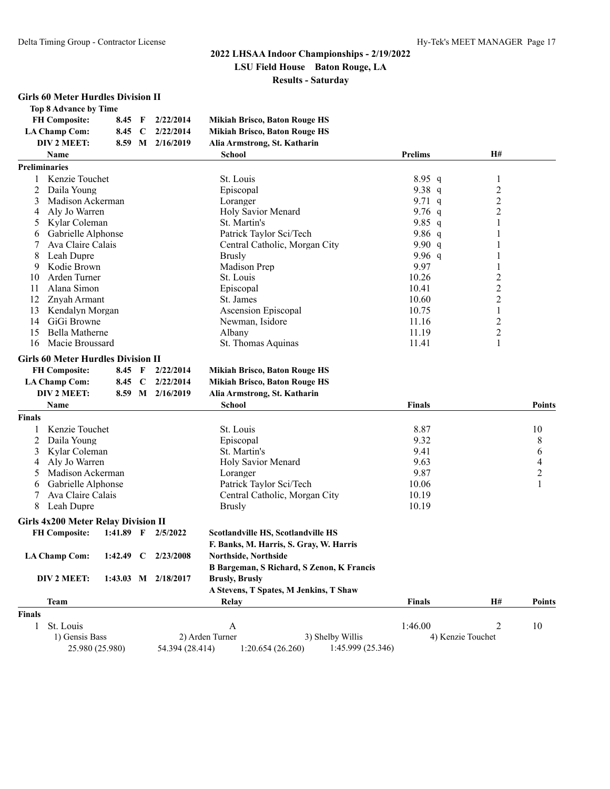#### **Girls 60 Meter Hurdles Division II**

| Top 8 Advance by Time |          |                    |                                      |
|-----------------------|----------|--------------------|--------------------------------------|
| <b>FH Composite:</b>  | $8.45$ F | 2/22/2014          | <b>Mikiah Brisco, Baton Rouge HS</b> |
| <b>LA Champ Com:</b>  |          | 8.45 C $2/22/2014$ | <b>Mikiah Brisco, Baton Rouge HS</b> |
| DIV 2 MEET:           |          | 8.59 M 2/16/2019   | Alia Armstrong, St. Katharin         |
| Name                  |          |                    | Schad                                |

|               | Name                                       |                     |                       | <b>School</b>                             | <b>Prelims</b> | H#                |                  |
|---------------|--------------------------------------------|---------------------|-----------------------|-------------------------------------------|----------------|-------------------|------------------|
|               | <b>Preliminaries</b>                       |                     |                       |                                           |                |                   |                  |
| 1             | Kenzie Touchet                             |                     |                       | St. Louis                                 | $8.95$ q       | 1                 |                  |
| 2             | Daila Young                                |                     |                       | Episcopal                                 | 9.38 $q$       | $\overline{c}$    |                  |
| 3             | Madison Ackerman                           |                     |                       | Loranger                                  | 9.71 $q$       | $\overline{c}$    |                  |
| 4             | Aly Jo Warren                              |                     |                       | Holy Savior Menard                        | 9.76 $q$       | 2                 |                  |
| 5             | Kylar Coleman                              |                     |                       | St. Martin's                              | $9.85$ q       | 1                 |                  |
| 6             | Gabrielle Alphonse                         |                     |                       | Patrick Taylor Sci/Tech                   | 9.86 $q$       |                   |                  |
| 7             | Ava Claire Calais                          |                     |                       | Central Catholic, Morgan City             | 9.90 $q$       | 1                 |                  |
| 8             | Leah Dupre                                 |                     |                       | <b>Brusly</b>                             | 9.96 $q$       | 1                 |                  |
| 9             | Kodie Brown                                |                     |                       | Madison Prep                              | 9.97           | 1                 |                  |
| 10            | Arden Turner                               |                     |                       | St. Louis                                 | 10.26          | $\overline{c}$    |                  |
| 11            | Alana Simon                                |                     |                       | Episcopal                                 | 10.41          | $\overline{c}$    |                  |
| 12            | Znyah Armant                               |                     |                       | St. James                                 | 10.60          | $\overline{c}$    |                  |
| 13            | Kendalyn Morgan                            |                     |                       | Ascension Episcopal                       | 10.75          | 1                 |                  |
| 14            | GiGi Browne                                |                     |                       | Newman, Isidore                           | 11.16          | $\overline{c}$    |                  |
| 15            | <b>Bella Matherne</b>                      |                     |                       | Albany                                    | 11.19          | $\overline{2}$    |                  |
| 16            | Macie Broussard                            |                     |                       | St. Thomas Aquinas                        | 11.41          | 1                 |                  |
|               | <b>Girls 60 Meter Hurdles Division II</b>  |                     |                       |                                           |                |                   |                  |
|               | <b>FH Composite:</b>                       | 8.45 F              | 2/22/2014             | <b>Mikiah Brisco, Baton Rouge HS</b>      |                |                   |                  |
|               | <b>LA Champ Com:</b>                       | 8.45 C              | 2/22/2014             | <b>Mikiah Brisco, Baton Rouge HS</b>      |                |                   |                  |
|               | DIV 2 MEET:                                |                     | 8.59 M 2/16/2019      | Alia Armstrong, St. Katharin              |                |                   |                  |
|               | <b>Name</b>                                |                     |                       | <b>School</b>                             | <b>Finals</b>  |                   | <b>Points</b>    |
| <b>Finals</b> |                                            |                     |                       |                                           |                |                   |                  |
| 1             | Kenzie Touchet                             |                     |                       | St. Louis                                 | 8.87           |                   | 10               |
| 2             | Daila Young                                |                     |                       | Episcopal                                 | 9.32           |                   | 8                |
| 3             | Kylar Coleman                              |                     |                       | St. Martin's                              | 9.41           |                   | 6                |
| 4             | Aly Jo Warren                              |                     |                       | Holy Savior Menard                        | 9.63           |                   | 4                |
| 5             | Madison Ackerman                           |                     |                       | Loranger                                  | 9.87           |                   | $\boldsymbol{2}$ |
| 6             | Gabrielle Alphonse                         |                     |                       | Patrick Taylor Sci/Tech                   | 10.06          |                   | 1                |
|               | Ava Claire Calais                          |                     |                       | Central Catholic, Morgan City             | 10.19          |                   |                  |
| 8             | Leah Dupre                                 |                     |                       | <b>Brusly</b>                             | 10.19          |                   |                  |
|               | <b>Girls 4x200 Meter Relay Division II</b> |                     |                       |                                           |                |                   |                  |
|               | <b>FH Composite:</b>                       | $1:41.89$ F         | 2/5/2022              | Scotlandville HS, Scotlandville HS        |                |                   |                  |
|               |                                            |                     |                       | F. Banks, M. Harris, S. Gray, W. Harris   |                |                   |                  |
|               | <b>LA Champ Com:</b>                       | 1:42.49 $\degree$ C | 2/23/2008             | <b>Northside, Northside</b>               |                |                   |                  |
|               |                                            |                     |                       | B Bargeman, S Richard, S Zenon, K Francis |                |                   |                  |
|               | DIV 2 MEET:                                |                     | 1:43.03 M $2/18/2017$ | <b>Brusly, Brusly</b>                     |                |                   |                  |
|               |                                            |                     |                       | A Stevens, T Spates, M Jenkins, T Shaw    |                |                   |                  |
|               | <b>Team</b>                                |                     |                       | Relay                                     | <b>Finals</b>  | H#                | <b>Points</b>    |
| <b>Finals</b> |                                            |                     |                       |                                           |                |                   |                  |
| $\mathbf{1}$  | St. Louis                                  |                     |                       | A                                         | 1:46.00        | $\overline{2}$    | 10               |
|               | 1) Gensis Bass                             |                     |                       | 2) Arden Turner<br>3) Shelby Willis       |                | 4) Kenzie Touchet |                  |
|               | 25.980 (25.980)                            |                     | 54.394 (28.414)       | 1:20.654(26.260)<br>1:45.999 (25.346)     |                |                   |                  |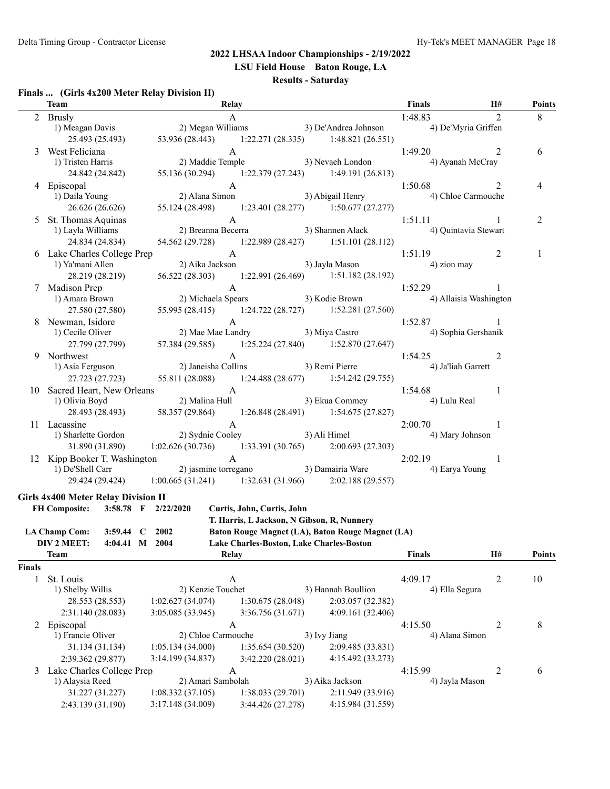**LSU Field House Baton Rouge, LA**

#### **Results - Saturday**

#### **Finals ... (Girls 4x200 Meter Relay Division II)**

|               | <b>Team</b>                                                |                                                                                                             | <b>Relay</b>                               |  |                                                     | Finals                                    | H#             | <b>Points</b> |
|---------------|------------------------------------------------------------|-------------------------------------------------------------------------------------------------------------|--------------------------------------------|--|-----------------------------------------------------|-------------------------------------------|----------------|---------------|
|               | 2 Brusly                                                   |                                                                                                             | A                                          |  |                                                     | 1:48.83                                   | $\overline{2}$ | 8             |
|               | 1) Meagan Davis                                            | 2) Megan Williams                                                                                           |                                            |  |                                                     | 3) De'Andrea Johnson (4) De'Myria Griffen |                |               |
|               | 25.493 (25.493)                                            |                                                                                                             |                                            |  | 53.936 (28.443) 1:22.271 (28.335) 1:48.821 (26.551) |                                           |                |               |
| 3             | West Feliciana                                             |                                                                                                             | $\mathbf{A}$                               |  |                                                     | 1:49.20                                   | 2              | 6             |
|               | 1) Tristen Harris                                          | 2) Maddie Temple                                                                                            |                                            |  | 3) Nevaeh London                                    | 4) Ayanah McCray                          |                |               |
|               | 24.842 (24.842)                                            |                                                                                                             |                                            |  | 55.136 (30.294) 1:22.379 (27.243) 1:49.191 (26.813) |                                           |                |               |
|               | 4 Episcopal                                                |                                                                                                             | $\mathbf{A}$                               |  |                                                     | 1:50.68                                   | 2              | 4             |
|               | 1) Daila Young                                             | $2)$ Alana $\mathbf{C}$<br>2) Alana Simon                                                                   |                                            |  | 3) Abigail Henry                                    | 4) Chloe Carmouche                        |                |               |
|               | 26.626 (26.626)                                            |                                                                                                             |                                            |  | 55.124 (28.498) 1:23.401 (28.277) 1:50.677 (27.277) |                                           |                |               |
|               | 5 St. Thomas Aquinas                                       |                                                                                                             | $\mathbf{A}$                               |  |                                                     | 1:51.11                                   | $\mathbf{1}$   | 2             |
|               | 1) Layla Williams                                          |                                                                                                             |                                            |  | A<br>2) Breanna Becerra (3) Shannen Alack           | 4) Quintavia Stewart                      |                |               |
|               | 24.834 (24.834)                                            |                                                                                                             |                                            |  | 54.562 (29.728) 1:22.989 (28.427) 1:51.101 (28.112) |                                           |                |               |
|               | 6 Lake Charles College Prep                                |                                                                                                             | $\mathbf{A}$                               |  |                                                     | 1:51.19                                   | 2              | 1             |
|               | 1) Ya'mani Allen                                           |                                                                                                             | 2) Aika Jackson 3) Jayla Mason             |  |                                                     | 4) zion may                               |                |               |
|               | 28.219 (28.219)                                            |                                                                                                             |                                            |  | 56.522 (28.303) 1:22.991 (26.469) 1:51.182 (28.192) |                                           |                |               |
|               | 7 Madison Prep                                             |                                                                                                             | $\mathbf{A}$                               |  |                                                     | 1:52.29                                   | $\mathbf{1}$   |               |
|               | 1) Amara Brown                                             |                                                                                                             | 2) Michaela Spears 3) Kodie Brown          |  |                                                     | 4) Allaisia Washington                    |                |               |
|               | 27.580 (27.580)                                            |                                                                                                             |                                            |  | 55.995 (28.415) 1:24.722 (28.727) 1:52.281 (27.560) |                                           |                |               |
|               | 8 Newman, Isidore                                          |                                                                                                             | $\mathbf{A}$                               |  |                                                     | 1:52.87                                   |                |               |
|               | 1) Cecile Oliver                                           |                                                                                                             |                                            |  | 2) Mae Mae Landry 3) Miya Castro                    | 4) Sophia Gershanik                       |                |               |
|               | 27.799 (27.799)                                            |                                                                                                             |                                            |  | 57.384 (29.585) 1:25.224 (27.840) 1:52.870 (27.647) |                                           |                |               |
|               | 9 Northwest                                                |                                                                                                             | $\mathsf{A}$                               |  |                                                     |                                           | 2              |               |
|               | 1) Asia Ferguson                                           | 2) Janeisha Collins                                                                                         |                                            |  | 3) Remi Pierre                                      | 1:54.25<br>4) Ja'liah Garrett             |                |               |
|               |                                                            |                                                                                                             |                                            |  |                                                     |                                           |                |               |
|               | 27.723 (27.723)                                            |                                                                                                             |                                            |  | 55.811 (28.088) 1:24.488 (28.677) 1:54.242 (29.755) |                                           |                |               |
|               | 10 Sacred Heart, New Orleans<br>1) Olivia Boyd 2) Malina I | 2) Malina Hull                                                                                              | $\mathbf{A}$                               |  | 3) Ekua Commey                                      | 1:54.68<br>4) Lulu Real                   | $\overline{1}$ |               |
|               | 28.493 (28.493)                                            |                                                                                                             |                                            |  | 58.357 (29.864) 1:26.848 (28.491) 1:54.675 (27.827) |                                           |                |               |
|               |                                                            |                                                                                                             | $\mathbf{A}$                               |  |                                                     |                                           |                |               |
|               | 11 Lacassine<br>1) Sharlette Gordon                        | 2) Sydnie Cooley 3) Ali Himel                                                                               |                                            |  |                                                     | 2:00.70<br>4) Mary Johnson                | $\mathbf{1}$   |               |
|               | 31.890 (31.890)                                            | 1:02.626 (30.736) 1:33.391 (30.765) 2:00.693 (27.303)                                                       |                                            |  |                                                     |                                           |                |               |
|               | 12 Kipp Booker T. Washington                               |                                                                                                             |                                            |  |                                                     |                                           |                |               |
|               |                                                            | Xipp Booker T. Washington<br>1) De'Shell Carr<br>2) jasmine torregano<br>3) Damairia Ware<br>4) Earya Young |                                            |  |                                                     |                                           | -1             |               |
|               |                                                            | 29.424 (29.424) 1:00.665 (31.241) 1:32.631 (31.966)                                                         |                                            |  | 2:02.188(29.557)                                    |                                           |                |               |
|               |                                                            |                                                                                                             |                                            |  |                                                     |                                           |                |               |
|               | <b>Girls 4x400 Meter Relay Division II</b>                 |                                                                                                             |                                            |  |                                                     |                                           |                |               |
|               | FH Composite: 3:58.78 F 2/22/2020                          |                                                                                                             | Curtis, John, Curtis, John                 |  |                                                     |                                           |                |               |
|               |                                                            |                                                                                                             | T. Harris, L Jackson, N Gibson, R, Nunnery |  |                                                     |                                           |                |               |
|               | <b>LA Champ Com:</b>                                       | 3:59.44 C 2002                                                                                              |                                            |  | Baton Rouge Magnet (LA), Baton Rouge Magnet (LA)    |                                           |                |               |
|               | DIV 2 MEET:                                                | 4:04.41 M 2004                                                                                              |                                            |  | Lake Charles-Boston, Lake Charles-Boston            |                                           |                |               |
|               | <b>Team</b>                                                |                                                                                                             | Relay                                      |  |                                                     | <b>Finals</b>                             | H#             | <b>Points</b> |
| <b>Finals</b> |                                                            |                                                                                                             |                                            |  |                                                     |                                           |                |               |
| $\mathbf{1}$  | St. Louis                                                  |                                                                                                             | A                                          |  |                                                     | 4:09.17                                   | 2              | 10            |
|               | 1) Shelby Willis                                           | 2) Kenzie Touchet                                                                                           |                                            |  | 3) Hannah Boullion                                  | 4) Ella Segura                            |                |               |
|               | 28.553 (28.553)                                            | 1:02.627(34.074)                                                                                            | 1:30.675 (28.048)                          |  | 2:03.057 (32.382)                                   |                                           |                |               |
|               | 2:31.140 (28.083)                                          | 3:05.085 (33.945)                                                                                           | 3:36.756 (31.671)                          |  | 4:09.161 (32.406)                                   |                                           |                |               |
|               | 2 Episcopal                                                |                                                                                                             | $\mathbf{A}$                               |  |                                                     | 4:15.50                                   | $\overline{2}$ | 8             |
|               | 1) Francie Oliver<br>2) Chloe Carmouche<br>3) Ivy Jiang    |                                                                                                             |                                            |  | 4) Alana Simon                                      |                                           |                |               |
|               | 31.134 (31.134)                                            | 1:05.134(34.000)                                                                                            | 1:35.654 (30.520)<br>2:09.485 (33.831)     |  |                                                     |                                           |                |               |
|               | 2:39.362 (29.877)                                          | 3:14.199 (34.837)                                                                                           | 3:42.220 (28.021)                          |  | 4:15.492 (33.273)                                   |                                           |                |               |
| 3             | Lake Charles College Prep                                  |                                                                                                             | $\mathbf{A}$                               |  |                                                     | 4:15.99                                   | 2              | 6             |
|               | 1) Alaysia Reed                                            | 2) Amari Sambolah                                                                                           |                                            |  | 3) Aika Jackson                                     | 4) Jayla Mason                            |                |               |
|               | 31.227 (31.227)                                            | 1:08.332(37.105)                                                                                            | 1:38.033 (29.701)                          |  | 2:11.949 (33.916)                                   |                                           |                |               |
|               | 2:43.139 (31.190)                                          | 3:17.148 (34.009)                                                                                           | 3:44.426 (27.278)                          |  | 4:15.984 (31.559)                                   |                                           |                |               |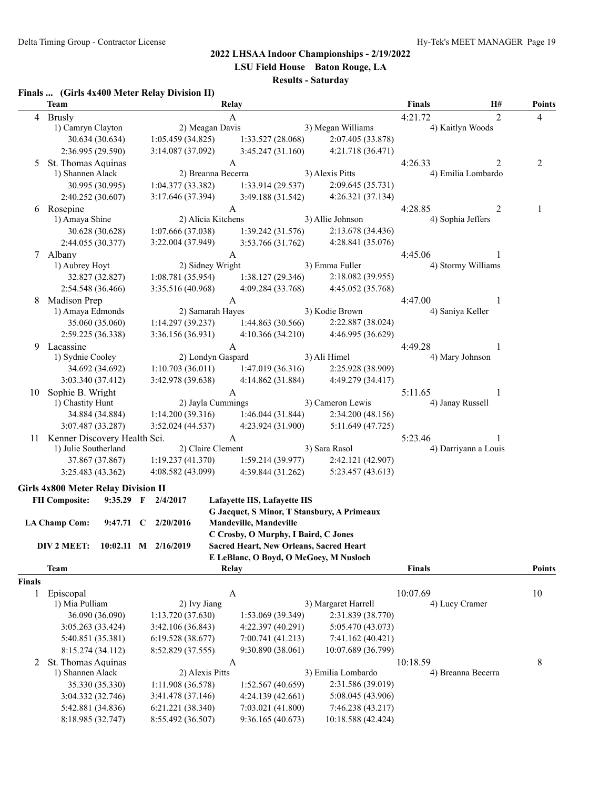**LSU Field House Baton Rouge, LA**

## **Results - Saturday**

#### **Finals ... (Girls 4x400 Meter Relay Division II)**

|        | <b>Team</b>                                |                     | Relay                                |                                                                                        |                                                                                 | Finals           | Н#                   | <b>Points</b> |
|--------|--------------------------------------------|---------------------|--------------------------------------|----------------------------------------------------------------------------------------|---------------------------------------------------------------------------------|------------------|----------------------|---------------|
|        | 4 Brusly                                   |                     | A                                    |                                                                                        |                                                                                 | 4:21.72          | 2                    | 4             |
|        | 1) Camryn Clayton                          |                     | 2) Meagan Davis                      |                                                                                        | 3) Megan Williams                                                               |                  | 4) Kaitlyn Woods     |               |
|        | 30.634 (30.634)                            | 1:05.459(34.825)    |                                      | 1:33.527 (28.068)                                                                      | 2:07.405 (33.878)                                                               |                  |                      |               |
|        | 2:36.995 (29.590)                          | 3:14.087 (37.092)   |                                      | 3:45.247(31.160)                                                                       | 4:21.718 (36.471)                                                               |                  |                      |               |
|        | 5 St. Thomas Aquinas                       |                     | $\mathbf{A}$                         |                                                                                        |                                                                                 | 4:26.33          | 2                    | 2             |
|        | 1) Shannen Alack                           |                     | 2) Breanna Becerra                   |                                                                                        | 3) Alexis Pitts                                                                 |                  | 4) Emilia Lombardo   |               |
|        | 30.995 (30.995)                            | 1:04.377(33.382)    |                                      | 1:33.914(29.537)                                                                       | 2:09.645 (35.731)                                                               |                  |                      |               |
|        | 2:40.252 (30.607)                          | 3:17.646 (37.394)   |                                      | 3:49.188 (31.542)                                                                      | 4:26.321 (37.134)                                                               |                  |                      |               |
| 6      | Rosepine                                   |                     | $\mathbf{A}$                         |                                                                                        |                                                                                 | 4:28.85          | 2                    | 1             |
|        | 1) Amaya Shine                             |                     | 2) Alicia Kitchens                   |                                                                                        | 3) Allie Johnson                                                                |                  | 4) Sophia Jeffers    |               |
|        | 30.628 (30.628)                            | 1:07.666 (37.038)   |                                      | 1:39.242(31.576)                                                                       | 2:13.678 (34.436)                                                               |                  |                      |               |
|        | 2:44.055 (30.377)                          | 3:22.004 (37.949)   |                                      | 3:53.766 (31.762)                                                                      | 4:28.841 (35.076)                                                               |                  |                      |               |
| 7      | Albany                                     |                     | A                                    |                                                                                        |                                                                                 | 4:45.06          | 1                    |               |
|        | 1) Aubrey Hoyt                             |                     | 2) Sidney Wright                     |                                                                                        | 3) Emma Fuller                                                                  |                  | 4) Stormy Williams   |               |
|        | 32.827 (32.827)                            | 1:08.781(35.954)    |                                      | 1:38.127(29.346)                                                                       | 2:18.082 (39.955)                                                               |                  |                      |               |
|        | 2:54.548 (36.466)                          | 3:35.516 (40.968)   |                                      | 4:09.284 (33.768)                                                                      | 4:45.052 (35.768)                                                               |                  |                      |               |
| 8      | Madison Prep                               |                     | A                                    |                                                                                        | 4:47.00                                                                         | 1                |                      |               |
|        | 1) Amaya Edmonds                           |                     | 2) Samarah Hayes                     |                                                                                        | 3) Kodie Brown                                                                  | 4) Saniya Keller |                      |               |
|        | 35.060 (35.060)                            |                     | 1:14.297(39.237)<br>1:44.863(30.566) |                                                                                        | 2:22.887 (38.024)                                                               |                  |                      |               |
|        | 2:59.225 (36.338)                          | 3:36.156 (36.931)   |                                      | 4:10.366(34.210)                                                                       | 4:46.995 (36.629)                                                               |                  |                      |               |
| 9      | Lacassine                                  |                     | $\mathbf{A}$                         |                                                                                        |                                                                                 | 4:49.28          | 1                    |               |
|        | 1) Sydnie Cooley                           |                     | 2) Londyn Gaspard                    |                                                                                        | 3) Ali Himel                                                                    |                  | 4) Mary Johnson      |               |
|        | 34.692 (34.692)                            | 1:10.703(36.011)    |                                      | 1:47.019 (36.316)                                                                      | 2:25.928 (38.909)                                                               |                  |                      |               |
|        | 3:03.340 (37.412)                          | 3:42.978 (39.638)   |                                      | 4:14.862(31.884)                                                                       | 4:49.279 (34.417)                                                               |                  |                      |               |
| 10     | Sophie B. Wright                           |                     | A                                    |                                                                                        |                                                                                 | 5:11.65          | 1                    |               |
|        | 1) Chastity Hunt                           |                     | 2) Jayla Cummings                    |                                                                                        | 3) Cameron Lewis                                                                | 4) Janay Russell |                      |               |
|        | 34.884 (34.884)                            | 1:14.200(39.316)    |                                      | 1:46.044(31.844)                                                                       | 2:34.200(48.156)                                                                |                  |                      |               |
|        | 3:07.487 (33.287)                          | 3:52.024 (44.537)   |                                      | 4:23.924 (31.900)                                                                      | 5:11.649 (47.725)                                                               |                  |                      |               |
|        | 11 Kenner Discovery Health Sci.            |                     | A                                    |                                                                                        |                                                                                 | 5:23.46          |                      |               |
|        | 1) Julie Southerland                       |                     | 2) Claire Clement                    |                                                                                        | 3) Sara Rasol                                                                   |                  | 4) Darriyann a Louis |               |
|        | 37.867 (37.867)                            | 1:19.237(41.370)    |                                      | 1:59.214(39.977)                                                                       | 2:42.121 (42.907)                                                               |                  |                      |               |
|        | 3:25.483 (43.362)                          | 4:08.582 (43.099)   |                                      | 4:39.844 (31.262)                                                                      | 5:23.457 (43.613)                                                               |                  |                      |               |
|        |                                            |                     |                                      |                                                                                        |                                                                                 |                  |                      |               |
|        | <b>Girls 4x800 Meter Relay Division II</b> |                     |                                      |                                                                                        |                                                                                 |                  |                      |               |
|        | <b>FH Composite:</b>                       | 9:35.29 F 2/4/2017  |                                      | Lafayette HS, Lafayette HS                                                             | G Jacquet, S Minor, T Stansbury, A Primeaux                                     |                  |                      |               |
|        |                                            |                     |                                      |                                                                                        |                                                                                 |                  |                      |               |
|        | <b>LA Champ Com:</b>                       | 9:47.71 C 2/20/2016 |                                      | <b>Mandeville, Mandeville</b>                                                          |                                                                                 |                  |                      |               |
|        | DIV 2 MEET: 10:02.11 M 2/16/2019           |                     |                                      | C Crosby, O Murphy, I Baird, C Jones<br><b>Sacred Heart, New Orleans, Sacred Heart</b> |                                                                                 |                  |                      |               |
|        |                                            |                     |                                      | E LeBlanc, O Boyd, O McGoey, M Nusloch                                                 |                                                                                 |                  |                      |               |
|        | <b>Team</b>                                |                     | Relay                                |                                                                                        |                                                                                 | <b>Finals</b>    |                      | <b>Points</b> |
| Finals |                                            |                     |                                      |                                                                                        |                                                                                 |                  |                      |               |
| 1      | Episcopal                                  |                     | $\mathbf{A}$                         |                                                                                        |                                                                                 | 10:07.69         |                      | 10            |
|        | 1) Mia Pulliam                             | 2) Ivy Jiang        |                                      |                                                                                        | 3) Margaret Harrell                                                             | 4) Lucy Cramer   |                      |               |
|        | 36.090 (36.090)                            | 1:13.720 (37.630)   |                                      | 1:53.069 (39.349)                                                                      | 2:31.839 (38.770)                                                               |                  |                      |               |
|        | 3:05.263 (33.424)                          | 3:42.106 (36.843)   |                                      | 5:05.470 (43.073)<br>4:22.397 (40.291)                                                 |                                                                                 |                  |                      |               |
|        | 5:40.851 (35.381)                          | 6:19.528 (38.677)   |                                      |                                                                                        |                                                                                 |                  |                      |               |
|        | 8:15.274 (34.112)                          | 8:52.829 (37.555)   |                                      | 7:00.741 (41.213)<br>7:41.162 (40.421)<br>9:30.890 (38.061)<br>10:07.689 (36.799)      |                                                                                 |                  |                      |               |
|        | 2 St. Thomas Aquinas                       |                     |                                      |                                                                                        |                                                                                 |                  |                      |               |
|        | 1) Shannen Alack                           | 2) Alexis Pitts     | A                                    |                                                                                        | 3) Emilia Lombardo                                                              | 10:18.59         | 4) Breanna Becerra   | 8             |
|        | 35.330 (35.330)                            |                     |                                      |                                                                                        |                                                                                 |                  |                      |               |
|        | 3:04.332 (32.746)                          | 3:41.478 (37.146)   | 1:11.908 (36.578)                    |                                                                                        | 1:52.567 (40.659)<br>2:31.586 (39.019)                                          |                  |                      |               |
|        | 5:42.881 (34.836)                          |                     | 6:21.221 (38.340)                    |                                                                                        | 4:24.139(42.661)<br>5:08.045 (43.906)<br>7:03.021 (41.800)<br>7:46.238 (43.217) |                  |                      |               |
|        | 8:18.985 (32.747)                          | 8:55.492 (36.507)   |                                      | 9:36.165 (40.673)                                                                      | 10:18.588 (42.424)                                                              |                  |                      |               |
|        |                                            |                     |                                      |                                                                                        |                                                                                 |                  |                      |               |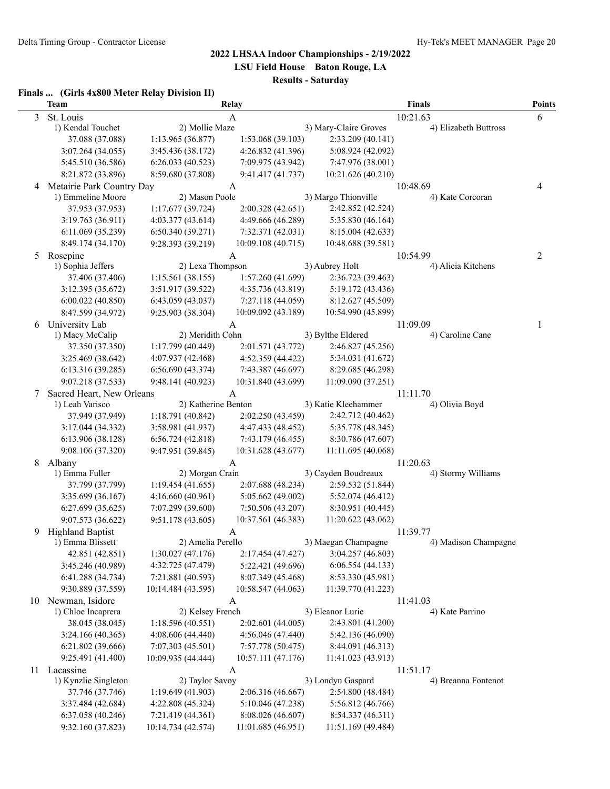**LSU Field House Baton Rouge, LA**

## **Results - Saturday**

#### **Finals ... (Girls 4x800 Meter Relay Division II)**

|   | <b>Team</b>                           |                                       | Relay                                  |                                        | Points                          |   |
|---|---------------------------------------|---------------------------------------|----------------------------------------|----------------------------------------|---------------------------------|---|
| 3 | St. Louis                             |                                       | A                                      |                                        | 10:21.63                        | 6 |
|   | 1) Kendal Touchet                     | 2) Mollie Maze                        |                                        | 3) Mary-Claire Groves                  | 4) Elizabeth Buttross           |   |
|   | 37.088 (37.088)                       | 1:13.965 (36.877)                     | 1:53.068 (39.103)                      | 2:33.209 (40.141)                      |                                 |   |
|   | 3:07.264 (34.055)                     | 3:45.436 (38.172)                     | 4:26.832 (41.396)                      | 5:08.924 (42.092)                      |                                 |   |
|   | 5:45.510 (36.586)                     | 6:26.033(40.523)                      | 7:09.975 (43.942)                      | 7:47.976 (38.001)                      |                                 |   |
|   | 8:21.872 (33.896)                     | 8:59.680 (37.808)                     | 9:41.417 (41.737)                      | 10:21.626 (40.210)                     |                                 |   |
| 4 | Metairie Park Country Day             |                                       | A                                      |                                        | 10:48.69                        | 4 |
|   | 1) Emmeline Moore                     | 2) Mason Poole                        |                                        | 3) Margo Thionville                    | 4) Kate Corcoran                |   |
|   | 37.953 (37.953)                       | 1:17.677 (39.724)                     | 2:00.328 (42.651)                      | 2:42.852 (42.524)                      |                                 |   |
|   | 3:19.763(36.911)                      | 4:03.377(43.614)                      | 4:49.666 (46.289)                      | 5:35.830 (46.164)                      |                                 |   |
|   | 6:11.069 (35.239)                     | 6:50.340(39.271)                      | 7:32.371 (42.031)                      | 8:15.004 (42.633)                      |                                 |   |
|   | 8:49.174 (34.170)                     | 9:28.393 (39.219)                     | 10:09.108 (40.715)                     | 10:48.688 (39.581)                     |                                 |   |
| 5 | Rosepine<br>1) Sophia Jeffers         | 2) Lexa Thompson                      | A                                      | 3) Aubrey Holt                         | 10:54.99<br>4) Alicia Kitchens  | 2 |
|   | 37.406 (37.406)                       | 1:15.561(38.155)                      | 1:57.260 (41.699)                      |                                        |                                 |   |
|   |                                       |                                       |                                        | 2:36.723 (39.463)                      |                                 |   |
|   | 3:12.395 (35.672)<br>6:00.022(40.850) | 3:51.917 (39.522)<br>6:43.059(43.037) | 4:35.736 (43.819)<br>7:27.118 (44.059) | 5:19.172 (43.436)<br>8:12.627 (45.509) |                                 |   |
|   | 8:47.599 (34.972)                     | 9:25.903 (38.304)                     | 10:09.092 (43.189)                     | 10:54.990 (45.899)                     |                                 |   |
| 6 | University Lab                        |                                       |                                        |                                        | 11:09.09                        | 1 |
|   | 1) Macy McCalip                       | 2) Meridith Cohn                      | A                                      | 3) Bylthe Eldered                      | 4) Caroline Cane                |   |
|   | 37.350 (37.350)                       | 1:17.799 (40.449)                     | 2:01.571 (43.772)                      | 2:46.827 (45.256)                      |                                 |   |
|   | 3:25.469 (38.642)                     | 4:07.937 (42.468)                     | 4:52.359 (44.422)                      | 5:34.031 (41.672)                      |                                 |   |
|   | 6:13.316 (39.285)                     | 6:56.690(43.374)                      | 7:43.387 (46.697)                      | 8:29.685 (46.298)                      |                                 |   |
|   | 9:07.218 (37.533)                     | 9:48.141 (40.923)                     | 10:31.840 (43.699)                     | 11:09.090 (37.251)                     |                                 |   |
| 7 | Sacred Heart, New Orleans             |                                       | A                                      |                                        | 11:11.70                        |   |
|   | 1) Leah Varisco                       | 2) Katherine Benton                   |                                        | 3) Katie Kleehammer                    | 4) Olivia Boyd                  |   |
|   | 37.949 (37.949)                       | 1:18.791 (40.842)                     | 2:02.250 (43.459)                      | 2:42.712 (40.462)                      |                                 |   |
|   | 3:17.044 (34.332)                     | 3:58.981 (41.937)                     | 4:47.433 (48.452)                      | 5:35.778 (48.345)                      |                                 |   |
|   | 6:13.906 (38.128)                     | 6:56.724(42.818)                      | 7:43.179 (46.455)                      | 8:30.786 (47.607)                      |                                 |   |
|   | 9:08.106 (37.320)                     | 9:47.951 (39.845)                     | 10:31.628 (43.677)                     | 11:11.695 (40.068)                     |                                 |   |
| 8 | Albany                                |                                       | A                                      |                                        | 11:20.63                        |   |
|   | 1) Emma Fuller                        | 2) Morgan Crain                       |                                        | 3) Cayden Boudreaux                    | 4) Stormy Williams              |   |
|   | 37.799 (37.799)                       | 1:19.454(41.655)                      | 2:07.688 (48.234)                      | 2:59.532 (51.844)                      |                                 |   |
|   | 3:35.699 (36.167)                     | 4:16.660(40.961)                      | 5:05.662 (49.002)                      | 5:52.074 (46.412)                      |                                 |   |
|   | 6:27.699(35.625)                      | 7:07.299 (39.600)                     | 7:50.506 (43.207)                      | 8:30.951 (40.445)                      |                                 |   |
|   | 9:07.573 (36.622)                     | 9:51.178 (43.605)                     | 10:37.561 (46.383)                     | 11:20.622 (43.062)                     |                                 |   |
| 9 | <b>Highland Baptist</b>               |                                       | A                                      |                                        | 11:39.77                        |   |
|   | 1) Emma Blissett                      | 2) Amelia Perello                     |                                        | 3) Maegan Champagne                    | 4) Madison Champagne            |   |
|   | 42.851 (42.851)                       | 1:30.027(47.176)                      | 2:17.454 (47.427)                      | 3:04.257 (46.803)                      |                                 |   |
|   | 3:45.246 (40.989)                     | 4:32.725 (47.479)                     | 5:22.421 (49.696)                      | 6:06.554(44.133)                       |                                 |   |
|   | 6:41.288 (34.734)                     | 7:21.881 (40.593)                     | 8:07.349 (45.468)                      | 8:53.330 (45.981)                      |                                 |   |
|   | 9:30.889 (37.559)                     | 10:14.484 (43.595)                    | 10:58.547 (44.063)                     | 11:39.770 (41.223)                     |                                 |   |
|   | 10 Newman, Isidore                    |                                       | A                                      |                                        | 11:41.03                        |   |
|   | 1) Chloe Incaprera                    | 2) Kelsey French                      |                                        | 3) Eleanor Lurie                       | 4) Kate Parrino                 |   |
|   | 38.045 (38.045)                       | 1:18.596(40.551)                      | 2:02.601 (44.005)                      | 2:43.801 (41.200)                      |                                 |   |
|   | 3:24.166(40.365)<br>6:21.802 (39.666) | 4:08.606 (44.440)                     | 4:56.046 (47.440)                      | 5:42.136 (46.090)<br>8:44.091 (46.313) |                                 |   |
|   |                                       | 7:07.303 (45.501)                     | 7:57.778 (50.475)                      |                                        |                                 |   |
|   | 9:25.491 (41.400)<br>11 Lacassine     | 10:09.935 (44.444)                    | 10:57.111 (47.176)                     | 11:41.023 (43.913)                     |                                 |   |
|   | 1) Kynzlie Singleton                  | 2) Taylor Savoy                       | A                                      | 3) Londyn Gaspard                      | 11:51.17<br>4) Breanna Fontenot |   |
|   | 37.746 (37.746)                       | 1:19.649(41.903)                      | 2:06.316 (46.667)                      | 2:54.800 (48.484)                      |                                 |   |
|   | 3:37.484 (42.684)                     | 4:22.808 (45.324)                     | 5:10.046 (47.238)                      | 5:56.812 (46.766)                      |                                 |   |
|   | 6:37.058 (40.246)                     | 7:21.419 (44.361)                     | 8:08.026 (46.607)                      | 8:54.337 (46.311)                      |                                 |   |
|   | 9:32.160 (37.823)                     | 10:14.734 (42.574)                    | 11:01.685 (46.951)                     | 11:51.169 (49.484)                     |                                 |   |
|   |                                       |                                       |                                        |                                        |                                 |   |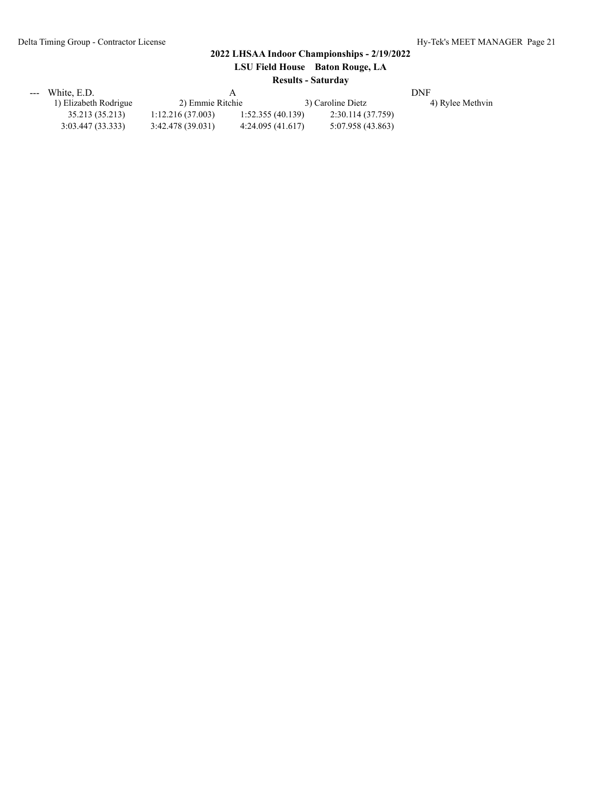| LSU Field House Baton Rouge, LA |  |  |  |  |  |  |
|---------------------------------|--|--|--|--|--|--|
| <b>Results - Saturday</b>       |  |  |  |  |  |  |

| --- | White, E.D.           |                  |                  |                   | DNF              |  |  |
|-----|-----------------------|------------------|------------------|-------------------|------------------|--|--|
|     | 1) Elizabeth Rodrigue | 2) Emmie Ritchie |                  | 3) Caroline Dietz | 4) Rylee Methvin |  |  |
|     | 35.213 (35.213)       | 1:12.216(37.003) | 1:52.355(40.139) | 2:30.114 (37.759) |                  |  |  |
|     | 3:03.447(33.333)      | 3:42.478(39.031) | 4:24.095(41.617) | 5:07.958 (43.863) |                  |  |  |
|     |                       |                  |                  |                   |                  |  |  |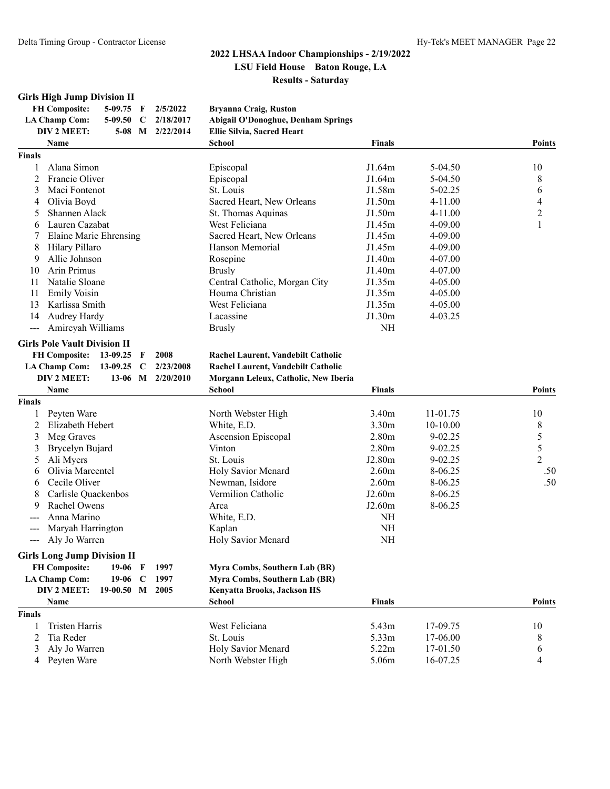## **Girls High Jump Division II**

| <b>FH Composite:</b> |  | 5-09.75 F $2/5/2022$     | Bryanna Craig, Ruston              |
|----------------------|--|--------------------------|------------------------------------|
| LA Champ Com:        |  | 5-09.50 $\,$ C 2/18/2017 | Abigail O'Donoghue, Denham Springs |
| DIV 2 MEET:          |  | 5-08 M $2/22/2014$       | Ellie Silvia, Sacred Heart         |
| $N = 0$              |  |                          | C <sub>ab</sub> < 1                |

|                   | Name                                                         | <b>School</b>                        | <b>Finals</b>     |             | <b>Points</b>            |
|-------------------|--------------------------------------------------------------|--------------------------------------|-------------------|-------------|--------------------------|
| <b>Finals</b>     |                                                              |                                      |                   |             |                          |
| 1                 | Alana Simon                                                  | Episcopal                            | J1.64m            | 5-04.50     | 10                       |
| 2                 | Francie Oliver                                               | Episcopal                            | J1.64m            | 5-04.50     | 8                        |
| 3                 | Maci Fontenot                                                | St. Louis                            | J1.58m            | 5-02.25     | 6                        |
| 4                 | Olivia Boyd                                                  | Sacred Heart, New Orleans            | J1.50m            | $4 - 11.00$ | $\overline{\mathcal{A}}$ |
| 5                 | Shannen Alack                                                | St. Thomas Aquinas                   | J1.50m            | $4 - 11.00$ | $\overline{2}$           |
| 6                 | Lauren Cazabat                                               | West Feliciana                       | J1.45m            | 4-09.00     | 1                        |
|                   | <b>Elaine Marie Ehrensing</b>                                | Sacred Heart, New Orleans            | J1.45m            | 4-09.00     |                          |
| 8                 | Hilary Pillaro                                               | Hanson Memorial                      | J1.45m            | 4-09.00     |                          |
| 9                 | Allie Johnson                                                | Rosepine                             | J1.40m            | 4-07.00     |                          |
| 10                | Arin Primus                                                  | <b>Brusly</b>                        | J1.40m            | 4-07.00     |                          |
| 11                | Natalie Sloane                                               | Central Catholic, Morgan City        | J1.35m            | $4 - 05.00$ |                          |
| 11                | <b>Emily Voisin</b>                                          | Houma Christian                      | J1.35m            | $4 - 05.00$ |                          |
| 13                | Karlissa Smith                                               | West Feliciana                       | J1.35m            | $4 - 05.00$ |                          |
| 14                | Audrey Hardy                                                 | Lacassine                            | J1.30m            | 4-03.25     |                          |
| $---$             | Amireyah Williams                                            | <b>Brusly</b>                        | NH                |             |                          |
|                   | <b>Girls Pole Vault Division II</b>                          |                                      |                   |             |                          |
|                   | <b>FH Composite:</b><br>13-09.25<br>2008<br>F                | Rachel Laurent, Vandebilt Catholic   |                   |             |                          |
|                   | <b>LA Champ Com:</b><br>13-09.25<br>2/23/2008<br>$\mathbf C$ | Rachel Laurent, Vandebilt Catholic   |                   |             |                          |
|                   | DIV 2 MEET:<br>13-06 M 2/20/2010                             | Morgann Leleux, Catholic, New Iberia |                   |             |                          |
|                   | Name                                                         | <b>School</b>                        | <b>Finals</b>     |             | <b>Points</b>            |
| <b>Finals</b>     |                                                              |                                      |                   |             |                          |
| 1                 | Peyten Ware                                                  | North Webster High                   | 3.40m             | 11-01.75    | 10                       |
| 2                 | Elizabeth Hebert                                             | White, E.D.                          | 3.30m             | $10-10.00$  | 8                        |
| 3                 | Meg Graves                                                   | <b>Ascension Episcopal</b>           | 2.80 <sub>m</sub> | 9-02.25     | 5                        |
| 3                 | Brycelyn Bujard                                              | Vinton                               | 2.80 <sub>m</sub> | 9-02.25     | 5                        |
| 5                 | Ali Myers                                                    | St. Louis                            | J2.80m            | 9-02.25     | $\overline{2}$           |
| 6                 | Olivia Marcentel                                             | Holy Savior Menard                   | 2.60 <sub>m</sub> | 8-06.25     | .50                      |
| 6                 | Cecile Oliver                                                | Newman, Isidore                      | 2.60 <sub>m</sub> | 8-06.25     | .50                      |
| 8                 | Carlisle Quackenbos                                          | Vermilion Catholic                   | J2.60m            | 8-06.25     |                          |
| 9                 | Rachel Owens                                                 | Arca                                 | J2.60m            | 8-06.25     |                          |
|                   | Anna Marino                                                  | White, E.D.                          | NH                |             |                          |
| $---$             | Maryah Harrington                                            | Kaplan                               | NH                |             |                          |
| $\qquad \qquad -$ | Aly Jo Warren                                                | Holy Savior Menard                   | $\rm NH$          |             |                          |
|                   | <b>Girls Long Jump Division II</b>                           |                                      |                   |             |                          |
|                   | <b>FH Composite:</b><br>1997<br>19-06<br>F                   | Myra Combs, Southern Lab (BR)        |                   |             |                          |
|                   | <b>LA Champ Com:</b><br>19-06 C<br>1997                      | Myra Combs, Southern Lab (BR)        |                   |             |                          |
|                   | DIV 2 MEET:<br>19-00.50 M 2005                               | <b>Kenyatta Brooks, Jackson HS</b>   |                   |             |                          |
|                   | Name                                                         | <b>School</b>                        | <b>Finals</b>     |             | <b>Points</b>            |
| <b>Finals</b>     |                                                              |                                      |                   |             |                          |
| 1                 | <b>Tristen Harris</b>                                        | West Feliciana                       | 5.43m             | 17-09.75    | 10                       |
| 2                 | Tia Reder                                                    | St. Louis                            | 5.33m             | 17-06.00    | 8                        |
| 3                 | Aly Jo Warren                                                | Holy Savior Menard                   | 5.22m             | 17-01.50    | 6                        |
| 4                 | Peyten Ware                                                  | North Webster High                   | 5.06m             | 16-07.25    | $\overline{4}$           |
|                   |                                                              |                                      |                   |             |                          |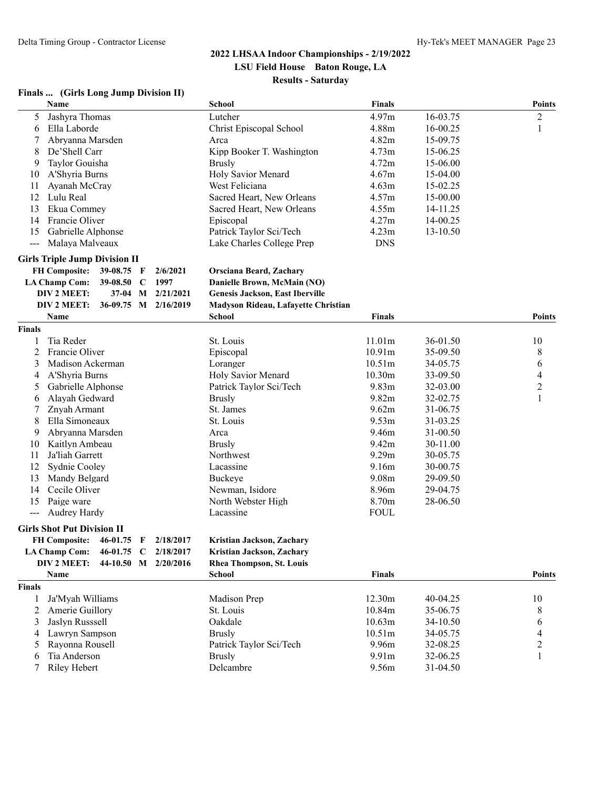#### **Finals ... (Girls Long Jump Division II)**

|                          | Name                                 |            |             |                      | <b>School</b>                          | <b>Finals</b> |          | <b>Points</b>            |
|--------------------------|--------------------------------------|------------|-------------|----------------------|----------------------------------------|---------------|----------|--------------------------|
| 5                        | Jashyra Thomas                       |            |             |                      | Lutcher                                | 4.97m         | 16-03.75 | $\sqrt{2}$               |
| 6                        | Ella Laborde                         |            |             |                      | Christ Episcopal School                | 4.88m         | 16-00.25 | $\mathbf{1}$             |
| 7                        | Abryanna Marsden                     |            |             |                      | Arca                                   | 4.82m         | 15-09.75 |                          |
| 8                        | De'Shell Carr                        |            |             |                      | Kipp Booker T. Washington              | 4.73m         | 15-06.25 |                          |
| 9                        | Taylor Gouisha                       |            |             |                      | <b>Brusly</b>                          | 4.72m         | 15-06.00 |                          |
| 10                       | A'Shyria Burns                       |            |             |                      | Holy Savior Menard                     | 4.67m         | 15-04.00 |                          |
| 11                       | Ayanah McCray                        |            |             |                      | West Feliciana                         | 4.63m         | 15-02.25 |                          |
| 12                       | Lulu Real                            |            |             |                      | Sacred Heart, New Orleans              | 4.57m         | 15-00.00 |                          |
| 13                       | Ekua Commey                          |            |             |                      | Sacred Heart, New Orleans              | 4.55m         | 14-11.25 |                          |
| 14                       | Francie Oliver                       |            |             |                      | Episcopal                              | 4.27m         | 14-00.25 |                          |
| 15                       | Gabrielle Alphonse                   |            |             |                      | Patrick Taylor Sci/Tech                | 4.23m         | 13-10.50 |                          |
| $\overline{\phantom{a}}$ | Malaya Malveaux                      |            |             |                      | Lake Charles College Prep              | <b>DNS</b>    |          |                          |
|                          | <b>Girls Triple Jump Division II</b> |            |             |                      |                                        |               |          |                          |
|                          | <b>FH Composite:</b>                 | 39-08.75 F |             | 2/6/2021             | <b>Orsciana Beard, Zachary</b>         |               |          |                          |
|                          | <b>LA Champ Com:</b>                 | 39-08.50   | – C         | 1997                 | Danielle Brown, McMain (NO)            |               |          |                          |
|                          | DIV 2 MEET:                          | $37-04$    |             | M 2/21/2021          | <b>Genesis Jackson, East Iberville</b> |               |          |                          |
|                          | DIV 2 MEET:                          |            |             | 36-09.75 M 2/16/2019 | Madyson Rideau, Lafayette Christian    |               |          |                          |
|                          | Name                                 |            |             |                      | <b>School</b>                          | <b>Finals</b> |          | <b>Points</b>            |
| <b>Finals</b>            |                                      |            |             |                      |                                        |               |          |                          |
| 1                        | Tia Reder                            |            |             |                      | St. Louis                              | 11.01m        | 36-01.50 | 10                       |
| $\overline{c}$           | Francie Oliver                       |            |             |                      | Episcopal                              | 10.91m        | 35-09.50 | $\,8\,$                  |
| 3                        | Madison Ackerman                     |            |             |                      | Loranger                               | 10.51m        | 34-05.75 | 6                        |
| 4                        | A'Shyria Burns                       |            |             |                      | Holy Savior Menard                     | 10.30m        | 33-09.50 | $\overline{\mathcal{A}}$ |
| 5                        | Gabrielle Alphonse                   |            |             |                      | Patrick Taylor Sci/Tech                | 9.83m         | 32-03.00 | $\sqrt{2}$               |
| 6                        | Alayah Gedward                       |            |             |                      | <b>Brusly</b>                          | 9.82m         | 32-02.75 | $\mathbf{1}$             |
| 7                        | Znyah Armant                         |            |             |                      | St. James                              | 9.62m         | 31-06.75 |                          |
| 8                        | Ella Simoneaux                       |            |             |                      | St. Louis                              | 9.53m         | 31-03.25 |                          |
| 9                        | Abryanna Marsden                     |            |             |                      | Arca                                   | 9.46m         | 31-00.50 |                          |
| 10                       | Kaitlyn Ambeau                       |            |             |                      | <b>Brusly</b>                          | 9.42m         | 30-11.00 |                          |
| 11                       | Ja'liah Garrett                      |            |             |                      | Northwest                              | 9.29m         | 30-05.75 |                          |
| 12                       | Sydnie Cooley                        |            |             |                      | Lacassine                              | 9.16m         | 30-00.75 |                          |
| 13                       | Mandy Belgard                        |            |             |                      | Buckeye                                | 9.08m         | 29-09.50 |                          |
| 14                       | Cecile Oliver                        |            |             |                      | Newman, Isidore                        | 8.96m         | 29-04.75 |                          |
| 15                       | Paige ware                           |            |             |                      | North Webster High                     | 8.70m         | 28-06.50 |                          |
|                          |                                      |            |             |                      |                                        | <b>FOUL</b>   |          |                          |
| $---$                    | Audrey Hardy                         |            |             |                      | Lacassine                              |               |          |                          |
|                          | <b>Girls Shot Put Division II</b>    |            |             |                      |                                        |               |          |                          |
|                          | FH Composite: 46-01.75 F             |            |             | 2/18/2017            | Kristian Jackson, Zachary              |               |          |                          |
|                          | <b>LA Champ Com:</b>                 | 46-01.75   | $\mathbf C$ | 2/18/2017            | Kristian Jackson, Zachary              |               |          |                          |
|                          | DIV 2 MEET:                          |            |             | 44-10.50 M 2/20/2016 | <b>Rhea Thompson, St. Louis</b>        |               |          |                          |
|                          | Name                                 |            |             |                      | <b>School</b>                          | <b>Finals</b> |          | <b>Points</b>            |
| <b>Finals</b>            |                                      |            |             |                      |                                        |               |          |                          |
| 1                        | Ja'Myah Williams                     |            |             |                      | Madison Prep                           | 12.30m        | 40-04.25 | 10                       |
| 2                        | Amerie Guillory                      |            |             |                      | St. Louis                              | 10.84m        | 35-06.75 | 8                        |
| 3                        | Jaslyn Russsell                      |            |             |                      | Oakdale                                | 10.63m        | 34-10.50 | 6                        |
| 4                        | Lawryn Sampson                       |            |             |                      | <b>Brusly</b>                          | 10.51m        | 34-05.75 | 4                        |
| 5                        | Rayonna Rousell                      |            |             |                      | Patrick Taylor Sci/Tech                | 9.96m         | 32-08.25 | $\overline{c}$           |
| 6                        | Tia Anderson                         |            |             |                      | <b>Brusly</b>                          | 9.91m         | 32-06.25 | $\mathbf{1}$             |
| 7                        | Riley Hebert                         |            |             |                      | Delcambre                              | 9.56m         | 31-04.50 |                          |
|                          |                                      |            |             |                      |                                        |               |          |                          |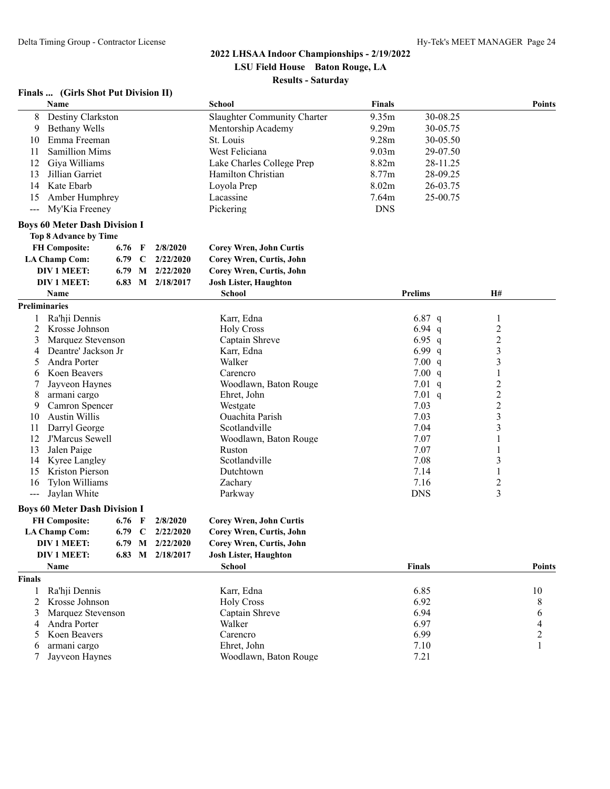#### **Finals ... (Girls Shot Put Division II)**

|                      | Name                                     |          |              |                    | <b>School</b>                  | <b>Finals</b> |                |                         | <b>Points</b>  |
|----------------------|------------------------------------------|----------|--------------|--------------------|--------------------------------|---------------|----------------|-------------------------|----------------|
| 8                    | Destiny Clarkston                        |          |              |                    | Slaughter Community Charter    | 9.35m         | 30-08.25       |                         |                |
| 9                    | <b>Bethany Wells</b>                     |          |              |                    | Mentorship Academy             | 9.29m         | 30-05.75       |                         |                |
| 10                   | Emma Freeman                             |          |              |                    | St. Louis                      | 9.28m         | 30-05.50       |                         |                |
| 11                   | <b>Samillion Mims</b>                    |          |              |                    | West Feliciana                 | 9.03m         | 29-07.50       |                         |                |
| 12                   | Giya Williams                            |          |              |                    | Lake Charles College Prep      | 8.82m         | 28-11.25       |                         |                |
| 13                   | Jillian Garriet                          |          |              |                    | Hamilton Christian             | 8.77m         | 28-09.25       |                         |                |
| 14                   | Kate Ebarb                               |          |              |                    | Loyola Prep                    | 8.02m         | 26-03.75       |                         |                |
| 15                   | Amber Humphrey                           |          |              |                    | Lacassine                      | 7.64m         | 25-00.75       |                         |                |
| $---$                | My'Kia Freeney                           |          |              |                    | Pickering                      | <b>DNS</b>    |                |                         |                |
|                      |                                          |          |              |                    |                                |               |                |                         |                |
|                      | <b>Boys 60 Meter Dash Division I</b>     |          |              |                    |                                |               |                |                         |                |
|                      | <b>Top 8 Advance by Time</b>             |          |              |                    |                                |               |                |                         |                |
|                      | <b>FH Composite:</b>                     | 6.76     | $\mathbf{F}$ | 2/8/2020           | <b>Corey Wren, John Curtis</b> |               |                |                         |                |
|                      | <b>LA Champ Com:</b>                     | 6.79 C   |              | 2/22/2020          | Corey Wren, Curtis, John       |               |                |                         |                |
|                      | <b>DIV 1 MEET:</b>                       | 6.79     |              | $M$ 2/22/2020      | Corey Wren, Curtis, John       |               |                |                         |                |
|                      | <b>DIV 1 MEET:</b>                       | 6.83     |              | M 2/18/2017        | <b>Josh Lister, Haughton</b>   |               |                |                         |                |
|                      | Name                                     |          |              |                    | <b>School</b>                  |               | <b>Prelims</b> | H#                      |                |
| <b>Preliminaries</b> |                                          |          |              |                    |                                |               |                |                         |                |
| 1                    | Ra'hji Dennis                            |          |              |                    | Karr, Edna                     |               | 6.87 q         | 1                       |                |
| 2                    | Krosse Johnson                           |          |              |                    | <b>Holy Cross</b>              |               | 6.94 $q$       | $\overline{c}$          |                |
| 3                    | Marquez Stevenson                        |          |              |                    | Captain Shreve                 |               | 6.95 q         | $\overline{c}$          |                |
| 4                    | Deantre' Jackson Jr                      |          |              |                    | Karr, Edna                     |               | 6.99 q         | $\overline{\mathbf{3}}$ |                |
| 5                    | Andra Porter                             |          |              |                    | Walker                         |               | 7.00 q         | 3                       |                |
| 6                    | Koen Beavers                             |          |              |                    | Carencro                       |               | 7.00 q         | $\mathbf{1}$            |                |
| 7                    | Jayveon Haynes                           |          |              |                    | Woodlawn, Baton Rouge          |               | 7.01 $q$       | 2                       |                |
| 8                    | armani cargo                             |          |              |                    | Ehret, John                    |               | 7.01 q         | $\overline{c}$          |                |
| 9                    | Camron Spencer                           |          |              |                    | Westgate                       |               | 7.03           | $\overline{c}$          |                |
| 10                   | <b>Austin Willis</b>                     |          |              |                    | Ouachita Parish                |               | 7.03           | $\overline{\mathbf{3}}$ |                |
| 11                   | Darryl George                            |          |              |                    | Scotlandville                  |               | 7.04           | 3                       |                |
| 12                   | J'Marcus Sewell                          |          |              |                    | Woodlawn, Baton Rouge          |               | 7.07           | 1                       |                |
| 13                   | Jalen Paige                              |          |              |                    | Ruston                         |               | 7.07           | 1                       |                |
| 14                   | Kyree Langley                            |          |              |                    | Scotlandville                  |               | 7.08           | 3                       |                |
| 15<br>16             | Kriston Pierson<br><b>Tylon Williams</b> |          |              |                    | Dutchtown<br>Zachary           |               | 7.14<br>7.16   | 1<br>2                  |                |
|                      | Jaylan White                             |          |              |                    | Parkway                        |               | <b>DNS</b>     | 3                       |                |
| $---$                |                                          |          |              |                    |                                |               |                |                         |                |
|                      | <b>Boys 60 Meter Dash Division I</b>     |          |              |                    |                                |               |                |                         |                |
|                      | <b>FH Composite:</b>                     | $6.76$ F |              | 2/8/2020           | <b>Corey Wren, John Curtis</b> |               |                |                         |                |
|                      | <b>LA Champ Com:</b>                     | 6.79 C   |              | 2/22/2020          | Corey Wren, Curtis, John       |               |                |                         |                |
|                      | <b>DIV 1 MEET:</b>                       |          |              | 6.79 M $2/22/2020$ | Corey Wren, Curtis, John       |               |                |                         |                |
|                      | <b>DIV 1 MEET:</b>                       |          |              | 6.83 M 2/18/2017   | <b>Josh Lister, Haughton</b>   |               |                |                         |                |
|                      | Name                                     |          |              |                    | <b>School</b>                  |               | <b>Finals</b>  |                         | <b>Points</b>  |
| Finals               |                                          |          |              |                    |                                |               |                |                         |                |
| 1                    | Ra'hji Dennis                            |          |              |                    | Karr, Edna                     |               | 6.85           |                         | 10             |
| 2                    | Krosse Johnson                           |          |              |                    | <b>Holy Cross</b>              |               | 6.92           |                         | 8              |
| 3                    | Marquez Stevenson                        |          |              |                    | Captain Shreve                 |               | 6.94           |                         | 6              |
| 4                    | Andra Porter                             |          |              |                    | Walker                         |               | 6.97           |                         |                |
| 5                    | Koen Beavers                             |          |              |                    | Carencro                       |               | 6.99           |                         | $\overline{c}$ |
| 6                    | armani cargo                             |          |              |                    | Ehret, John                    |               | 7.10           |                         |                |
|                      | Jayveon Haynes                           |          |              |                    | Woodlawn, Baton Rouge          |               | 7.21           |                         |                |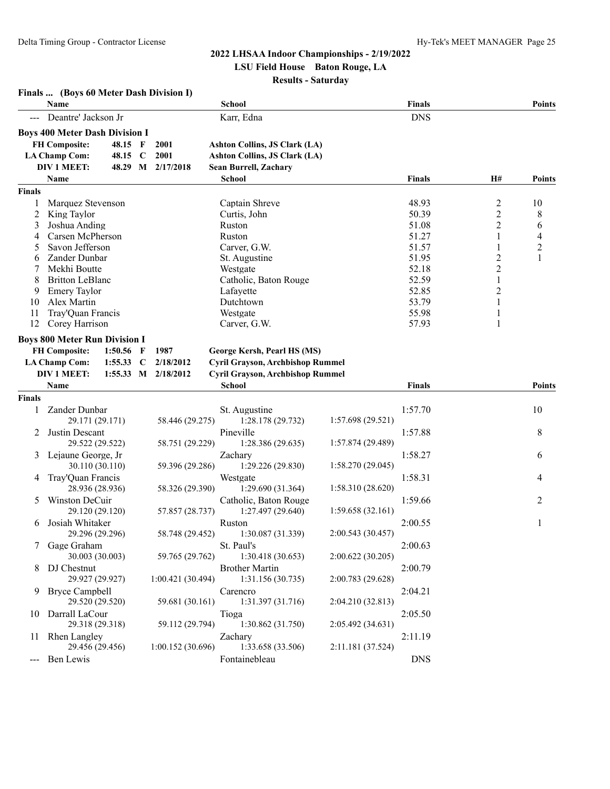**Finals ... (Boys 60 Meter Dash Division I)**

#### **2022 LHSAA Indoor Championships - 2/19/2022 LSU Field House Baton Rouge, LA**

**Results - Saturday**

| Name           |                                       |                 |             | School              |                                         | <b>Finals</b>     |               |                         |                          |
|----------------|---------------------------------------|-----------------|-------------|---------------------|-----------------------------------------|-------------------|---------------|-------------------------|--------------------------|
|                | Deantre' Jackson Jr                   |                 |             |                     | Karr, Edna                              |                   | <b>DNS</b>    |                         |                          |
|                | <b>Boys 400 Meter Dash Division I</b> |                 |             |                     |                                         |                   |               |                         |                          |
|                | <b>FH Composite:</b>                  | 48.15 F         |             | 2001                | <b>Ashton Collins, JS Clark (LA)</b>    |                   |               |                         |                          |
|                | <b>LA Champ Com:</b>                  | 48.15           | $\mathbf C$ | 2001                | <b>Ashton Collins, JS Clark (LA)</b>    |                   |               |                         |                          |
|                | <b>DIV 1 MEET:</b>                    |                 |             | 48.29 M 2/17/2018   | Sean Burrell, Zachary                   |                   |               |                         |                          |
|                | <b>Name</b>                           |                 |             |                     | <b>School</b>                           |                   | <b>Finals</b> | H#                      | <b>Points</b>            |
| <b>Finals</b>  |                                       |                 |             |                     |                                         |                   |               |                         |                          |
|                | Marquez Stevenson                     |                 |             |                     | Captain Shreve                          |                   | 48.93         | $\overline{\mathbf{c}}$ | 10                       |
| $\overline{c}$ | King Taylor                           |                 |             |                     | Curtis, John                            |                   | 50.39         | $\overline{c}$          | 8                        |
| 3              | Joshua Anding                         |                 |             |                     | Ruston                                  |                   | 51.08         | $\overline{\mathbf{c}}$ | 6                        |
| 4              | Carsen McPherson                      |                 |             |                     | Ruston                                  |                   | 51.27         | 1                       | $\overline{\mathcal{L}}$ |
| 5              | Savon Jefferson                       |                 |             |                     | Carver, G.W.                            |                   | 51.57         | 1                       | $\overline{2}$           |
| 6              | Zander Dunbar                         |                 |             |                     | St. Augustine                           |                   | 51.95         | $\overline{c}$          | 1                        |
| 7              | Mekhi Boutte                          |                 |             |                     | Westgate                                |                   | 52.18         | $\overline{2}$          |                          |
| 8              | <b>Britton LeBlanc</b>                |                 |             |                     | Catholic, Baton Rouge                   |                   | 52.59         | $\mathbf{1}$            |                          |
| 9              | <b>Emery Taylor</b>                   |                 |             |                     | Lafayette                               |                   | 52.85         | $\overline{2}$          |                          |
| 10             | Alex Martin                           |                 |             |                     | Dutchtown                               |                   | 53.79         | 1                       |                          |
| 11             | Tray'Quan Francis                     |                 |             |                     | Westgate                                |                   | 55.98         | 1                       |                          |
| 12             | Corey Harrison                        |                 |             |                     | Carver, G.W.                            |                   | 57.93         | 1                       |                          |
|                |                                       |                 |             |                     |                                         |                   |               |                         |                          |
|                | <b>Boys 800 Meter Run Division I</b>  |                 |             |                     |                                         |                   |               |                         |                          |
|                | <b>FH Composite:</b>                  | 1:50.56         | $\mathbf F$ | 1987                | George Kersh, Pearl HS (MS)             |                   |               |                         |                          |
|                | <b>LA Champ Com:</b>                  | 1:55.33         | $\mathbf C$ | 2/18/2012           | Cyril Grayson, Archbishop Rummel        |                   |               |                         |                          |
|                | DIV 1 MEET:                           |                 |             | 1:55.33 M 2/18/2012 | <b>Cyril Grayson, Archbishop Rummel</b> |                   |               |                         |                          |
|                | Name                                  |                 |             |                     | <b>School</b>                           |                   | <b>Finals</b> |                         | <b>Points</b>            |
| <b>Finals</b>  |                                       |                 |             |                     |                                         |                   |               |                         |                          |
| 1              | Zander Dunbar                         |                 |             |                     | St. Augustine                           |                   | 1:57.70       |                         | 10                       |
|                |                                       | 29.171 (29.171) |             | 58.446 (29.275)     | 1:28.178 (29.732)                       | 1:57.698 (29.521) |               |                         |                          |
| 2              | Justin Descant                        |                 |             |                     | Pineville                               |                   | 1:57.88       |                         | 8                        |
|                |                                       | 29.522 (29.522) |             | 58.751 (29.229)     | 1:28.386 (29.635)                       | 1:57.874 (29.489) |               |                         |                          |
| 3              | Lejaune George, Jr                    |                 |             |                     | Zachary                                 |                   | 1:58.27       |                         | 6                        |
|                |                                       | 30.110 (30.110) |             | 59.396 (29.286)     | 1:29.226 (29.830)                       | 1:58.270 (29.045) |               |                         |                          |
| 4              | Tray'Quan Francis                     |                 |             |                     | Westgate                                |                   | 1:58.31       |                         | 4                        |
|                |                                       | 28.936 (28.936) |             | 58.326 (29.390)     | 1:29.690(31.364)                        | 1:58.310 (28.620) |               |                         |                          |
| 5              | Winston DeCuir                        |                 |             |                     | Catholic, Baton Rouge                   |                   | 1:59.66       |                         | 2                        |
|                |                                       | 29.120 (29.120) |             | 57.857 (28.737)     | 1:27.497 (29.640)                       | 1:59.658 (32.161) |               |                         |                          |
| 6              | Josiah Whitaker                       |                 |             |                     | Ruston                                  |                   | 2:00.55       |                         | 1                        |
|                |                                       | 29.296 (29.296) |             | 58.748 (29.452)     | 1:30.087 (31.339)                       | 2:00.543 (30.457) |               |                         |                          |
|                |                                       |                 |             |                     |                                         |                   |               |                         |                          |
|                | Gage Graham                           |                 |             |                     | St. Paul's                              |                   | 2:00.63       |                         |                          |
|                |                                       | 30.003 (30.003) |             | 59.765 (29.762)     | 1:30.418(30.653)                        | 2:00.622 (30.205) |               |                         |                          |
|                | 8 DJ Chestnut                         |                 |             |                     | <b>Brother Martin</b>                   |                   | 2:00.79       |                         |                          |
|                |                                       | 29.927 (29.927) |             | 1:00.421 (30.494)   | 1:31.156 (30.735)                       | 2:00.783 (29.628) |               |                         |                          |
|                | 9 Bryce Campbell                      |                 |             |                     | Carencro                                |                   | 2:04.21       |                         |                          |
|                |                                       | 29.520 (29.520) |             | 59.681 (30.161)     | 1:31.397 (31.716)                       | 2:04.210 (32.813) |               |                         |                          |
|                | 10 Darrall LaCour                     |                 |             |                     | Tioga                                   |                   | 2:05.50       |                         |                          |
|                |                                       | 29.318 (29.318) |             | 59.112 (29.794)     | 1:30.862 (31.750)                       | 2:05.492 (34.631) |               |                         |                          |
|                | 11 Rhen Langley                       |                 |             |                     | Zachary                                 |                   | 2:11.19       |                         |                          |
|                |                                       | 29.456 (29.456) |             | 1:00.152(30.696)    | 1:33.658 (33.506)                       | 2:11.181 (37.524) |               |                         |                          |
|                | --- Ben Lewis                         |                 |             |                     | Fontainebleau                           |                   | <b>DNS</b>    |                         |                          |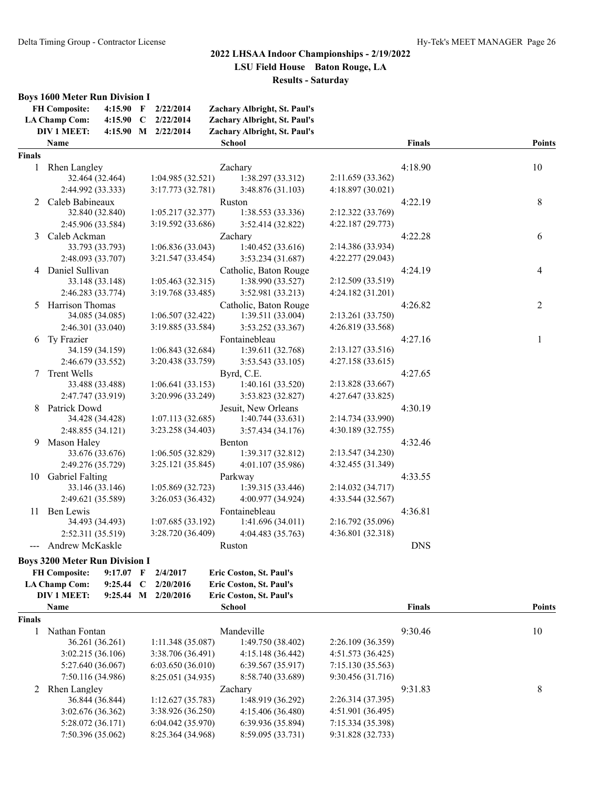#### **Boys 1600 Meter Run Division I**

|        | <b>FH Composite:</b><br>4:15.90 F<br><b>LA Champ Com:</b><br>$4:15.90$ C<br>DIV 1 MEET: | 2/22/2014<br>2/22/2014<br>4:15.90 M 2/22/2014 | Zachary Albright, St. Paul's<br>Zachary Albright, St. Paul's<br>Zachary Albright, St. Paul's |                   |               |                |
|--------|-----------------------------------------------------------------------------------------|-----------------------------------------------|----------------------------------------------------------------------------------------------|-------------------|---------------|----------------|
|        | Name                                                                                    |                                               | <b>School</b>                                                                                |                   | <b>Finals</b> | <b>Points</b>  |
| Finals |                                                                                         |                                               |                                                                                              |                   |               |                |
| 1      | Rhen Langley                                                                            |                                               | Zachary                                                                                      |                   | 4:18.90       | 10             |
|        | 32.464 (32.464)                                                                         | 1:04.985(32.521)                              | 1:38.297 (33.312)                                                                            | 2:11.659 (33.362) |               |                |
|        | 2:44.992 (33.333)                                                                       | 3:17.773 (32.781)                             | 3:48.876 (31.103)                                                                            | 4:18.897 (30.021) |               |                |
| 2      | Caleb Babineaux                                                                         |                                               | Ruston                                                                                       |                   | 4:22.19       | 8              |
|        | 32.840 (32.840)                                                                         | 1:05.217(32.377)                              | 1:38.553 (33.336)                                                                            | 2:12.322 (33.769) |               |                |
|        | 2:45.906 (33.584)                                                                       | 3:19.592 (33.686)                             | 3:52.414 (32.822)                                                                            | 4:22.187 (29.773) |               |                |
| 3      | Caleb Ackman                                                                            |                                               | Zachary                                                                                      |                   | 4:22.28       | 6              |
|        | 33.793 (33.793)                                                                         | 1:06.836(33.043)                              | 1:40.452 (33.616)                                                                            | 2:14.386 (33.934) |               |                |
|        | 2:48.093 (33.707)<br>4 Daniel Sullivan                                                  | 3:21.547 (33.454)                             | 3:53.234(31.687)                                                                             | 4:22.277 (29.043) |               |                |
|        |                                                                                         | 1:05.463(32.315)                              | Catholic, Baton Rouge                                                                        | 2:12.509 (33.519) | 4:24.19       | 4              |
|        | 33.148 (33.148)<br>2:46.283 (33.774)                                                    |                                               | 1:38.990 (33.527)                                                                            | 4:24.182 (31.201) |               |                |
|        |                                                                                         | 3:19.768 (33.485)                             | 3:52.981 (33.213)                                                                            |                   |               |                |
|        | 5 Harrison Thomas<br>34.085 (34.085)                                                    | 1:06.507 (32.422)                             | Catholic, Baton Rouge<br>1:39.511 (33.004)                                                   | 2:13.261 (33.750) | 4:26.82       | $\overline{2}$ |
|        | 2:46.301 (33.040)                                                                       | 3:19.885 (33.584)                             |                                                                                              | 4:26.819 (33.568) |               |                |
|        | Ty Frazier                                                                              |                                               | 3:53.252 (33.367)<br>Fontainebleau                                                           |                   | 4:27.16       |                |
| 6      | 34.159 (34.159)                                                                         | 1:06.843(32.684)                              | 1:39.611 (32.768)                                                                            | 2:13.127 (33.516) |               | 1              |
|        | 2:46.679 (33.552)                                                                       | 3:20.438 (33.759)                             | 3:53.543 (33.105)                                                                            | 4:27.158 (33.615) |               |                |
|        | 7 Trent Wells                                                                           |                                               | Byrd, C.E.                                                                                   |                   | 4:27.65       |                |
|        | 33.488 (33.488)                                                                         | 1:06.641(33.153)                              | 1:40.161 (33.520)                                                                            | 2:13.828 (33.667) |               |                |
|        | 2:47.747 (33.919)                                                                       | 3:20.996 (33.249)                             | 3:53.823 (32.827)                                                                            | 4:27.647 (33.825) |               |                |
| 8      | Patrick Dowd                                                                            |                                               | Jesuit, New Orleans                                                                          |                   | 4:30.19       |                |
|        | 34.428 (34.428)                                                                         | 1:07.113(32.685)                              | 1:40.744 (33.631)                                                                            | 2:14.734 (33.990) |               |                |
|        | 2:48.855 (34.121)                                                                       | 3:23.258 (34.403)                             | 3:57.434 (34.176)                                                                            | 4:30.189 (32.755) |               |                |
| 9      | Mason Haley                                                                             |                                               | Benton                                                                                       |                   | 4:32.46       |                |
|        | 33.676 (33.676)                                                                         | 1:06.505 (32.829)                             | 1:39.317 (32.812)                                                                            | 2:13.547 (34.230) |               |                |
|        | 2:49.276 (35.729)                                                                       | 3:25.121 (35.845)                             | 4:01.107 (35.986)                                                                            | 4:32.455 (31.349) |               |                |
|        | 10 Gabriel Falting                                                                      |                                               | Parkway                                                                                      |                   | 4:33.55       |                |
|        | 33.146 (33.146)                                                                         | 1:05.869(32.723)                              | 1:39.315 (33.446)                                                                            | 2:14.032 (34.717) |               |                |
|        | 2:49.621 (35.589)                                                                       | 3:26.053 (36.432)                             | 4:00.977 (34.924)                                                                            | 4:33.544 (32.567) |               |                |
| 11     | Ben Lewis                                                                               |                                               | Fontainebleau                                                                                |                   | 4:36.81       |                |
|        | 34.493 (34.493)                                                                         | 1:07.685 (33.192)                             | 1:41.696 (34.011)                                                                            | 2:16.792 (35.096) |               |                |
|        | 2:52.311 (35.519)                                                                       | 3:28.720 (36.409)                             | 4:04.483 (35.763)                                                                            | 4:36.801 (32.318) |               |                |
|        | Andrew McKaskle                                                                         |                                               | Ruston                                                                                       |                   | <b>DNS</b>    |                |
|        | Roys 3200 Mator Run Division I                                                          |                                               |                                                                                              |                   |               |                |

| <b>Boys 3200 Meter Run Division I</b> |  |  |
|---------------------------------------|--|--|
|---------------------------------------|--|--|

| <b>FH Composite:</b> |  | 9:17.07 F $2/4/2017$  | <b>Eric Coston, St. Paul's</b> |
|----------------------|--|-----------------------|--------------------------------|
| LA Champ Com:        |  | 9:25.44 C $2/20/2016$ | Eric Coston, St. Paul's        |
| DIV 1 MEET:          |  | 9:25.44 M $2/20/2016$ | <b>Eric Coston, St. Paul's</b> |

|               | <b>Name</b>       |                   | <b>School</b>     |                   | <b>Finals</b> | <b>Points</b> |
|---------------|-------------------|-------------------|-------------------|-------------------|---------------|---------------|
| <b>Finals</b> |                   |                   |                   |                   |               |               |
|               | Nathan Fontan     |                   | Mandeville        |                   | 9:30.46       | 10            |
|               | 36.261 (36.261)   | 1:11.348(35.087)  | 1:49.750 (38.402) | 2:26.109(36.359)  |               |               |
|               | 3:02.215(36.106)  | 3:38.706(36.491)  | 4:15.148(36.442)  | 4:51.573(36.425)  |               |               |
|               | 5:27.640 (36.067) | 6:03.650(36.010)  | 6:39.567(35.917)  | 7:15.130(35.563)  |               |               |
|               | 7:50.116 (34.986) | 8:25.051 (34.935) | 8:58.740 (33.689) | 9:30.456(31.716)  |               |               |
|               | 2 Rhen Langley    |                   | Zachary           |                   |               | 8             |
|               | 36.844 (36.844)   | 1:12.627(35.783)  | 1:48.919 (36.292) | 2:26.314(37.395)  |               |               |
|               | 3:02.676(36.362)  | 3:38.926(36.250)  | 4:15.406(36.480)  | 4:51.901(36.495)  |               |               |
|               | 5:28.072 (36.171) | 6:04.042(35.970)  | 6:39.936(35.894)  | 7:15.334 (35.398) |               |               |
|               | 7:50.396 (35.062) | 8:25.364 (34.968) | 8:59.095 (33.731) | 9:31.828 (32.733) |               |               |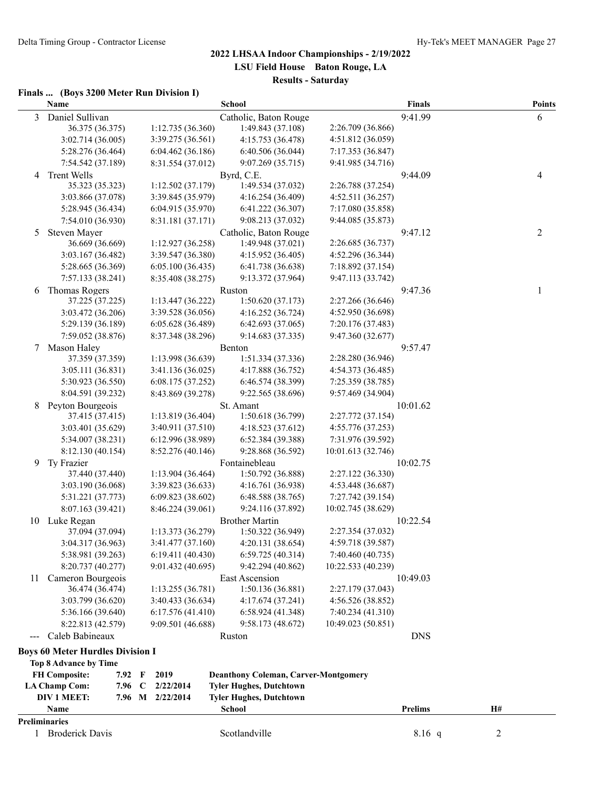#### **Finals ... (Boys 3200 Meter Run Division I)**

|                      | Name                                    |             |                                       | School                                          |                                        | <b>Finals</b>  |    | <b>Points</b> |
|----------------------|-----------------------------------------|-------------|---------------------------------------|-------------------------------------------------|----------------------------------------|----------------|----|---------------|
| 3                    | Daniel Sullivan                         |             |                                       | Catholic, Baton Rouge                           |                                        | 9:41.99        |    | 6             |
|                      | 36.375 (36.375)                         |             | 1:12.735(36.360)                      | 1:49.843 (37.108)                               | 2:26.709 (36.866)                      |                |    |               |
|                      | 3:02.714 (36.005)                       |             | 3:39.275 (36.561)                     | 4:15.753 (36.478)                               | 4:51.812 (36.059)                      |                |    |               |
|                      | 5:28.276 (36.464)                       |             | 6:04.462(36.186)                      | 6:40.506 (36.044)                               | 7:17.353 (36.847)                      |                |    |               |
|                      | 7:54.542 (37.189)                       |             | 8:31.554 (37.012)                     | 9:07.269 (35.715)                               | 9:41.985 (34.716)                      |                |    |               |
| 4                    | <b>Trent Wells</b>                      |             |                                       | Byrd, C.E.                                      |                                        | 9:44.09        |    | 4             |
|                      | 35.323 (35.323)                         |             | 1:12.502 (37.179)                     | 1:49.534 (37.032)                               | 2:26.788 (37.254)                      |                |    |               |
|                      | 3:03.866 (37.078)                       |             | 3:39.845 (35.979)                     | 4:16.254 (36.409)                               | 4:52.511(36.257)                       |                |    |               |
|                      | 5:28.945 (36.434)                       |             | 6:04.915 (35.970)                     | 6:41.222 (36.307)                               | 7:17.080 (35.858)                      |                |    |               |
|                      | 7:54.010 (36.930)                       |             | 8:31.181 (37.171)                     | 9:08.213 (37.032)                               | 9:44.085 (35.873)                      |                |    |               |
| 5                    | Steven Mayer                            |             |                                       | Catholic, Baton Rouge                           |                                        | 9:47.12        |    | 2             |
|                      | 36.669 (36.669)                         |             | 1:12.927(36.258)                      | 1:49.948 (37.021)                               | 2:26.685 (36.737)                      |                |    |               |
|                      | 3:03.167 (36.482)                       |             | 3:39.547 (36.380)                     | 4:15.952 (36.405)                               | 4:52.296 (36.344)                      |                |    |               |
|                      | 5:28.665 (36.369)                       |             | 6:05.100(36.435)                      | 6:41.738 (36.638)                               | 7:18.892 (37.154)                      |                |    |               |
|                      | 7:57.133 (38.241)                       |             | 8:35.408 (38.275)                     | 9:13.372 (37.964)                               | 9:47.113 (33.742)                      |                |    |               |
| 6                    | <b>Thomas Rogers</b>                    |             |                                       | Ruston                                          |                                        | 9:47.36        |    | 1             |
|                      | 37.225 (37.225)                         |             | 1:13.447(36.222)                      | 1:50.620(37.173)<br>4:16.252 (36.724)           | 2:27.266 (36.646)<br>4:52.950 (36.698) |                |    |               |
|                      | 3:03.472 (36.206)<br>5:29.139 (36.189)  |             | 3:39.528 (36.056)                     | 6:42.693(37.065)                                |                                        |                |    |               |
|                      | 7:59.052 (38.876)                       |             | 6:05.628(36.489)<br>8:37.348 (38.296) | 9:14.683 (37.335)                               | 7:20.176 (37.483)<br>9:47.360 (32.677) |                |    |               |
| 7                    | Mason Haley                             |             |                                       | Benton                                          |                                        | 9:57.47        |    |               |
|                      | 37.359 (37.359)                         |             | 1:13.998 (36.639)                     | 1:51.334(37.336)                                | 2:28.280 (36.946)                      |                |    |               |
|                      | 3:05.111(36.831)                        |             | 3:41.136(36.025)                      | 4:17.888 (36.752)                               | 4:54.373 (36.485)                      |                |    |               |
|                      | 5:30.923 (36.550)                       |             | 6:08.175 (37.252)                     | 6:46.574 (38.399)                               | 7:25.359 (38.785)                      |                |    |               |
|                      | 8:04.591 (39.232)                       |             | 8:43.869 (39.278)                     | 9:22.565 (38.696)                               | 9:57.469 (34.904)                      |                |    |               |
| 8                    | Peyton Bourgeois                        |             |                                       | St. Amant                                       |                                        | 10:01.62       |    |               |
|                      | 37.415 (37.415)                         |             | 1:13.819 (36.404)                     | 1:50.618 (36.799)                               | 2:27.772 (37.154)                      |                |    |               |
|                      | 3:03.401 (35.629)                       |             | 3:40.911 (37.510)                     | 4:18.523 (37.612)                               | 4:55.776 (37.253)                      |                |    |               |
|                      | 5:34.007 (38.231)                       |             | 6:12.996 (38.989)                     | 6:52.384 (39.388)                               | 7:31.976 (39.592)                      |                |    |               |
|                      | 8:12.130 (40.154)                       |             | 8:52.276 (40.146)                     | 9:28.868 (36.592)                               | 10:01.613 (32.746)                     |                |    |               |
| 9                    | Ty Frazier                              |             |                                       | Fontainebleau                                   |                                        | 10:02.75       |    |               |
|                      | 37.440 (37.440)                         |             | 1:13.904(36.464)                      | 1:50.792 (36.888)                               | 2:27.122 (36.330)                      |                |    |               |
|                      | 3:03.190 (36.068)                       |             | 3:39.823 (36.633)                     | 4:16.761 (36.938)                               | 4:53.448 (36.687)                      |                |    |               |
|                      | 5:31.221 (37.773)                       |             | 6:09.823 (38.602)                     | 6:48.588 (38.765)                               | 7:27.742 (39.154)                      |                |    |               |
|                      | 8:07.163 (39.421)                       |             | 8:46.224 (39.061)                     | 9:24.116 (37.892)                               | 10:02.745 (38.629)                     |                |    |               |
| 10                   | Luke Regan                              |             |                                       | <b>Brother Martin</b>                           |                                        | 10:22.54       |    |               |
|                      | 37.094 (37.094)                         |             | 1:13.373 (36.279)                     | 1:50.322 (36.949)                               | 2:27.354 (37.032)                      |                |    |               |
|                      | 3:04.317 (36.963)                       |             | 3:41.477 (37.160)                     | 4:20.131 (38.654)                               | 4:59.718 (39.587)                      |                |    |               |
|                      | 5:38.981 (39.263)                       |             | 6:19.411(40.430)                      | 6:59.725(40.314)                                | 7:40.460 (40.735)                      |                |    |               |
|                      | 8:20.737 (40.277)                       |             | 9:01.432 (40.695)                     | 9:42.294 (40.862)                               | 10:22.533 (40.239)                     |                |    |               |
| 11                   | Cameron Bourgeois                       |             |                                       | East Ascension                                  |                                        | 10:49.03       |    |               |
|                      | 36.474 (36.474)                         |             | 1:13.255(36.781)                      | 1:50.136(36.881)                                | 2:27.179 (37.043)                      |                |    |               |
|                      | 3:03.799 (36.620)                       |             | 3:40.433 (36.634)                     | 4:17.674 (37.241)                               | 4:56.526 (38.852)                      |                |    |               |
|                      | 5:36.166 (39.640)                       |             | 6:17.576(41.410)                      | 6:58.924 (41.348)                               | 7:40.234 (41.310)                      |                |    |               |
|                      | 8:22.813 (42.579)                       |             | 9:09.501 (46.688)                     | 9:58.173 (48.672)                               | 10:49.023 (50.851)                     |                |    |               |
| $\sim$ $\sim$ $\sim$ | Caleb Babineaux                         |             |                                       | Ruston                                          |                                        | <b>DNS</b>     |    |               |
|                      | <b>Boys 60 Meter Hurdles Division I</b> |             |                                       |                                                 |                                        |                |    |               |
|                      | <b>Top 8 Advance by Time</b>            |             |                                       |                                                 |                                        |                |    |               |
|                      | <b>FH Composite:</b><br>7.92 F          |             | 2019                                  | <b>Deanthony Coleman, Carver-Montgomery</b>     |                                        |                |    |               |
|                      | <b>LA Champ Com:</b><br>7.96            | $\mathbf C$ | 2/22/2014                             | <b>Tyler Hughes, Dutchtown</b>                  |                                        |                |    |               |
|                      | DIV 1 MEET:<br>Name                     |             | 7.96 M 2/22/2014                      | <b>Tyler Hughes, Dutchtown</b><br><b>School</b> |                                        | <b>Prelims</b> | H# |               |
|                      | <b>Preliminaries</b>                    |             |                                       |                                                 |                                        |                |    |               |
|                      | 1 Broderick Davis                       |             |                                       | Scotlandville                                   |                                        | $8.16$ q       | 2  |               |
|                      |                                         |             |                                       |                                                 |                                        |                |    |               |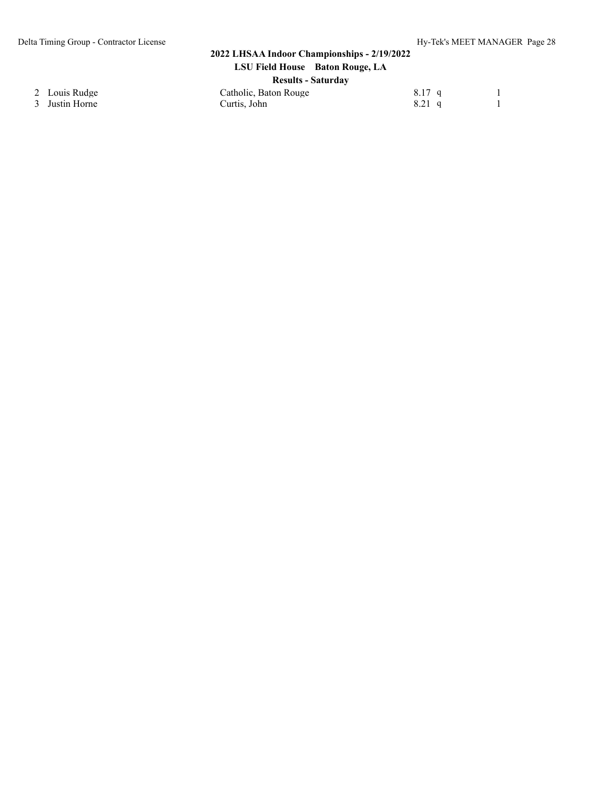3 Justin Horne

#### **2022 LHSAA Indoor Championships - 2/19/2022 LSU Field House Baton Rouge, LA**

| <b>Results - Saturday</b> |  |
|---------------------------|--|

| $-$                   |          |  |
|-----------------------|----------|--|
| Catholic, Baton Rouge | $8.17$ q |  |
| Curtis. John          | $8.21$ q |  |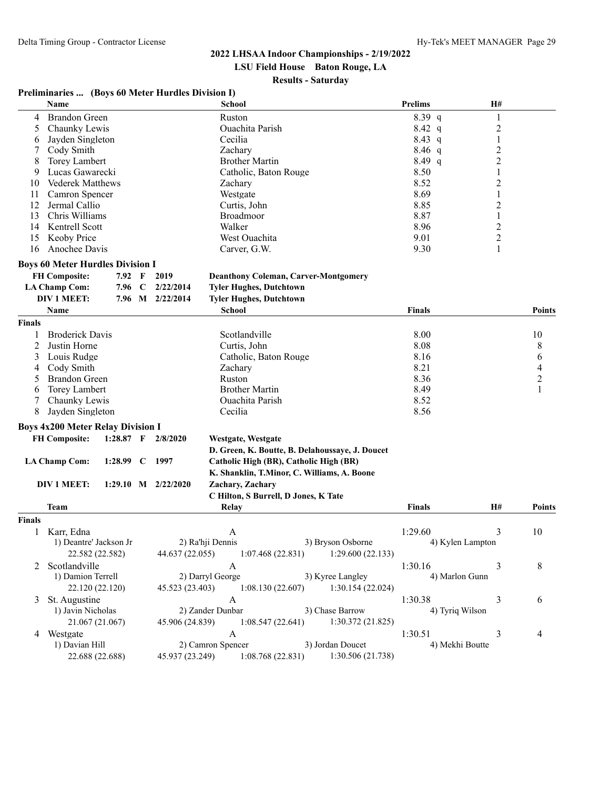**LSU Field House Baton Rouge, LA**

#### **Results - Saturday**

|               | Preliminaries  (Boys 60 Meter Hurdles Division I)<br>Name |             |             |                        | <b>School</b>                          |                                                 | <b>Prelims</b> |                  | H#             |                          |
|---------------|-----------------------------------------------------------|-------------|-------------|------------------------|----------------------------------------|-------------------------------------------------|----------------|------------------|----------------|--------------------------|
| 4             | <b>Brandon Green</b>                                      |             |             |                        | Ruston                                 |                                                 | $8.39$ q       |                  | $\mathbf{1}$   |                          |
| 5.            | Chaunky Lewis                                             |             |             |                        | Ouachita Parish                        |                                                 | $8.42\ q$      |                  | $\overline{c}$ |                          |
| 6             | Jayden Singleton                                          |             |             |                        | Cecilia                                |                                                 | $8.43\ q$      |                  | 1              |                          |
|               | Cody Smith                                                |             |             |                        | Zachary                                |                                                 | 8.46 $q$       |                  | $\overline{c}$ |                          |
| 8             | <b>Torey Lambert</b>                                      |             |             |                        | <b>Brother Martin</b>                  |                                                 | $8.49$ q       |                  | $\overline{c}$ |                          |
| 9             | Lucas Gawarecki                                           |             |             |                        | Catholic, Baton Rouge                  |                                                 | 8.50           |                  | $\mathbf{1}$   |                          |
| 10            | <b>Vederek Matthews</b>                                   |             |             |                        | Zachary                                |                                                 | 8.52           |                  | $\overline{c}$ |                          |
| 11            | Camron Spencer                                            |             |             |                        | Westgate                               |                                                 | 8.69           |                  | 1              |                          |
| 12            | Jermal Callio                                             |             |             |                        | Curtis, John                           |                                                 | 8.85           |                  | 2              |                          |
| 13            | Chris Williams                                            |             |             |                        | Broadmoor                              |                                                 | 8.87           |                  | 1              |                          |
| 14            | Kentrell Scott                                            |             |             |                        | Walker                                 |                                                 | 8.96           |                  | $\overline{c}$ |                          |
| 15            | Keoby Price                                               |             |             |                        | West Ouachita                          |                                                 | 9.01           |                  | $\overline{c}$ |                          |
| 16            | Anochee Davis                                             |             |             |                        | Carver, G.W.                           |                                                 | 9.30           |                  | 1              |                          |
|               | <b>Boys 60 Meter Hurdles Division I</b>                   |             |             |                        |                                        |                                                 |                |                  |                |                          |
|               | <b>FH Composite:</b>                                      | 7.92 F      |             | 2019                   |                                        | <b>Deanthony Coleman, Carver-Montgomery</b>     |                |                  |                |                          |
|               | <b>LA Champ Com:</b>                                      | 7.96        | $\mathbf C$ | 2/22/2014              | <b>Tyler Hughes, Dutchtown</b>         |                                                 |                |                  |                |                          |
|               | <b>DIV 1 MEET:</b>                                        |             |             | 7.96 M 2/22/2014       | <b>Tyler Hughes, Dutchtown</b>         |                                                 |                |                  |                |                          |
|               | <b>Name</b>                                               |             |             |                        | <b>School</b>                          |                                                 | <b>Finals</b>  |                  |                | <b>Points</b>            |
| <b>Finals</b> |                                                           |             |             |                        |                                        |                                                 |                |                  |                |                          |
| 1             | <b>Broderick Davis</b>                                    |             |             |                        | Scotlandville                          |                                                 | 8.00           |                  |                | 10                       |
| 2             | Justin Horne                                              |             |             |                        | Curtis, John                           |                                                 | 8.08           |                  |                | 8                        |
| 3             | Louis Rudge                                               |             |             |                        | Catholic, Baton Rouge                  |                                                 | 8.16           |                  |                | 6                        |
| 4             | Cody Smith                                                |             |             |                        | Zachary                                |                                                 | 8.21           |                  |                | $\overline{\mathcal{A}}$ |
| 5             | <b>Brandon Green</b>                                      |             |             |                        | Ruston                                 |                                                 | 8.36           |                  |                | $\mathbf{2}$             |
| 6             | <b>Torey Lambert</b>                                      |             |             |                        | <b>Brother Martin</b>                  |                                                 | 8.49           |                  |                | 1                        |
| 7             | Chaunky Lewis                                             |             |             |                        | Ouachita Parish                        |                                                 | 8.52           |                  |                |                          |
| 8             | Jayden Singleton                                          |             |             |                        | Cecilia                                |                                                 | 8.56           |                  |                |                          |
|               | <b>Boys 4x200 Meter Relay Division I</b>                  |             |             |                        |                                        |                                                 |                |                  |                |                          |
|               | <b>FH Composite:</b>                                      |             |             | 1:28.87 $F = 2/8/2020$ | Westgate, Westgate                     |                                                 |                |                  |                |                          |
|               |                                                           |             |             |                        |                                        | D. Green, K. Boutte, B. Delahoussaye, J. Doucet |                |                  |                |                          |
|               | <b>LA Champ Com:</b>                                      | 1:28.99 $C$ |             | 1997                   | Catholic High (BR), Catholic High (BR) |                                                 |                |                  |                |                          |
|               |                                                           |             |             |                        |                                        | K. Shanklin, T.Minor, C. Williams, A. Boone     |                |                  |                |                          |
|               | DIV 1 MEET:                                               |             |             | 1:29.10 M $2/22/2020$  | Zachary, Zachary                       |                                                 |                |                  |                |                          |
|               |                                                           |             |             |                        | C Hilton, S Burrell, D Jones, K Tate   |                                                 |                |                  |                |                          |
|               | Team                                                      |             |             |                        | Relay                                  |                                                 | <b>Finals</b>  |                  | <b>H#</b>      | <b>Points</b>            |
| <b>Finals</b> |                                                           |             |             |                        |                                        |                                                 |                |                  |                |                          |
|               | Karr, Edna                                                |             |             |                        | A                                      |                                                 | 1:29.60        |                  | 3              | 10                       |
|               | 1) Deantre' Jackson Jr                                    |             |             |                        | 2) Ra'hji Dennis                       | 3) Bryson Osborne                               |                | 4) Kylen Lampton |                |                          |
|               | 22.582 (22.582)                                           |             |             | 44.637 (22.055)        | 1:07.468(22.831)                       | 1:29.600(22.133)                                |                |                  |                |                          |
| 2             | Scotlandville                                             |             |             |                        | $\mathbf{A}$                           |                                                 | 1:30.16        |                  | 3              | $\,8\,$                  |
|               | 1) Damion Terrell                                         |             |             |                        | 2) Darryl George                       | 3) Kyree Langley                                |                | 4) Marlon Gunn   |                |                          |
|               | 22.120 (22.120)                                           |             |             | 45.523 (23.403)        | 1:08.130(22.607)                       | 1:30.154(22.024)                                |                |                  |                |                          |
| 3             | St. Augustine                                             |             |             |                        | A                                      |                                                 | 1:30.38        |                  | 3              | 6                        |
|               | 1) Javin Nicholas                                         |             |             |                        | 2) Zander Dunbar                       | 3) Chase Barrow                                 |                | 4) Tyriq Wilson  |                |                          |
|               | 21.067 (21.067)                                           |             |             | 45.906 (24.839)        | 1:08.547(22.641)                       | 1:30.372(21.825)                                |                |                  |                |                          |
|               | 4 Westgate                                                |             |             |                        | $\mathbf{A}$                           |                                                 | 1:30.51        |                  | 3              | 4                        |
|               | 1) Davian Hill                                            |             |             |                        | 2) Camron Spencer                      | 3) Jordan Doucet                                |                | 4) Mekhi Boutte  |                |                          |
|               | 22.688 (22.688)                                           |             |             | 45.937 (23.249)        | 1:08.768(22.831)                       | 1:30.506(21.738)                                |                |                  |                |                          |
|               |                                                           |             |             |                        |                                        |                                                 |                |                  |                |                          |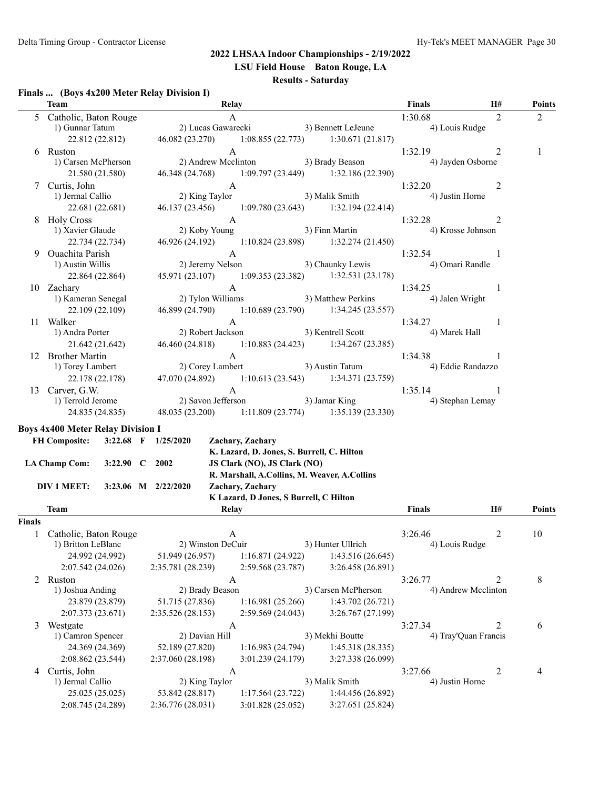**LSU Field House Baton Rouge, LA**

## **Results - Saturday**

#### **Finals ... (Boys 4x200 Meter Relay Division I)**

|               | Team                                                             | Relay                                 |                                                                |                                                     | Finals                   | H#                   | <b>Points</b>  |
|---------------|------------------------------------------------------------------|---------------------------------------|----------------------------------------------------------------|-----------------------------------------------------|--------------------------|----------------------|----------------|
|               | 5 Catholic, Baton Rouge                                          |                                       | $\mathbf{A}$                                                   |                                                     | 1:30.68                  | 2                    | $\overline{2}$ |
|               | 1) Gunnar Tatum                                                  | 2) Lucas Gawarecki 3) Bennett LeJeune |                                                                |                                                     | 4) Louis Rudge           |                      |                |
|               | 22.812 (22.812)                                                  |                                       |                                                                | 46.082 (23.270) 1:08.855 (22.773) 1:30.671 (21.817) |                          |                      |                |
|               | 6 Ruston                                                         |                                       | $\mathbf{A}$                                                   |                                                     | 1:32.19                  | 2                    | 1              |
|               | 1) Carsen McPherson                                              |                                       | 2) Andrew Mcclinton 3) Brady Beason                            |                                                     | 4) Jayden Osborne        |                      |                |
|               | 21.580 (21.580)                                                  |                                       |                                                                | 46.348 (24.768) 1:09.797 (23.449) 1:32.186 (22.390) |                          |                      |                |
|               | 7 Curtis, John                                                   |                                       | $\mathbf{A}$                                                   |                                                     | 1:32.20                  | 2                    |                |
|               | 1) Jermal Callio                                                 | 2) King Taylor                        |                                                                | 3) Malik Smith                                      | 4) Justin Horne          |                      |                |
|               | 22.681 (22.681)                                                  |                                       |                                                                | 46.137 (23.456) 1:09.780 (23.643) 1:32.194 (22.414) |                          |                      |                |
|               | 8 Holy Cross                                                     |                                       | $\mathbf{A}$                                                   |                                                     | 1:32.28                  | 2                    |                |
|               | 1) Xavier Glaude                                                 | 2) Koby Young                         |                                                                | 3) Finn Martin                                      | 4) Krosse Johnson        |                      |                |
|               | 22.734 (22.734)                                                  |                                       |                                                                | 46.926 (24.192) 1:10.824 (23.898) 1:32.274 (21.450) |                          |                      |                |
|               | 9 Ouachita Parish                                                |                                       | $\mathbf{A}$                                                   |                                                     | 1:32.54                  | -1                   |                |
|               | 1) Austin Willis                                                 |                                       |                                                                | 2) Jeremy Nelson 3) Chaunky Lewis                   | 4) Omari Randle          |                      |                |
|               | 22.864 (22.864)                                                  |                                       |                                                                | 45.971 (23.107) 1:09.353 (23.382) 1:32.531 (23.178) |                          |                      |                |
|               | 10 Zachary                                                       |                                       | $\mathbf{A}$<br>2) Tylon Williams 3) Matthew Perkins           |                                                     | 1:34.25                  | -1                   |                |
|               | 1) Kameran Senegal                                               |                                       |                                                                |                                                     | 4) Jalen Wright          |                      |                |
|               | 22.109 (22.109)                                                  |                                       |                                                                | 46.899 (24.790) 1:10.689 (23.790) 1:34.245 (23.557) |                          |                      |                |
|               | 11 Walker<br>1) Andra Porter                                     | 2) Robert Jackson                     | $\mathbf{A}$                                                   | 3) Kentrell Scott                                   | 1:34.27<br>4) Marek Hall | -1                   |                |
|               | 21.642 (21.642)                                                  | 46.460 (24.818)                       |                                                                | $1:10.883(24.423)$ $1:34.267(23.385)$               |                          |                      |                |
|               | 12 Brother Martin                                                |                                       | A                                                              |                                                     | 1:34.38                  | 1                    |                |
|               | 1) Torey Lambert                                                 | 2) Corey Lambert                      |                                                                | 3) Austin Tatum                                     | 4) Eddie Randazzo        |                      |                |
|               | 22.178 (22.178)                                                  | 47.070 (24.892)                       |                                                                | $1:10.613(23.543)$ $1:34.371(23.759)$               |                          |                      |                |
|               | 13 Carver, G.W.                                                  |                                       | $\mathbf{A}$                                                   |                                                     | 1:35.14                  | -1                   |                |
|               | 1) Terrold Jerome                                                | 2) Savon Jefferson                    |                                                                | 3) Jamar King                                       | 4) Stephan Lemay         |                      |                |
|               | 24.835 (24.835)                                                  |                                       |                                                                | 48.035 (23.200) 1:11.809 (23.774) 1:35.139 (23.330) |                          |                      |                |
|               |                                                                  |                                       |                                                                |                                                     |                          |                      |                |
|               | <b>Boys 4x400 Meter Relay Division I</b><br><b>FH Composite:</b> | 3:22.68 F 1/25/2020                   |                                                                |                                                     |                          |                      |                |
|               |                                                                  |                                       | Zachary, Zachary<br>K. Lazard, D. Jones, S. Burrell, C. Hilton |                                                     |                          |                      |                |
|               | <b>LA Champ Com:</b><br>3:22.90 $\,$ C 2002                      |                                       | JS Clark (NO), JS Clark (NO)                                   |                                                     |                          |                      |                |
|               |                                                                  |                                       | R. Marshall, A.Collins, M. Weaver, A.Collins                   |                                                     |                          |                      |                |
|               | DIV 1 MEET:                                                      | 3:23.06 M 2/22/2020                   | Zachary, Zachary                                               |                                                     |                          |                      |                |
|               |                                                                  |                                       | K Lazard, D Jones, S Burrell, C Hilton                         |                                                     |                          |                      |                |
|               | Team                                                             | Relay                                 |                                                                |                                                     | <b>Finals</b>            | H#                   | <b>Points</b>  |
| <b>Finals</b> |                                                                  |                                       |                                                                |                                                     |                          |                      |                |
|               | 1 Catholic, Baton Rouge                                          |                                       | A                                                              |                                                     | 3:26.46                  | 2                    | 10             |
|               | 1) Britton LeBlanc                                               | 2) Winston DeCuir                     |                                                                | 3) Hunter Ullrich                                   | 4) Louis Rudge           |                      |                |
|               | 24.992 (24.992)                                                  | 51.949 (26.957)                       | 1:16.871 (24.922)                                              | 1:43.516(26.645)                                    |                          |                      |                |
|               | 2:07.542 (24.026)                                                | 2:35.781 (28.239)                     | 2:59.568 (23.787)                                              | 3:26.458 (26.891)                                   |                          |                      |                |
|               | 2 Ruston                                                         |                                       | A                                                              |                                                     | 3:26.77                  | 2                    | 8              |
|               | 1) Joshua Anding                                                 | 2) Brady Beason                       |                                                                | 3) Carsen McPherson                                 |                          | 4) Andrew Mcclinton  |                |
|               | 23.879 (23.879)                                                  | 51.715 (27.836)                       | 1:16.981(25.266)                                               | 1:43.702 (26.721)                                   |                          |                      |                |
|               | 2:07.373 (23.671)                                                | 2:35.526 (28.153)                     | 2:59.569 (24.043)                                              | 3:26.767 (27.199)                                   |                          |                      |                |
| 3             | Westgate                                                         |                                       | A                                                              |                                                     | 3:27.34                  | 2                    | 6              |
|               | 1) Camron Spencer                                                | 2) Davian Hill                        |                                                                | 3) Mekhi Boutte                                     |                          | 4) Tray'Quan Francis |                |
|               | 24.369 (24.369)                                                  | 52.189 (27.820)                       | 1:16.983(24.794)                                               | 1:45.318(28.335)                                    |                          |                      |                |
|               | 2:08.862 (23.544)                                                | 2:37.060 (28.198)                     | 3:01.239 (24.179)                                              | 3:27.338 (26.099)                                   |                          |                      |                |
| 4             | Curtis, John                                                     |                                       | A                                                              |                                                     | 3:27.66                  | 2                    | 4              |
|               | 1) Jermal Callio                                                 | 2) King Taylor                        |                                                                | 3) Malik Smith                                      | 4) Justin Horne          |                      |                |
|               | 25.025 (25.025)                                                  | 53.842 (28.817)                       | 1:17.564 (23.722)                                              | 1:44.456 (26.892)                                   |                          |                      |                |
|               | 2:08.745 (24.289)                                                | 2:36.776 (28.031)                     | 3:01.828 (25.052)                                              | 3:27.651 (25.824)                                   |                          |                      |                |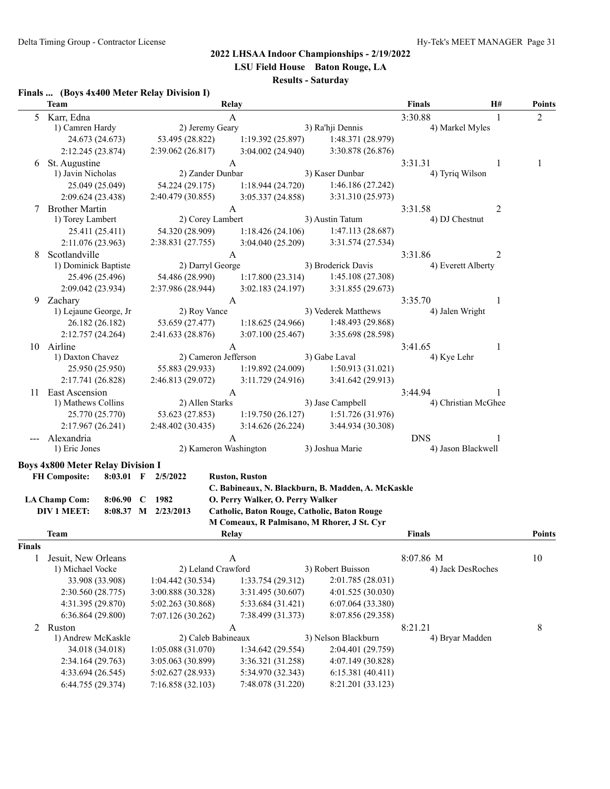**LSU Field House Baton Rouge, LA**

## **Results - Saturday**

#### **Finals ... (Boys 4x400 Meter Relay Division I)**

|        | <b>Team</b>                              |                     | Relay                                        |                                                    | <b>Finals</b>                  | H#                  | <b>Points</b>  |
|--------|------------------------------------------|---------------------|----------------------------------------------|----------------------------------------------------|--------------------------------|---------------------|----------------|
| 5      | Karr, Edna                               |                     | A                                            |                                                    | 3:30.88                        | -1                  | $\overline{2}$ |
|        | 1) Camren Hardy                          | 2) Jeremy Geary     |                                              | 3) Ra'hji Dennis                                   | 4) Markel Myles                |                     |                |
|        | 24.673 (24.673)                          | 53.495 (28.822)     | 1:19.392(25.897)                             | 1:48.371 (28.979)                                  |                                |                     |                |
|        | 2:12.245 (23.874)                        | 2:39.062 (26.817)   | 3:04.002(24.940)                             | 3:30.878 (26.876)                                  |                                |                     |                |
| 6      | St. Augustine                            |                     | A                                            |                                                    | 3:31.31                        | 1                   | 1              |
|        | 1) Javin Nicholas                        | 2) Zander Dunbar    |                                              | 3) Kaser Dunbar                                    | 4) Tyriq Wilson                |                     |                |
|        | 25.049 (25.049)                          | 54.224 (29.175)     | 1:18.944(24.720)                             | 1:46.186 (27.242)                                  |                                |                     |                |
|        | 2:09.624 (23.438)                        | 2:40.479 (30.855)   | 3:05.337 (24.858)                            | 3:31.310 (25.973)                                  |                                |                     |                |
| 7      | <b>Brother Martin</b>                    |                     | A                                            |                                                    | 3:31.58                        | 2                   |                |
|        | 1) Torey Lambert                         | 2) Corey Lambert    |                                              | 3) Austin Tatum                                    | 4) DJ Chestnut                 |                     |                |
|        | 25.411 (25.411)                          | 54.320 (28.909)     | 1:18.426(24.106)                             | 1:47.113 (28.687)                                  |                                |                     |                |
|        | 2:11.076 (23.963)                        | 2:38.831 (27.755)   | 3:04.040 (25.209)                            | 3:31.574 (27.534)                                  |                                |                     |                |
| 8      | Scotlandville                            |                     | A                                            |                                                    | 3:31.86                        | 2                   |                |
|        | 1) Dominick Baptiste                     | 2) Darryl George    |                                              | 3) Broderick Davis                                 | 4) Everett Alberty             |                     |                |
|        | 25.496 (25.496)                          | 54.486 (28.990)     | 1:17.800(23.314)                             | 1:45.108 (27.308)                                  |                                |                     |                |
|        | 2:09.042 (23.934)                        | 2:37.986 (28.944)   | 3:02.183(24.197)                             | 3:31.855 (29.673)                                  |                                |                     |                |
|        | 9 Zachary                                |                     | A                                            |                                                    | 3:35.70                        | 1                   |                |
|        | 1) Lejaune George, Jr                    | 2) Roy Vance        |                                              | 3) Vederek Matthews                                | 4) Jalen Wright                |                     |                |
|        | 26.182 (26.182)                          | 53.659 (27.477)     | 1:18.625(24.966)                             | 1:48.493 (29.868)                                  |                                |                     |                |
|        | 2:12.757(24.264)                         | 2:41.633 (28.876)   | 3:07.100(25.467)                             | 3:35.698 (28.598)                                  |                                |                     |                |
|        | 10 Airline                               |                     | A                                            |                                                    | 3:41.65                        | 1                   |                |
|        | 1) Daxton Chavez                         |                     | 2) Cameron Jefferson                         | 3) Gabe Laval                                      | 4) Kye Lehr                    |                     |                |
|        | 25.950 (25.950)                          | 55.883 (29.933)     | 1:19.892 (24.009)                            | 1:50.913(31.021)                                   |                                |                     |                |
|        | 2:17.741 (26.828)                        | 2:46.813 (29.072)   | 3:11.729 (24.916)                            | 3:41.642 (29.913)                                  |                                |                     |                |
| 11     | East Ascension                           |                     | A                                            |                                                    | 3:44.94                        |                     |                |
|        | 1) Mathews Collins                       | 2) Allen Starks     |                                              | 3) Jase Campbell                                   |                                | 4) Christian McGhee |                |
|        | 25.770 (25.770)                          | 53.623 (27.853)     | 1:19.750(26.127)                             | 1:51.726(31.976)                                   |                                |                     |                |
|        | 2:17.967(26.241)                         | 2:48.402 (30.435)   | 3:14.626(26.224)                             | 3:44.934 (30.308)                                  |                                |                     |                |
|        | Alexandria                               |                     | A                                            |                                                    | <b>DNS</b>                     | -1                  |                |
|        | 1) Eric Jones                            |                     | 2) Kameron Washington                        | 3) Joshua Marie                                    | 4) Jason Blackwell             |                     |                |
|        |                                          |                     |                                              |                                                    |                                |                     |                |
|        | <b>Boys 4x800 Meter Relay Division I</b> |                     |                                              |                                                    |                                |                     |                |
|        | <b>FH Composite:</b><br>$8:03.01$ F      | 2/5/2022            | <b>Ruston, Ruston</b>                        |                                                    |                                |                     |                |
|        |                                          |                     |                                              | C. Babineaux, N. Blackburn, B. Madden, A. McKaskle |                                |                     |                |
|        | <b>LA Champ Com:</b><br>8:06.90          | 1982<br>$\mathbf C$ | O. Perry Walker, O. Perry Walker             |                                                    |                                |                     |                |
|        | <b>DIV 1 MEET:</b>                       | 8:08.37 M 2/23/2013 | Catholic, Baton Rouge, Catholic, Baton Rouge |                                                    |                                |                     |                |
|        | Team                                     |                     | M Comeaux, R Palmisano, M Rhorer, J St. Cyr  |                                                    | <b>Finals</b>                  |                     | <b>Points</b>  |
|        |                                          |                     | <b>Relay</b>                                 |                                                    |                                |                     |                |
| Finals |                                          |                     |                                              |                                                    |                                |                     |                |
| 1      | Jesuit, New Orleans<br>1) Michael Vocke  | 2) Leland Crawford  | A                                            | 3) Robert Buisson                                  | 8:07.86 M<br>4) Jack DesRoches |                     | 10             |
|        | 33.908 (33.908)                          | 1:04.442 (30.534)   | 1:33.754 (29.312)                            | 2:01.785 (28.031)                                  |                                |                     |                |
|        |                                          | 3:00.888 (30.328)   |                                              |                                                    |                                |                     |                |
|        | 2:30.560 (28.775)                        |                     | 3:31.495 (30.607)                            | 4:01.525(30.030)                                   |                                |                     |                |
|        | 4:31.395 (29.870)                        | 5:02.263 (30.868)   | 5:33.684 (31.421)                            | 6:07.064(33.380)                                   |                                |                     |                |
|        | 6:36.864(29.800)                         | 7:07.126 (30.262)   | 7:38.499 (31.373)                            | 8:07.856 (29.358)                                  |                                |                     |                |
| 2      | Ruston                                   |                     | A                                            |                                                    | 8:21.21                        |                     | 8              |
|        | 1) Andrew McKaskle                       | 2) Caleb Babineaux  |                                              | 3) Nelson Blackburn                                | 4) Bryar Madden                |                     |                |
|        | 34.018 (34.018)                          | 1:05.088(31.070)    | 1:34.642 (29.554)                            | 2:04.401 (29.759)                                  |                                |                     |                |
|        | 2:34.164 (29.763)                        | 3:05.063 (30.899)   | 3:36.321 (31.258)                            | 4:07.149 (30.828)                                  |                                |                     |                |
|        | 4:33.694 (26.545)                        | 5:02.627 (28.933)   | 5:34.970 (32.343)                            | 6:15.381(40.411)                                   |                                |                     |                |
|        | 6:44.755 (29.374)                        | 7:16.858 (32.103)   | 7:48.078 (31.220)                            | 8:21.201 (33.123)                                  |                                |                     |                |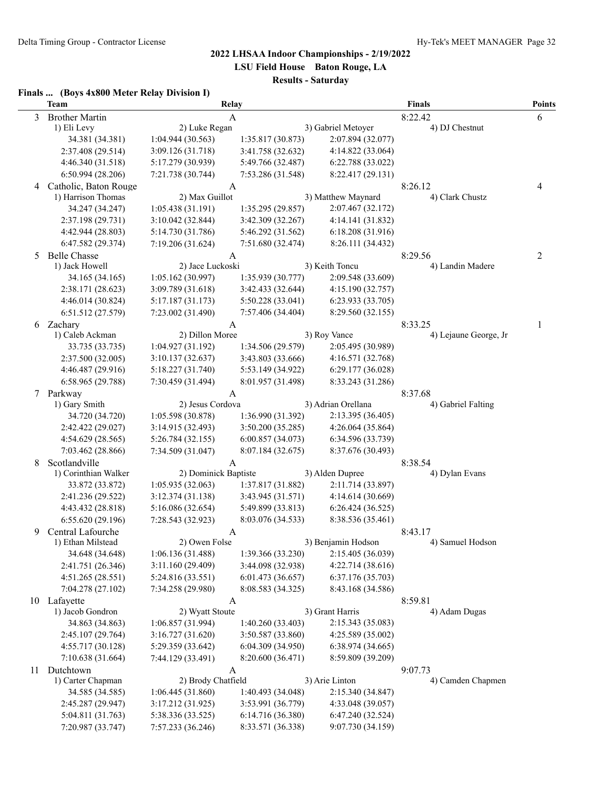**LSU Field House Baton Rouge, LA**

**Results - Saturday**

#### **Finals ... (Boys 4x800 Meter Relay Division I)**

|    | <b>Team</b>                            |                                        |                                        | Relay                                  |                       |              |  |  |  |
|----|----------------------------------------|----------------------------------------|----------------------------------------|----------------------------------------|-----------------------|--------------|--|--|--|
| 3  | <b>Brother Martin</b>                  | A                                      |                                        |                                        | 8:22.42               | 6            |  |  |  |
|    | 1) Eli Levy                            | 2) Luke Regan                          |                                        | 3) Gabriel Metoyer                     | 4) DJ Chestnut        |              |  |  |  |
|    | 34.381 (34.381)                        | 1:04.944(30.563)                       | 1:35.817 (30.873)                      | 2:07.894 (32.077)                      |                       |              |  |  |  |
|    | 2:37.408 (29.514)                      | 3:09.126 (31.718)                      | 3:41.758 (32.632)                      | 4:14.822 (33.064)                      |                       |              |  |  |  |
|    | 4:46.340 (31.518)                      | 5:17.279 (30.939)                      | 5:49.766 (32.487)                      | 6:22.788 (33.022)                      |                       |              |  |  |  |
|    | 6:50.994 (28.206)                      | 7:21.738 (30.744)                      | 7:53.286 (31.548)                      | 8:22.417 (29.131)                      |                       |              |  |  |  |
| 4  | Catholic, Baton Rouge                  | A                                      |                                        |                                        | 8:26.12               | 4            |  |  |  |
|    | 1) Harrison Thomas                     | 2) Max Guillot                         |                                        | 3) Matthew Maynard                     | 4) Clark Chustz       |              |  |  |  |
|    | 34.247 (34.247)                        | 1:05.438(31.191)                       | 1:35.295(29.857)                       | 2:07.467 (32.172)                      |                       |              |  |  |  |
|    | 2:37.198 (29.731)                      | 3:10.042(32.844)                       | 3:42.309 (32.267)                      | 4:14.141 (31.832)                      |                       |              |  |  |  |
|    | 4:42.944 (28.803)                      | 5:14.730 (31.786)                      | 5:46.292 (31.562)                      | 6:18.208 (31.916)                      |                       |              |  |  |  |
|    | 6:47.582 (29.374)                      | 7:19.206 (31.624)                      | 7:51.680 (32.474)                      | 8:26.111 (34.432)                      |                       |              |  |  |  |
| 5  | <b>Belle Chasse</b>                    | A                                      |                                        |                                        | 8:29.56               | 2            |  |  |  |
|    | 1) Jack Howell                         | 2) Jace Luckoski                       |                                        | 3) Keith Toncu                         | 4) Landin Madere      |              |  |  |  |
|    | 34.165 (34.165)                        | 1:05.162 (30.997)                      | 1:35.939 (30.777)                      | 2:09.548 (33.609)                      |                       |              |  |  |  |
|    | 2:38.171 (28.623)                      | 3:09.789 (31.618)                      | 3:42.433 (32.644)                      | 4:15.190(32.757)                       |                       |              |  |  |  |
|    | 4:46.014 (30.824)<br>6:51.512 (27.579) | 5:17.187 (31.173)<br>7:23.002 (31.490) | 5:50.228 (33.041)<br>7:57.406 (34.404) | 6:23.933 (33.705)<br>8:29.560 (32.155) |                       |              |  |  |  |
|    | Zachary                                |                                        |                                        |                                        | 8:33.25               |              |  |  |  |
| 6  | 1) Caleb Ackman                        | A<br>2) Dillon Moree                   |                                        | 3) Roy Vance                           | 4) Lejaune George, Jr | $\mathbf{1}$ |  |  |  |
|    | 33.735 (33.735)                        | 1:04.927 (31.192)                      | 1:34.506 (29.579)                      | 2:05.495 (30.989)                      |                       |              |  |  |  |
|    | 2:37.500 (32.005)                      | 3:10.137(32.637)                       | 3:43.803 (33.666)                      | 4:16.571 (32.768)                      |                       |              |  |  |  |
|    | 4:46.487 (29.916)                      | 5:18.227 (31.740)                      | 5:53.149 (34.922)                      | 6:29.177 (36.028)                      |                       |              |  |  |  |
|    | 6:58.965 (29.788)                      | 7:30.459 (31.494)                      | 8:01.957 (31.498)                      | 8:33.243 (31.286)                      |                       |              |  |  |  |
| 7  | Parkway                                | A                                      |                                        |                                        | 8:37.68               |              |  |  |  |
|    | 1) Gary Smith                          | 2) Jesus Cordova                       |                                        | 3) Adrian Orellana                     | 4) Gabriel Falting    |              |  |  |  |
|    | 34.720 (34.720)                        | 1:05.598 (30.878)                      | 1:36.990 (31.392)                      | 2:13.395 (36.405)                      |                       |              |  |  |  |
|    | 2:42.422 (29.027)                      | 3:14.915 (32.493)                      | 3:50.200 (35.285)                      | 4:26.064(35.864)                       |                       |              |  |  |  |
|    | 4:54.629 (28.565)                      | 5:26.784 (32.155)                      | 6:00.857 (34.073)                      | 6:34.596 (33.739)                      |                       |              |  |  |  |
|    | 7:03.462 (28.866)                      | 7:34.509 (31.047)                      | 8:07.184 (32.675)                      | 8:37.676 (30.493)                      |                       |              |  |  |  |
| 8  | Scotlandville                          | A                                      |                                        |                                        | 8:38.54               |              |  |  |  |
|    | 1) Corinthian Walker                   | 2) Dominick Baptiste                   |                                        | 3) Alden Dupree                        | 4) Dylan Evans        |              |  |  |  |
|    | 33.872 (33.872)                        | 1:05.935(32.063)                       | 1:37.817 (31.882)                      | 2:11.714 (33.897)                      |                       |              |  |  |  |
|    | 2:41.236 (29.522)                      | 3:12.374(31.138)                       | 3:43.945 (31.571)                      | 4:14.614 (30.669)                      |                       |              |  |  |  |
|    | 4:43.432 (28.818)                      | 5:16.086 (32.654)                      | 5:49.899 (33.813)                      | 6:26.424(36.525)                       |                       |              |  |  |  |
|    | 6:55.620 (29.196)                      | 7:28.543 (32.923)                      | 8:03.076 (34.533)                      | 8:38.536 (35.461)                      |                       |              |  |  |  |
| 9  | Central Lafourche                      | A                                      |                                        |                                        | 8:43.17               |              |  |  |  |
|    | 1) Ethan Milstead                      | 2) Owen Folse                          |                                        | 3) Benjamin Hodson                     | 4) Samuel Hodson      |              |  |  |  |
|    | 34.648 (34.648)                        | 1:06.136 (31.488)                      | 1:39.366 (33.230)                      | 2:15.405 (36.039)                      |                       |              |  |  |  |
|    | 2:41.751 (26.346)                      | 3:11.160 (29.409)                      | 3:44.098 (32.938)                      | 4:22.714 (38.616)                      |                       |              |  |  |  |
|    | 4:51.265(28.551)                       | 5:24.816 (33.551)                      | 6:01.473 (36.657)                      | 6:37.176 (35.703)                      |                       |              |  |  |  |
|    | 7:04.278 (27.102)                      | 7:34.258 (29.980)                      | 8:08.583 (34.325)                      | 8:43.168 (34.586)                      |                       |              |  |  |  |
|    | 10 Lafayette                           | A                                      |                                        |                                        | 8:59.81               |              |  |  |  |
|    | 1) Jacob Gondron                       | 2) Wyatt Stoute                        |                                        | 3) Grant Harris                        | 4) Adam Dugas         |              |  |  |  |
|    | 34.863 (34.863)                        | 1:06.857(31.994)                       | 1:40.260 (33.403)                      | 2:15.343 (35.083)                      |                       |              |  |  |  |
|    | 2:45.107 (29.764)                      | 3:16.727 (31.620)                      | 3:50.587 (33.860)                      | 4:25.589 (35.002)                      |                       |              |  |  |  |
|    | 4:55.717 (30.128)                      | 5:29.359 (33.642)                      | 6:04.309 (34.950)                      | 6:38.974 (34.665)                      |                       |              |  |  |  |
|    | 7:10.638 (31.664)                      | 7:44.129 (33.491)                      | 8:20.600 (36.471)                      | 8:59.809 (39.209)                      |                       |              |  |  |  |
| 11 | Dutchtown                              | A                                      |                                        |                                        | 9:07.73               |              |  |  |  |
|    | 1) Carter Chapman                      | 2) Brody Chatfield                     |                                        | 3) Arie Linton                         | 4) Camden Chapmen     |              |  |  |  |
|    | 34.585 (34.585)                        | 1:06.445 (31.860)                      | 1:40.493 (34.048)                      | 2:15.340 (34.847)                      |                       |              |  |  |  |
|    | 2:45.287 (29.947)                      | 3:17.212 (31.925)                      | 3:53.991 (36.779)                      | 4:33.048 (39.057)                      |                       |              |  |  |  |
|    | 5:04.811 (31.763)                      | 5:38.336 (33.525)                      | 6:14.716 (36.380)                      | 6:47.240 (32.524)                      |                       |              |  |  |  |
|    | 7:20.987 (33.747)                      | 7:57.233 (36.246)                      | 8:33.571 (36.338)                      | 9:07.730 (34.159)                      |                       |              |  |  |  |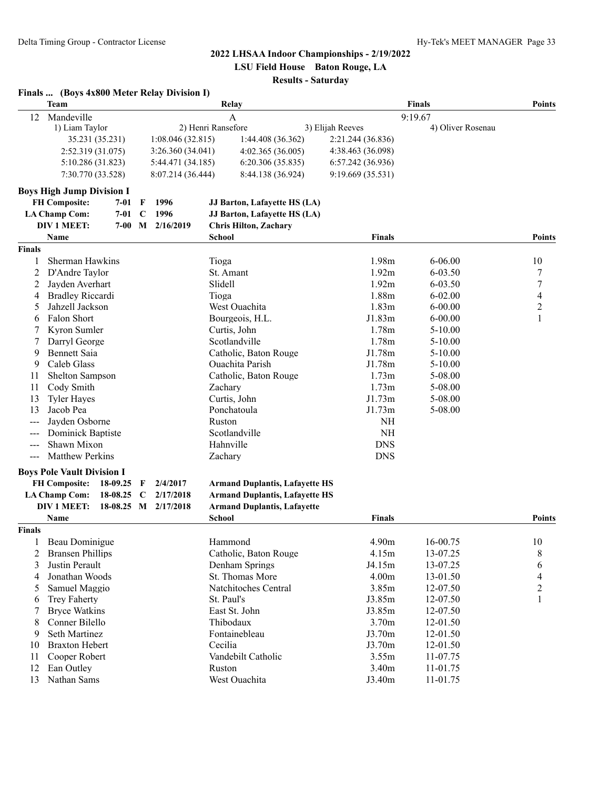#### **2022 LHSAA Indoor Championships - 2/19/2022 LSU Field House Baton Rouge, LA**

**Results - Saturday**

|               | Finals  (Boys 4x800 Meter Relay Division I)               |          |                       |                   |                                       |                   |                      |                                         |
|---------------|-----------------------------------------------------------|----------|-----------------------|-------------------|---------------------------------------|-------------------|----------------------|-----------------------------------------|
|               | Team                                                      |          |                       |                   | Relay                                 |                   | <b>Finals</b>        | <b>Points</b>                           |
| 12            | Mandeville                                                |          |                       |                   | A                                     |                   | 9:19.67              |                                         |
|               | 1) Liam Taylor                                            |          |                       |                   | 2) Henri Ransefore                    | 3) Elijah Reeves  | 4) Oliver Rosenau    |                                         |
|               | 35.231 (35.231)                                           |          |                       | 1:08.046(32.815)  | 1:44.408 (36.362)                     | 2:21.244 (36.836) |                      |                                         |
|               | 2:52.319 (31.075)                                         |          |                       | 3:26.360 (34.041) | 4:02.365 (36.005)                     | 4:38.463 (36.098) |                      |                                         |
|               | 5:10.286 (31.823)                                         |          |                       | 5:44.471 (34.185) | 6:20.306(35.835)                      | 6:57.242 (36.936) |                      |                                         |
|               | 7:30.770 (33.528)                                         |          |                       | 8:07.214 (36.444) | 8:44.138 (36.924)                     | 9:19.669 (35.531) |                      |                                         |
|               | <b>Boys High Jump Division I</b>                          |          |                       |                   |                                       |                   |                      |                                         |
|               | <b>FH Composite:</b>                                      | $7 - 01$ | F                     | 1996              | JJ Barton, Lafayette HS (LA)          |                   |                      |                                         |
|               | <b>LA Champ Com:</b>                                      | $7 - 01$ | $\mathbf C$           | 1996              | JJ Barton, Lafayette HS (LA)          |                   |                      |                                         |
|               | <b>DIV 1 MEET:</b>                                        | $7-00$   | M                     | 2/16/2019         | <b>Chris Hilton, Zachary</b>          |                   |                      |                                         |
|               | Name                                                      |          |                       |                   | <b>School</b>                         | <b>Finals</b>     |                      | <b>Points</b>                           |
| <b>Finals</b> |                                                           |          |                       |                   |                                       |                   |                      |                                         |
| 1             | Sherman Hawkins                                           |          |                       |                   | Tioga                                 | 1.98m             | $6 - 06.00$          | 10                                      |
| 2             | D'Andre Taylor                                            |          |                       |                   | St. Amant                             | 1.92m             | 6-03.50              | 7                                       |
| 2             | Jayden Averhart                                           |          |                       |                   | Slidell                               | 1.92m             | $6 - 03.50$          | $\overline{7}$                          |
| 4             | <b>Bradley Riccardi</b>                                   |          |                       |                   | Tioga                                 | 1.88m             | $6 - 02.00$          | $\overline{\mathbf{4}}$                 |
| 5             | Jahzell Jackson                                           |          |                       |                   | West Ouachita                         | 1.83m             | $6 - 00.00$          | $\overline{c}$                          |
| 6             | Falon Short                                               |          |                       |                   | Bourgeois, H.L.                       | J1.83m            | $6 - 00.00$          | $\mathbf{1}$                            |
| 7             | Kyron Sumler                                              |          |                       |                   | Curtis, John                          | 1.78m             | $5 - 10.00$          |                                         |
| 7             | Darryl George                                             |          |                       |                   | Scotlandville                         | 1.78m             | $5 - 10.00$          |                                         |
| 9             | <b>Bennett Saia</b>                                       |          | Catholic, Baton Rouge | J1.78m            | $5 - 10.00$                           |                   |                      |                                         |
| 9             | Caleb Glass                                               |          | Ouachita Parish       | J1.78m            | $5 - 10.00$                           |                   |                      |                                         |
| 11            | Shelton Sampson                                           |          |                       |                   | Catholic, Baton Rouge                 | 1.73m             | 5-08.00              |                                         |
| 11            | Cody Smith                                                |          |                       |                   | Zachary                               | 1.73m             | 5-08.00              |                                         |
| 13            | <b>Tyler Hayes</b>                                        |          |                       |                   | Curtis, John                          | J1.73m            | 5-08.00              |                                         |
| 13            | Jacob Pea                                                 |          |                       |                   | Ponchatoula                           | J1.73m            | 5-08.00              |                                         |
|               | Jayden Osborne                                            |          |                       |                   | Ruston                                | NH                |                      |                                         |
|               | Dominick Baptiste                                         |          |                       |                   | Scotlandville                         | <b>NH</b>         |                      |                                         |
| $---$         | Shawn Mixon                                               |          |                       |                   | Hahnville                             | <b>DNS</b>        |                      |                                         |
| $---$         | <b>Matthew Perkins</b>                                    |          |                       |                   | Zachary                               | <b>DNS</b>        |                      |                                         |
|               |                                                           |          |                       |                   |                                       |                   |                      |                                         |
|               | <b>Boys Pole Vault Division I</b><br><b>FH Composite:</b> | 18-09.25 | F                     | 2/4/2017          | <b>Armand Duplantis, Lafayette HS</b> |                   |                      |                                         |
|               | <b>LA Champ Com:</b>                                      | 18-08.25 | C                     | 2/17/2018         | <b>Armand Duplantis, Lafayette HS</b> |                   |                      |                                         |
|               | <b>DIV 1 MEET:</b>                                        | 18-08.25 | M                     | 2/17/2018         | <b>Armand Duplantis, Lafayette</b>    |                   |                      |                                         |
|               | Name                                                      |          |                       |                   | School                                | Finals            |                      | <b>Points</b>                           |
| <b>Finals</b> |                                                           |          |                       |                   |                                       |                   |                      |                                         |
| 1             | Beau Dominigue                                            |          |                       |                   | Hammond                               | 4.90m             | 16-00.75             | 10                                      |
| 2             | <b>Bransen Phillips</b>                                   |          |                       |                   | Catholic, Baton Rouge                 | 4.15m             | 13-07.25             | 8                                       |
| 3             | Justin Perault                                            |          |                       |                   | Denham Springs                        | J4.15m            | 13-07.25             | 6                                       |
| 4             | Jonathan Woods                                            |          |                       |                   | St. Thomas More                       | 4.00m             | 13-01.50             | 4                                       |
|               | Samuel Maggio                                             |          |                       |                   | Natchitoches Central                  | 3.85m             | 12-07.50             |                                         |
| 5             |                                                           |          |                       |                   | St. Paul's                            |                   |                      | $\overline{\mathbf{c}}$<br>$\mathbf{1}$ |
| 6             | <b>Trey Faherty</b><br><b>Bryce Watkins</b>               |          |                       |                   | East St. John                         | J3.85m<br>J3.85m  | 12-07.50<br>12-07.50 |                                         |
| 7             | Conner Bilello                                            |          |                       |                   | Thibodaux                             |                   |                      |                                         |
| 8             |                                                           |          |                       |                   |                                       | 3.70m             | 12-01.50             |                                         |
| 9             | Seth Martinez                                             |          |                       |                   | Fontainebleau                         | J3.70m            | 12-01.50             |                                         |
| 10            | <b>Braxton Hebert</b>                                     |          |                       |                   | Cecilia                               | J3.70m            | 12-01.50             |                                         |
| 11            | Cooper Robert                                             |          |                       |                   | Vandebilt Catholic                    | 3.55m             | 11-07.75             |                                         |
| 12            | Ean Outley                                                |          |                       |                   | Ruston                                | 3.40m             | 11-01.75             |                                         |
| 13            | Nathan Sams                                               |          |                       |                   | West Ouachita                         | J3.40m            | 11-01.75             |                                         |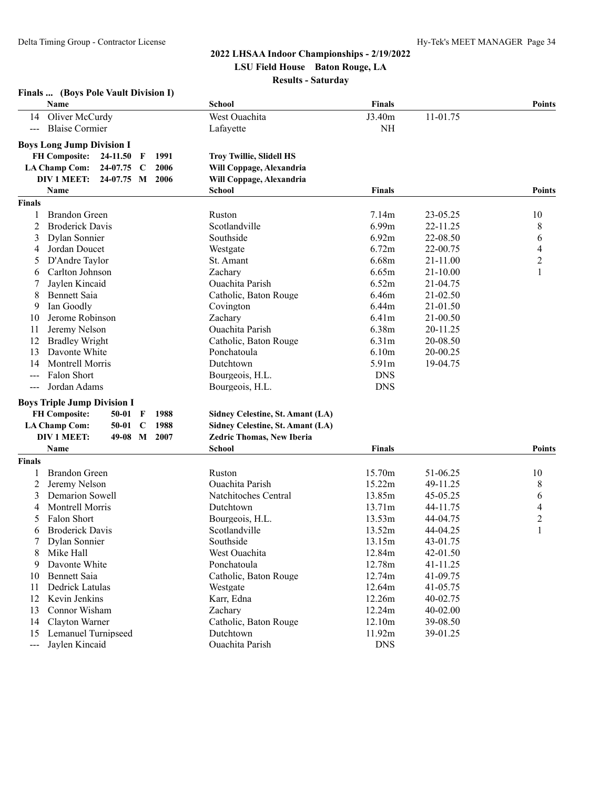**Finals ... (Boys Pole Vault Division I)**

# **2022 LHSAA Indoor Championships - 2/19/2022 LSU Field House Baton Rouge, LA**

**Results - Saturday**

| West Ouachita<br>J3.40m<br>11-01.75<br>14 Oliver McCurdy<br><b>Blaise Cormier</b><br><b>NH</b><br>Lafayette<br>$\frac{1}{2}$<br><b>Boys Long Jump Division I</b><br><b>FH Composite:</b><br>1991<br>24-11.50<br>$\mathbf{F}$<br><b>Troy Twillie, Slidell HS</b><br><b>LA Champ Com:</b><br>24-07.75<br>2006<br>Will Coppage, Alexandria<br>$\mathbf C$<br><b>DIV 1 MEET:</b><br>24-07.75 M 2006<br>Will Coppage, Alexandria<br>Name<br>School<br><b>Finals</b><br><b>Points</b><br>Finals<br>7.14m<br><b>Brandon Green</b><br>Ruston<br>23-05.25<br>10<br>6.99m<br><b>Broderick Davis</b><br>Scotlandville<br>22-11.25<br>8<br>2<br>Southside<br>6.92m<br>6<br>Dylan Sonnier<br>22-08.50<br>3<br>$\overline{\mathcal{L}}$<br>Jordan Doucet<br>6.72m<br>Westgate<br>22-00.75<br>4<br>$\overline{2}$<br>6.68m<br>D'Andre Taylor<br>St. Amant<br>21-11.00<br>5<br>Zachary<br>$\mathbf{1}$<br>Carlton Johnson<br>6.65m<br>21-10.00<br>6<br>Jaylen Kincaid<br>Ouachita Parish<br>6.52m<br>21-04.75<br>6.46m<br>8<br>Bennett Saia<br>Catholic, Baton Rouge<br>21-02.50<br>Ian Goodly<br>6.44m<br>Covington<br>21-01.50<br>9<br>Jerome Robinson<br>Zachary<br>6.41m<br>21-00.50<br>10<br>Ouachita Parish<br>6.38m<br>Jeremy Nelson<br>20-11.25<br>11<br><b>Bradley Wright</b><br>6.31 <sub>m</sub><br>12<br>Catholic, Baton Rouge<br>20-08.50<br>Davonte White<br>Ponchatoula<br>6.10 <sub>m</sub><br>13<br>20-00.25<br>Montrell Morris<br>Dutchtown<br>5.91m<br>14<br>19-04.75<br>Falon Short<br>Bourgeois, H.L.<br><b>DNS</b><br><b>DNS</b><br>Jordan Adams<br>Bourgeois, H.L.<br>$\sim$ $\sim$ $\sim$<br><b>Boys Triple Jump Division I</b><br><b>FH Composite:</b><br>1988<br>$50-01$<br>Sidney Celestine, St. Amant (LA)<br>F<br><b>LA Champ Com:</b><br>$50 - 01$<br>1988<br>Sidney Celestine, St. Amant (LA)<br>$\mathbf C$<br>DIV 1 MEET:<br>49-08<br>$\mathbf M$<br>2007<br>Zedric Thomas, New Iberia<br>Name<br><b>Finals</b><br><b>Points</b><br>School<br><b>Finals</b><br>15.70m<br><b>Brandon Green</b><br>51-06.25<br>10<br>Ruston<br>Ouachita Parish<br>15.22m<br>8<br>2<br>Jeremy Nelson<br>49-11.25<br>Demarion Sowell<br>13.85m<br>Natchitoches Central<br>45-05.25<br>6<br>3<br>4<br>Montrell Morris<br>13.71m<br>Dutchtown<br>44-11.75<br>4<br>$\overline{c}$<br>Falon Short<br>13.53m<br>Bourgeois, H.L.<br>44-04.75<br>5<br>$\mathbf{1}$<br><b>Broderick Davis</b><br>Scotlandville<br>13.52m<br>44-04.25<br>6<br>7<br>Dylan Sonnier<br>Southside<br>13.15m<br>43-01.75<br>Mike Hall<br>West Ouachita<br>12.84m<br>8<br>42-01.50<br>Davonte White<br>Ponchatoula<br>12.78m<br>41-11.25<br>9<br><b>Bennett Saia</b><br>12.74m<br>10<br>Catholic, Baton Rouge<br>41-09.75<br>Westgate<br>12.64m<br>11<br>Dedrick Latulas<br>41-05.75<br>Karr, Edna<br>12.26m<br>12<br>Kevin Jenkins<br>40-02.75<br>12.24m<br>Connor Wisham<br>Zachary<br>40-02.00<br>13<br>Clayton Warner<br>Catholic, Baton Rouge<br>12.10m<br>14<br>39-08.50<br>Lemanuel Turnipseed<br>Dutchtown<br>11.92m<br>39-01.25<br>15 |                                                                                                | Name           |  |  |  | <b>School</b>   | <b>Finals</b> | <b>Points</b> |
|--------------------------------------------------------------------------------------------------------------------------------------------------------------------------------------------------------------------------------------------------------------------------------------------------------------------------------------------------------------------------------------------------------------------------------------------------------------------------------------------------------------------------------------------------------------------------------------------------------------------------------------------------------------------------------------------------------------------------------------------------------------------------------------------------------------------------------------------------------------------------------------------------------------------------------------------------------------------------------------------------------------------------------------------------------------------------------------------------------------------------------------------------------------------------------------------------------------------------------------------------------------------------------------------------------------------------------------------------------------------------------------------------------------------------------------------------------------------------------------------------------------------------------------------------------------------------------------------------------------------------------------------------------------------------------------------------------------------------------------------------------------------------------------------------------------------------------------------------------------------------------------------------------------------------------------------------------------------------------------------------------------------------------------------------------------------------------------------------------------------------------------------------------------------------------------------------------------------------------------------------------------------------------------------------------------------------------------------------------------------------------------------------------------------------------------------------------------------------------------------------------------------------------------------------------------------------------------------------------------------------------------------------------------------------------------------------------------------------------------------------------------------------------------------------------------------------------------------------------------------------------------------------------------------------------------------------------------------------------------------------------------|------------------------------------------------------------------------------------------------|----------------|--|--|--|-----------------|---------------|---------------|
|                                                                                                                                                                                                                                                                                                                                                                                                                                                                                                                                                                                                                                                                                                                                                                                                                                                                                                                                                                                                                                                                                                                                                                                                                                                                                                                                                                                                                                                                                                                                                                                                                                                                                                                                                                                                                                                                                                                                                                                                                                                                                                                                                                                                                                                                                                                                                                                                                                                                                                                                                                                                                                                                                                                                                                                                                                                                                                                                                                                                              |                                                                                                |                |  |  |  |                 |               |               |
|                                                                                                                                                                                                                                                                                                                                                                                                                                                                                                                                                                                                                                                                                                                                                                                                                                                                                                                                                                                                                                                                                                                                                                                                                                                                                                                                                                                                                                                                                                                                                                                                                                                                                                                                                                                                                                                                                                                                                                                                                                                                                                                                                                                                                                                                                                                                                                                                                                                                                                                                                                                                                                                                                                                                                                                                                                                                                                                                                                                                              |                                                                                                |                |  |  |  |                 |               |               |
|                                                                                                                                                                                                                                                                                                                                                                                                                                                                                                                                                                                                                                                                                                                                                                                                                                                                                                                                                                                                                                                                                                                                                                                                                                                                                                                                                                                                                                                                                                                                                                                                                                                                                                                                                                                                                                                                                                                                                                                                                                                                                                                                                                                                                                                                                                                                                                                                                                                                                                                                                                                                                                                                                                                                                                                                                                                                                                                                                                                                              |                                                                                                |                |  |  |  |                 |               |               |
|                                                                                                                                                                                                                                                                                                                                                                                                                                                                                                                                                                                                                                                                                                                                                                                                                                                                                                                                                                                                                                                                                                                                                                                                                                                                                                                                                                                                                                                                                                                                                                                                                                                                                                                                                                                                                                                                                                                                                                                                                                                                                                                                                                                                                                                                                                                                                                                                                                                                                                                                                                                                                                                                                                                                                                                                                                                                                                                                                                                                              |                                                                                                |                |  |  |  |                 |               |               |
|                                                                                                                                                                                                                                                                                                                                                                                                                                                                                                                                                                                                                                                                                                                                                                                                                                                                                                                                                                                                                                                                                                                                                                                                                                                                                                                                                                                                                                                                                                                                                                                                                                                                                                                                                                                                                                                                                                                                                                                                                                                                                                                                                                                                                                                                                                                                                                                                                                                                                                                                                                                                                                                                                                                                                                                                                                                                                                                                                                                                              |                                                                                                |                |  |  |  |                 |               |               |
|                                                                                                                                                                                                                                                                                                                                                                                                                                                                                                                                                                                                                                                                                                                                                                                                                                                                                                                                                                                                                                                                                                                                                                                                                                                                                                                                                                                                                                                                                                                                                                                                                                                                                                                                                                                                                                                                                                                                                                                                                                                                                                                                                                                                                                                                                                                                                                                                                                                                                                                                                                                                                                                                                                                                                                                                                                                                                                                                                                                                              |                                                                                                |                |  |  |  |                 |               |               |
|                                                                                                                                                                                                                                                                                                                                                                                                                                                                                                                                                                                                                                                                                                                                                                                                                                                                                                                                                                                                                                                                                                                                                                                                                                                                                                                                                                                                                                                                                                                                                                                                                                                                                                                                                                                                                                                                                                                                                                                                                                                                                                                                                                                                                                                                                                                                                                                                                                                                                                                                                                                                                                                                                                                                                                                                                                                                                                                                                                                                              |                                                                                                |                |  |  |  |                 |               |               |
|                                                                                                                                                                                                                                                                                                                                                                                                                                                                                                                                                                                                                                                                                                                                                                                                                                                                                                                                                                                                                                                                                                                                                                                                                                                                                                                                                                                                                                                                                                                                                                                                                                                                                                                                                                                                                                                                                                                                                                                                                                                                                                                                                                                                                                                                                                                                                                                                                                                                                                                                                                                                                                                                                                                                                                                                                                                                                                                                                                                                              |                                                                                                |                |  |  |  |                 |               |               |
|                                                                                                                                                                                                                                                                                                                                                                                                                                                                                                                                                                                                                                                                                                                                                                                                                                                                                                                                                                                                                                                                                                                                                                                                                                                                                                                                                                                                                                                                                                                                                                                                                                                                                                                                                                                                                                                                                                                                                                                                                                                                                                                                                                                                                                                                                                                                                                                                                                                                                                                                                                                                                                                                                                                                                                                                                                                                                                                                                                                                              |                                                                                                |                |  |  |  |                 |               |               |
|                                                                                                                                                                                                                                                                                                                                                                                                                                                                                                                                                                                                                                                                                                                                                                                                                                                                                                                                                                                                                                                                                                                                                                                                                                                                                                                                                                                                                                                                                                                                                                                                                                                                                                                                                                                                                                                                                                                                                                                                                                                                                                                                                                                                                                                                                                                                                                                                                                                                                                                                                                                                                                                                                                                                                                                                                                                                                                                                                                                                              |                                                                                                |                |  |  |  |                 |               |               |
|                                                                                                                                                                                                                                                                                                                                                                                                                                                                                                                                                                                                                                                                                                                                                                                                                                                                                                                                                                                                                                                                                                                                                                                                                                                                                                                                                                                                                                                                                                                                                                                                                                                                                                                                                                                                                                                                                                                                                                                                                                                                                                                                                                                                                                                                                                                                                                                                                                                                                                                                                                                                                                                                                                                                                                                                                                                                                                                                                                                                              |                                                                                                |                |  |  |  |                 |               |               |
|                                                                                                                                                                                                                                                                                                                                                                                                                                                                                                                                                                                                                                                                                                                                                                                                                                                                                                                                                                                                                                                                                                                                                                                                                                                                                                                                                                                                                                                                                                                                                                                                                                                                                                                                                                                                                                                                                                                                                                                                                                                                                                                                                                                                                                                                                                                                                                                                                                                                                                                                                                                                                                                                                                                                                                                                                                                                                                                                                                                                              |                                                                                                |                |  |  |  |                 |               |               |
|                                                                                                                                                                                                                                                                                                                                                                                                                                                                                                                                                                                                                                                                                                                                                                                                                                                                                                                                                                                                                                                                                                                                                                                                                                                                                                                                                                                                                                                                                                                                                                                                                                                                                                                                                                                                                                                                                                                                                                                                                                                                                                                                                                                                                                                                                                                                                                                                                                                                                                                                                                                                                                                                                                                                                                                                                                                                                                                                                                                                              |                                                                                                |                |  |  |  |                 |               |               |
|                                                                                                                                                                                                                                                                                                                                                                                                                                                                                                                                                                                                                                                                                                                                                                                                                                                                                                                                                                                                                                                                                                                                                                                                                                                                                                                                                                                                                                                                                                                                                                                                                                                                                                                                                                                                                                                                                                                                                                                                                                                                                                                                                                                                                                                                                                                                                                                                                                                                                                                                                                                                                                                                                                                                                                                                                                                                                                                                                                                                              |                                                                                                |                |  |  |  |                 |               |               |
|                                                                                                                                                                                                                                                                                                                                                                                                                                                                                                                                                                                                                                                                                                                                                                                                                                                                                                                                                                                                                                                                                                                                                                                                                                                                                                                                                                                                                                                                                                                                                                                                                                                                                                                                                                                                                                                                                                                                                                                                                                                                                                                                                                                                                                                                                                                                                                                                                                                                                                                                                                                                                                                                                                                                                                                                                                                                                                                                                                                                              |                                                                                                |                |  |  |  |                 |               |               |
|                                                                                                                                                                                                                                                                                                                                                                                                                                                                                                                                                                                                                                                                                                                                                                                                                                                                                                                                                                                                                                                                                                                                                                                                                                                                                                                                                                                                                                                                                                                                                                                                                                                                                                                                                                                                                                                                                                                                                                                                                                                                                                                                                                                                                                                                                                                                                                                                                                                                                                                                                                                                                                                                                                                                                                                                                                                                                                                                                                                                              |                                                                                                |                |  |  |  |                 |               |               |
|                                                                                                                                                                                                                                                                                                                                                                                                                                                                                                                                                                                                                                                                                                                                                                                                                                                                                                                                                                                                                                                                                                                                                                                                                                                                                                                                                                                                                                                                                                                                                                                                                                                                                                                                                                                                                                                                                                                                                                                                                                                                                                                                                                                                                                                                                                                                                                                                                                                                                                                                                                                                                                                                                                                                                                                                                                                                                                                                                                                                              |                                                                                                |                |  |  |  |                 |               |               |
|                                                                                                                                                                                                                                                                                                                                                                                                                                                                                                                                                                                                                                                                                                                                                                                                                                                                                                                                                                                                                                                                                                                                                                                                                                                                                                                                                                                                                                                                                                                                                                                                                                                                                                                                                                                                                                                                                                                                                                                                                                                                                                                                                                                                                                                                                                                                                                                                                                                                                                                                                                                                                                                                                                                                                                                                                                                                                                                                                                                                              |                                                                                                |                |  |  |  |                 |               |               |
|                                                                                                                                                                                                                                                                                                                                                                                                                                                                                                                                                                                                                                                                                                                                                                                                                                                                                                                                                                                                                                                                                                                                                                                                                                                                                                                                                                                                                                                                                                                                                                                                                                                                                                                                                                                                                                                                                                                                                                                                                                                                                                                                                                                                                                                                                                                                                                                                                                                                                                                                                                                                                                                                                                                                                                                                                                                                                                                                                                                                              |                                                                                                |                |  |  |  |                 |               |               |
|                                                                                                                                                                                                                                                                                                                                                                                                                                                                                                                                                                                                                                                                                                                                                                                                                                                                                                                                                                                                                                                                                                                                                                                                                                                                                                                                                                                                                                                                                                                                                                                                                                                                                                                                                                                                                                                                                                                                                                                                                                                                                                                                                                                                                                                                                                                                                                                                                                                                                                                                                                                                                                                                                                                                                                                                                                                                                                                                                                                                              |                                                                                                |                |  |  |  |                 |               |               |
|                                                                                                                                                                                                                                                                                                                                                                                                                                                                                                                                                                                                                                                                                                                                                                                                                                                                                                                                                                                                                                                                                                                                                                                                                                                                                                                                                                                                                                                                                                                                                                                                                                                                                                                                                                                                                                                                                                                                                                                                                                                                                                                                                                                                                                                                                                                                                                                                                                                                                                                                                                                                                                                                                                                                                                                                                                                                                                                                                                                                              |                                                                                                |                |  |  |  |                 |               |               |
|                                                                                                                                                                                                                                                                                                                                                                                                                                                                                                                                                                                                                                                                                                                                                                                                                                                                                                                                                                                                                                                                                                                                                                                                                                                                                                                                                                                                                                                                                                                                                                                                                                                                                                                                                                                                                                                                                                                                                                                                                                                                                                                                                                                                                                                                                                                                                                                                                                                                                                                                                                                                                                                                                                                                                                                                                                                                                                                                                                                                              |                                                                                                |                |  |  |  |                 |               |               |
|                                                                                                                                                                                                                                                                                                                                                                                                                                                                                                                                                                                                                                                                                                                                                                                                                                                                                                                                                                                                                                                                                                                                                                                                                                                                                                                                                                                                                                                                                                                                                                                                                                                                                                                                                                                                                                                                                                                                                                                                                                                                                                                                                                                                                                                                                                                                                                                                                                                                                                                                                                                                                                                                                                                                                                                                                                                                                                                                                                                                              |                                                                                                |                |  |  |  |                 |               |               |
|                                                                                                                                                                                                                                                                                                                                                                                                                                                                                                                                                                                                                                                                                                                                                                                                                                                                                                                                                                                                                                                                                                                                                                                                                                                                                                                                                                                                                                                                                                                                                                                                                                                                                                                                                                                                                                                                                                                                                                                                                                                                                                                                                                                                                                                                                                                                                                                                                                                                                                                                                                                                                                                                                                                                                                                                                                                                                                                                                                                                              |                                                                                                |                |  |  |  |                 |               |               |
|                                                                                                                                                                                                                                                                                                                                                                                                                                                                                                                                                                                                                                                                                                                                                                                                                                                                                                                                                                                                                                                                                                                                                                                                                                                                                                                                                                                                                                                                                                                                                                                                                                                                                                                                                                                                                                                                                                                                                                                                                                                                                                                                                                                                                                                                                                                                                                                                                                                                                                                                                                                                                                                                                                                                                                                                                                                                                                                                                                                                              |                                                                                                |                |  |  |  |                 |               |               |
|                                                                                                                                                                                                                                                                                                                                                                                                                                                                                                                                                                                                                                                                                                                                                                                                                                                                                                                                                                                                                                                                                                                                                                                                                                                                                                                                                                                                                                                                                                                                                                                                                                                                                                                                                                                                                                                                                                                                                                                                                                                                                                                                                                                                                                                                                                                                                                                                                                                                                                                                                                                                                                                                                                                                                                                                                                                                                                                                                                                                              |                                                                                                |                |  |  |  |                 |               |               |
|                                                                                                                                                                                                                                                                                                                                                                                                                                                                                                                                                                                                                                                                                                                                                                                                                                                                                                                                                                                                                                                                                                                                                                                                                                                                                                                                                                                                                                                                                                                                                                                                                                                                                                                                                                                                                                                                                                                                                                                                                                                                                                                                                                                                                                                                                                                                                                                                                                                                                                                                                                                                                                                                                                                                                                                                                                                                                                                                                                                                              |                                                                                                |                |  |  |  |                 |               |               |
|                                                                                                                                                                                                                                                                                                                                                                                                                                                                                                                                                                                                                                                                                                                                                                                                                                                                                                                                                                                                                                                                                                                                                                                                                                                                                                                                                                                                                                                                                                                                                                                                                                                                                                                                                                                                                                                                                                                                                                                                                                                                                                                                                                                                                                                                                                                                                                                                                                                                                                                                                                                                                                                                                                                                                                                                                                                                                                                                                                                                              |                                                                                                |                |  |  |  |                 |               |               |
|                                                                                                                                                                                                                                                                                                                                                                                                                                                                                                                                                                                                                                                                                                                                                                                                                                                                                                                                                                                                                                                                                                                                                                                                                                                                                                                                                                                                                                                                                                                                                                                                                                                                                                                                                                                                                                                                                                                                                                                                                                                                                                                                                                                                                                                                                                                                                                                                                                                                                                                                                                                                                                                                                                                                                                                                                                                                                                                                                                                                              |                                                                                                |                |  |  |  |                 |               |               |
|                                                                                                                                                                                                                                                                                                                                                                                                                                                                                                                                                                                                                                                                                                                                                                                                                                                                                                                                                                                                                                                                                                                                                                                                                                                                                                                                                                                                                                                                                                                                                                                                                                                                                                                                                                                                                                                                                                                                                                                                                                                                                                                                                                                                                                                                                                                                                                                                                                                                                                                                                                                                                                                                                                                                                                                                                                                                                                                                                                                                              |                                                                                                |                |  |  |  |                 |               |               |
|                                                                                                                                                                                                                                                                                                                                                                                                                                                                                                                                                                                                                                                                                                                                                                                                                                                                                                                                                                                                                                                                                                                                                                                                                                                                                                                                                                                                                                                                                                                                                                                                                                                                                                                                                                                                                                                                                                                                                                                                                                                                                                                                                                                                                                                                                                                                                                                                                                                                                                                                                                                                                                                                                                                                                                                                                                                                                                                                                                                                              |                                                                                                |                |  |  |  |                 |               |               |
|                                                                                                                                                                                                                                                                                                                                                                                                                                                                                                                                                                                                                                                                                                                                                                                                                                                                                                                                                                                                                                                                                                                                                                                                                                                                                                                                                                                                                                                                                                                                                                                                                                                                                                                                                                                                                                                                                                                                                                                                                                                                                                                                                                                                                                                                                                                                                                                                                                                                                                                                                                                                                                                                                                                                                                                                                                                                                                                                                                                                              |                                                                                                |                |  |  |  |                 |               |               |
|                                                                                                                                                                                                                                                                                                                                                                                                                                                                                                                                                                                                                                                                                                                                                                                                                                                                                                                                                                                                                                                                                                                                                                                                                                                                                                                                                                                                                                                                                                                                                                                                                                                                                                                                                                                                                                                                                                                                                                                                                                                                                                                                                                                                                                                                                                                                                                                                                                                                                                                                                                                                                                                                                                                                                                                                                                                                                                                                                                                                              |                                                                                                |                |  |  |  |                 |               |               |
|                                                                                                                                                                                                                                                                                                                                                                                                                                                                                                                                                                                                                                                                                                                                                                                                                                                                                                                                                                                                                                                                                                                                                                                                                                                                                                                                                                                                                                                                                                                                                                                                                                                                                                                                                                                                                                                                                                                                                                                                                                                                                                                                                                                                                                                                                                                                                                                                                                                                                                                                                                                                                                                                                                                                                                                                                                                                                                                                                                                                              |                                                                                                |                |  |  |  |                 |               |               |
|                                                                                                                                                                                                                                                                                                                                                                                                                                                                                                                                                                                                                                                                                                                                                                                                                                                                                                                                                                                                                                                                                                                                                                                                                                                                                                                                                                                                                                                                                                                                                                                                                                                                                                                                                                                                                                                                                                                                                                                                                                                                                                                                                                                                                                                                                                                                                                                                                                                                                                                                                                                                                                                                                                                                                                                                                                                                                                                                                                                                              |                                                                                                |                |  |  |  |                 |               |               |
|                                                                                                                                                                                                                                                                                                                                                                                                                                                                                                                                                                                                                                                                                                                                                                                                                                                                                                                                                                                                                                                                                                                                                                                                                                                                                                                                                                                                                                                                                                                                                                                                                                                                                                                                                                                                                                                                                                                                                                                                                                                                                                                                                                                                                                                                                                                                                                                                                                                                                                                                                                                                                                                                                                                                                                                                                                                                                                                                                                                                              |                                                                                                |                |  |  |  |                 |               |               |
|                                                                                                                                                                                                                                                                                                                                                                                                                                                                                                                                                                                                                                                                                                                                                                                                                                                                                                                                                                                                                                                                                                                                                                                                                                                                                                                                                                                                                                                                                                                                                                                                                                                                                                                                                                                                                                                                                                                                                                                                                                                                                                                                                                                                                                                                                                                                                                                                                                                                                                                                                                                                                                                                                                                                                                                                                                                                                                                                                                                                              |                                                                                                |                |  |  |  |                 |               |               |
|                                                                                                                                                                                                                                                                                                                                                                                                                                                                                                                                                                                                                                                                                                                                                                                                                                                                                                                                                                                                                                                                                                                                                                                                                                                                                                                                                                                                                                                                                                                                                                                                                                                                                                                                                                                                                                                                                                                                                                                                                                                                                                                                                                                                                                                                                                                                                                                                                                                                                                                                                                                                                                                                                                                                                                                                                                                                                                                                                                                                              |                                                                                                |                |  |  |  |                 |               |               |
|                                                                                                                                                                                                                                                                                                                                                                                                                                                                                                                                                                                                                                                                                                                                                                                                                                                                                                                                                                                                                                                                                                                                                                                                                                                                                                                                                                                                                                                                                                                                                                                                                                                                                                                                                                                                                                                                                                                                                                                                                                                                                                                                                                                                                                                                                                                                                                                                                                                                                                                                                                                                                                                                                                                                                                                                                                                                                                                                                                                                              |                                                                                                |                |  |  |  |                 |               |               |
|                                                                                                                                                                                                                                                                                                                                                                                                                                                                                                                                                                                                                                                                                                                                                                                                                                                                                                                                                                                                                                                                                                                                                                                                                                                                                                                                                                                                                                                                                                                                                                                                                                                                                                                                                                                                                                                                                                                                                                                                                                                                                                                                                                                                                                                                                                                                                                                                                                                                                                                                                                                                                                                                                                                                                                                                                                                                                                                                                                                                              |                                                                                                |                |  |  |  |                 |               |               |
|                                                                                                                                                                                                                                                                                                                                                                                                                                                                                                                                                                                                                                                                                                                                                                                                                                                                                                                                                                                                                                                                                                                                                                                                                                                                                                                                                                                                                                                                                                                                                                                                                                                                                                                                                                                                                                                                                                                                                                                                                                                                                                                                                                                                                                                                                                                                                                                                                                                                                                                                                                                                                                                                                                                                                                                                                                                                                                                                                                                                              |                                                                                                |                |  |  |  |                 |               |               |
|                                                                                                                                                                                                                                                                                                                                                                                                                                                                                                                                                                                                                                                                                                                                                                                                                                                                                                                                                                                                                                                                                                                                                                                                                                                                                                                                                                                                                                                                                                                                                                                                                                                                                                                                                                                                                                                                                                                                                                                                                                                                                                                                                                                                                                                                                                                                                                                                                                                                                                                                                                                                                                                                                                                                                                                                                                                                                                                                                                                                              |                                                                                                |                |  |  |  |                 |               |               |
|                                                                                                                                                                                                                                                                                                                                                                                                                                                                                                                                                                                                                                                                                                                                                                                                                                                                                                                                                                                                                                                                                                                                                                                                                                                                                                                                                                                                                                                                                                                                                                                                                                                                                                                                                                                                                                                                                                                                                                                                                                                                                                                                                                                                                                                                                                                                                                                                                                                                                                                                                                                                                                                                                                                                                                                                                                                                                                                                                                                                              |                                                                                                |                |  |  |  |                 |               |               |
|                                                                                                                                                                                                                                                                                                                                                                                                                                                                                                                                                                                                                                                                                                                                                                                                                                                                                                                                                                                                                                                                                                                                                                                                                                                                                                                                                                                                                                                                                                                                                                                                                                                                                                                                                                                                                                                                                                                                                                                                                                                                                                                                                                                                                                                                                                                                                                                                                                                                                                                                                                                                                                                                                                                                                                                                                                                                                                                                                                                                              |                                                                                                |                |  |  |  |                 |               |               |
|                                                                                                                                                                                                                                                                                                                                                                                                                                                                                                                                                                                                                                                                                                                                                                                                                                                                                                                                                                                                                                                                                                                                                                                                                                                                                                                                                                                                                                                                                                                                                                                                                                                                                                                                                                                                                                                                                                                                                                                                                                                                                                                                                                                                                                                                                                                                                                                                                                                                                                                                                                                                                                                                                                                                                                                                                                                                                                                                                                                                              |                                                                                                |                |  |  |  |                 |               |               |
|                                                                                                                                                                                                                                                                                                                                                                                                                                                                                                                                                                                                                                                                                                                                                                                                                                                                                                                                                                                                                                                                                                                                                                                                                                                                                                                                                                                                                                                                                                                                                                                                                                                                                                                                                                                                                                                                                                                                                                                                                                                                                                                                                                                                                                                                                                                                                                                                                                                                                                                                                                                                                                                                                                                                                                                                                                                                                                                                                                                                              | $\frac{1}{2} \left( \frac{1}{2} \right) \left( \frac{1}{2} \right) \left( \frac{1}{2} \right)$ | Jaylen Kincaid |  |  |  | Ouachita Parish | <b>DNS</b>    |               |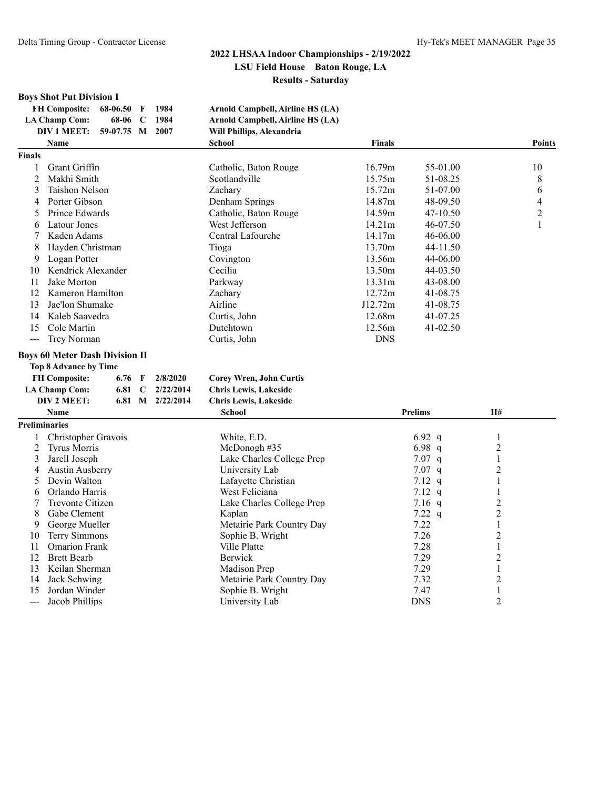## **Boys Shot Put Division I**

| FH Composite: 68-06.50 F    |              | -1984 | Arnold Campbell, Airline HS (LA) |
|-----------------------------|--------------|-------|----------------------------------|
| LA Champ Com:               | 68-06 C 1984 |       | Arnold Campbell, Airline HS (LA) |
| DIV 1 MEET: 59-07.75 M 2007 |              |       | Will Phillips, Alexandria        |
|                             |              |       |                                  |

| Arnold Campbell, Airline HS (LA) |  |
|----------------------------------|--|
| Arnold Campbell, Airline HS (LA) |  |

|                | <b>DIV 1 MEET:</b>                    |          |             | 59-07.75 M 2007 | Will Phillips, Alexandria      |               |                |                 |                |
|----------------|---------------------------------------|----------|-------------|-----------------|--------------------------------|---------------|----------------|-----------------|----------------|
|                | Name                                  |          |             |                 | <b>School</b>                  | <b>Finals</b> |                |                 | <b>Points</b>  |
| <b>Finals</b>  |                                       |          |             |                 |                                |               |                |                 |                |
| 1              | Grant Griffin                         |          |             |                 | Catholic, Baton Rouge          | 16.79m        | 55-01.00       |                 | 10             |
| 2              | Makhi Smith                           |          |             |                 | Scotlandville                  | 15.75m        | 51-08.25       |                 | 8              |
| 3              | <b>Taishon Nelson</b>                 |          |             |                 | Zachary                        | 15.72m        | 51-07.00       |                 | 6              |
| 4              | Porter Gibson                         |          |             |                 | Denham Springs                 | 14.87m        | 48-09.50       |                 | 4              |
| 5              | Prince Edwards                        |          |             |                 | Catholic, Baton Rouge          | 14.59m        | 47-10.50       |                 | $\overline{2}$ |
| 6              | Latour Jones                          |          |             |                 | West Jefferson                 | 14.21m        | 46-07.50       |                 | 1              |
| 7              | Kaden Adams                           |          |             |                 | Central Lafourche              | 14.17m        | 46-06.00       |                 |                |
| 8              | Hayden Christman                      |          |             |                 | Tioga                          | 13.70m        | 44-11.50       |                 |                |
| 9              | Logan Potter                          |          |             |                 | Covington                      | 13.56m        | 44-06.00       |                 |                |
| 10             | Kendrick Alexander                    |          |             |                 | Cecilia                        | 13.50m        | 44-03.50       |                 |                |
| 11             | Jake Morton                           |          |             |                 | Parkway                        | 13.31m        | 43-08.00       |                 |                |
| 12             | Kameron Hamilton                      |          |             |                 | Zachary                        | 12.72m        | 41-08.75       |                 |                |
| 13             | Jae'lon Shumake                       |          |             |                 | Airline                        | J12.72m       | 41-08.75       |                 |                |
| 14             | Kaleb Saavedra                        |          |             |                 | Curtis, John                   | 12.68m        | 41-07.25       |                 |                |
| 15             | Cole Martin                           |          |             |                 | Dutchtown                      | 12.56m        | $41 - 02.50$   |                 |                |
| $\overline{a}$ | Trey Norman                           |          |             |                 | Curtis, John                   | <b>DNS</b>    |                |                 |                |
|                | <b>Boys 60 Meter Dash Division II</b> |          |             |                 |                                |               |                |                 |                |
|                | <b>Top 8 Advance by Time</b>          |          |             |                 |                                |               |                |                 |                |
|                | <b>FH Composite:</b>                  | 6.76 $F$ |             | 2/8/2020        | <b>Corey Wren, John Curtis</b> |               |                |                 |                |
|                | <b>LA Champ Com:</b>                  | 6.81     | $\mathbf C$ | 2/22/2014       | <b>Chris Lewis, Lakeside</b>   |               |                |                 |                |
|                | DIV 2 MEET:                           | 6.81     |             | M 2/22/2014     | <b>Chris Lewis, Lakeside</b>   |               |                |                 |                |
|                | <b>Name</b>                           |          |             |                 | <b>School</b>                  |               | <b>Prelims</b> | $\mathbf{H} \#$ |                |
| Preliminaries  |                                       |          |             |                 |                                |               |                |                 |                |
| 1              | Christopher Gravois                   |          |             |                 | White, E.D.                    |               | 6.92 $q$       | $\mathbf{1}$    |                |
| $\overline{c}$ | <b>Tyrus Morris</b>                   |          |             |                 | McDonogh #35                   |               | 6.98 $q$       | $\overline{c}$  |                |
| 3              | Jarell Joseph                         |          |             |                 | Lake Charles College Prep      |               | $7.07$ q       | $\mathbf{1}$    |                |
| 4              | <b>Austin Ausberry</b>                |          |             |                 | University Lab                 |               | $7.07$ q       | $\overline{c}$  |                |
| 5              | Devin Walton                          |          |             |                 | Lafayette Christian            |               | 7.12 $q$       | $\mathbf{1}$    |                |
| 6              | Orlando Harris                        |          |             |                 | West Feliciana                 |               | 7.12 $q$       | 1               |                |
| 7              | Trevonte Citizen                      |          |             |                 | Lake Charles College Prep      |               | $7.16$ q       | $\overline{c}$  |                |
| 8              | Gabe Clement                          |          |             |                 | Kaplan                         |               | 7.22 $q$       | $\overline{c}$  |                |
| 9              | George Mueller                        |          |             |                 | Metairie Park Country Day      |               | 7.22           | $\mathbf{1}$    |                |
| 10             | Terry Simmons                         |          |             |                 | Sophie B. Wright               |               | 7.26           | $\overline{c}$  |                |
| 11             | <b>Omarion Frank</b>                  |          |             |                 | Ville Platte                   |               | 7.28           | $\mathbf{1}$    |                |
| 12             | <b>Brett Bearb</b>                    |          |             |                 | Berwick                        |               | 7.29           | 2               |                |
| 13             | Keilan Sherman                        |          |             |                 | Madison Prep                   |               | 7.29           | $\mathbf{1}$    |                |
| 14             | Jack Schwing                          |          |             |                 | Metairie Park Country Day      |               | 7.32           | $\overline{c}$  |                |
| 15             | Jordan Winder                         |          |             |                 | Sophie B. Wright               |               | 7.47           | 1               |                |
| ---            | Jacob Phillips                        |          |             |                 | University Lab                 |               | <b>DNS</b>     | $\overline{2}$  |                |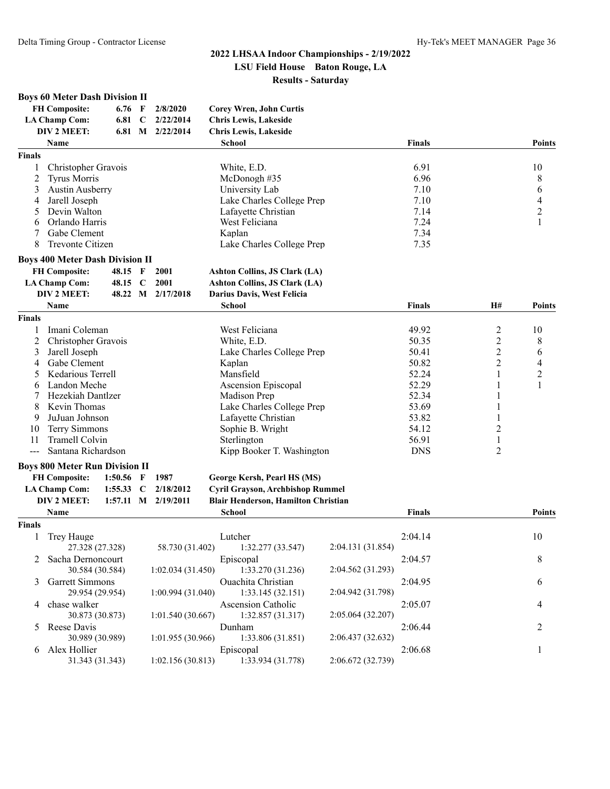**Boys 60 Meter Dash Division II**

# **2022 LHSAA Indoor Championships - 2/19/2022**

#### **LSU Field House Baton Rouge, LA Results - Saturday**

|                      | <b>FH Composite:</b><br><b>LA Champ Com:</b><br>DIV 2 MEET:<br>Name | $6.76$ F<br>6.81 C<br>6.81 M |             | 2/8/2020<br>2/22/2014<br>2/22/2014 | <b>Corey Wren, John Curtis</b><br>Chris Lewis, Lakeside<br><b>Chris Lewis, Lakeside</b><br><b>School</b> |                   | <b>Finals</b> |                | <b>Points</b>            |
|----------------------|---------------------------------------------------------------------|------------------------------|-------------|------------------------------------|----------------------------------------------------------------------------------------------------------|-------------------|---------------|----------------|--------------------------|
| <b>Finals</b>        |                                                                     |                              |             |                                    |                                                                                                          |                   |               |                |                          |
| 1                    | Christopher Gravois                                                 |                              |             |                                    | White, E.D.                                                                                              |                   | 6.91          |                | 10                       |
| 2                    | <b>Tyrus Morris</b>                                                 |                              |             |                                    | McDonogh#35                                                                                              |                   | 6.96          |                | 8                        |
| 3                    | <b>Austin Ausberry</b>                                              |                              |             |                                    | University Lab                                                                                           |                   | 7.10          |                | 6                        |
| 4                    | Jarell Joseph                                                       |                              |             |                                    | Lake Charles College Prep                                                                                |                   | 7.10          |                | $\overline{\mathcal{L}}$ |
| 5                    | Devin Walton                                                        |                              |             |                                    | Lafayette Christian                                                                                      |                   | 7.14          |                | $\overline{c}$           |
| 6                    | Orlando Harris                                                      |                              |             |                                    | West Feliciana                                                                                           |                   | 7.24          |                | 1                        |
| 7                    | Gabe Clement                                                        |                              |             |                                    | Kaplan                                                                                                   |                   | 7.34          |                |                          |
| 8                    | Trevonte Citizen                                                    |                              |             |                                    | Lake Charles College Prep                                                                                |                   | 7.35          |                |                          |
|                      | <b>Boys 400 Meter Dash Division II</b>                              |                              |             |                                    |                                                                                                          |                   |               |                |                          |
|                      | <b>FH Composite:</b>                                                | 48.15 F                      |             | 2001                               | Ashton Collins, JS Clark (LA)                                                                            |                   |               |                |                          |
|                      | <b>LA Champ Com:</b>                                                | 48.15 C                      |             | 2001                               | <b>Ashton Collins, JS Clark (LA)</b>                                                                     |                   |               |                |                          |
|                      | DIV 2 MEET:                                                         | 48.22 M                      |             | 2/17/2018                          | Darius Davis, West Felicia                                                                               |                   |               |                |                          |
|                      | Name                                                                |                              |             |                                    | <b>School</b>                                                                                            |                   | <b>Finals</b> | H#             | <b>Points</b>            |
| <b>Finals</b>        |                                                                     |                              |             |                                    |                                                                                                          |                   |               |                |                          |
| 1                    | Imani Coleman                                                       |                              |             |                                    | West Feliciana                                                                                           |                   | 49.92         | 2              | 10                       |
| 2                    | Christopher Gravois                                                 |                              |             |                                    | White, E.D.                                                                                              |                   | 50.35         | $\overline{c}$ | 8                        |
| 3                    | Jarell Joseph                                                       |                              |             |                                    | Lake Charles College Prep                                                                                |                   | 50.41         | $\overline{c}$ | 6                        |
| 4                    | Gabe Clement                                                        |                              |             |                                    | Kaplan                                                                                                   |                   | 50.82         | $\overline{c}$ | $\overline{\mathcal{A}}$ |
| 5                    | Kedarious Terrell                                                   |                              |             |                                    | Mansfield                                                                                                |                   | 52.24         | 1              | $\boldsymbol{2}$         |
| 6                    | Landon Meche                                                        |                              |             |                                    | Ascension Episcopal                                                                                      |                   | 52.29         | 1              | 1                        |
| 7                    | Hezekiah Dantlzer                                                   |                              |             |                                    | Madison Prep                                                                                             |                   | 52.34         |                |                          |
| 8                    | Kevin Thomas                                                        |                              |             |                                    | Lake Charles College Prep                                                                                |                   | 53.69         | 1              |                          |
| 9                    | JuJuan Johnson                                                      |                              |             |                                    | Lafayette Christian                                                                                      |                   | 53.82         |                |                          |
| 10                   | Terry Simmons                                                       |                              |             |                                    | Sophie B. Wright                                                                                         |                   | 54.12         | 2              |                          |
| 11                   | Tramell Colvin                                                      |                              |             |                                    | Sterlington                                                                                              |                   | 56.91         | 1              |                          |
| $\sim$ $\sim$ $\sim$ | Santana Richardson                                                  |                              |             |                                    | Kipp Booker T. Washington                                                                                |                   | <b>DNS</b>    | 2              |                          |
|                      | <b>Boys 800 Meter Run Division II</b>                               |                              |             |                                    |                                                                                                          |                   |               |                |                          |
|                      | <b>FH Composite:</b>                                                | 1:50.56                      | F           | 1987                               | George Kersh, Pearl HS (MS)                                                                              |                   |               |                |                          |
|                      | <b>LA Champ Com:</b>                                                | 1:55.33                      | $\mathbf C$ | 2/18/2012                          | Cyril Grayson, Archbishop Rummel                                                                         |                   |               |                |                          |
|                      | DIV 2 MEET:                                                         |                              |             | 1:57.11 M 2/19/2011                | Blair Henderson, Hamilton Christian                                                                      |                   |               |                |                          |
|                      | Name                                                                |                              |             |                                    | <b>School</b>                                                                                            |                   | <b>Finals</b> |                | <b>Points</b>            |
| <b>Finals</b>        |                                                                     |                              |             |                                    |                                                                                                          |                   |               |                |                          |
| 1                    | Trey Hauge                                                          |                              |             |                                    | Lutcher                                                                                                  |                   | 2:04.14       |                | 10                       |
|                      | 27.328 (27.328)                                                     |                              |             | 58.730 (31.402)                    | 1:32.277 (33.547)                                                                                        | 2:04.131 (31.854) |               |                |                          |
|                      | Sacha Dernoncourt<br>30.584 (30.584)                                |                              |             | 1:02.034(31.450)                   | Episcopal<br>1:33.270 (31.236)                                                                           | 2:04.562 (31.293) | 2:04.57       |                | 8                        |
| 3                    | <b>Garrett Simmons</b><br>29.954 (29.954)                           |                              |             | 1:00.994(31.040)                   | Ouachita Christian<br>1:33.145(32.151)                                                                   | 2:04.942 (31.798) | 2:04.95       |                | 6                        |
| 4                    | chase walker<br>30.873 (30.873)                                     |                              |             | 1:01.540 (30.667)                  | Ascension Catholic<br>1:32.857 (31.317)                                                                  | 2:05.064 (32.207) | 2:05.07       |                | 4                        |
| 5                    | Reese Davis                                                         |                              |             |                                    | Dunham                                                                                                   |                   | 2:06.44       |                | 2                        |
|                      | 30.989 (30.989)                                                     |                              |             | 1:01.955 (30.966)                  | 1:33.806 (31.851)                                                                                        | 2:06.437 (32.632) |               |                |                          |
| 6                    | Alex Hollier                                                        |                              |             |                                    | Episcopal                                                                                                |                   | 2:06.68       |                | 1                        |
|                      | 31.343 (31.343)                                                     |                              |             | 1:02.156(30.813)                   | 1:33.934 (31.778)                                                                                        | 2:06.672 (32.739) |               |                |                          |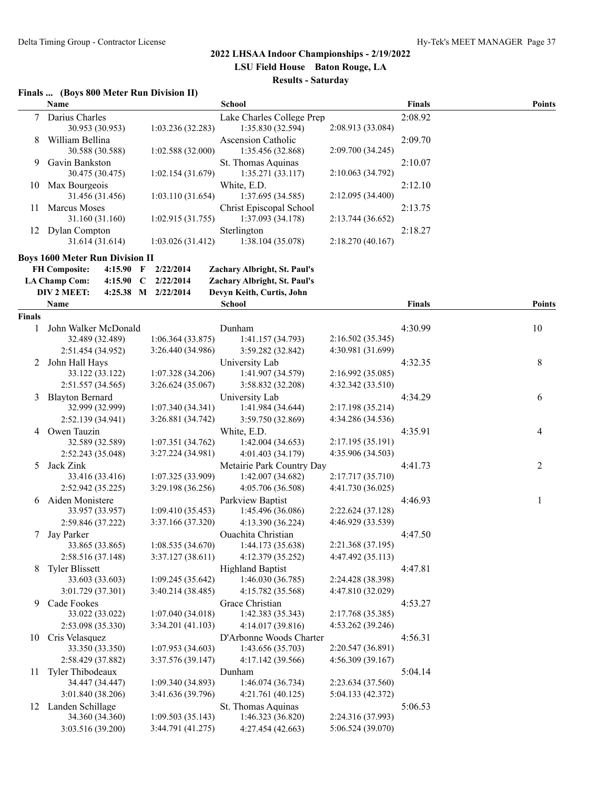#### **Finals ... (Boys 800 Meter Run Division II)**

|               | Name                                           |                                        | School                                         |                                        | <b>Finals</b> | <b>Points</b> |
|---------------|------------------------------------------------|----------------------------------------|------------------------------------------------|----------------------------------------|---------------|---------------|
| 7             | Darius Charles<br>30.953 (30.953)              | 1:03.236(32.283)                       | Lake Charles College Prep<br>1:35.830 (32.594) | 2:08.913 (33.084)                      | 2:08.92       |               |
| 8             | William Bellina<br>30.588 (30.588)             | 1:02.588 (32.000)                      | Ascension Catholic<br>1:35.456 (32.868)        | 2:09.700 (34.245)                      | 2:09.70       |               |
| 9             | Gavin Bankston<br>30.475 (30.475)              | 1:02.154 (31.679)                      | St. Thomas Aquinas<br>1:35.271(33.117)         | 2:10.063 (34.792)                      | 2:10.07       |               |
| 10            | Max Bourgeois<br>31.456 (31.456)               | 1:03.110 (31.654)                      | White, E.D.<br>1:37.695 (34.585)               | 2:12.095 (34.400)                      | 2:12.10       |               |
| 11            | Marcus Moses<br>31.160 (31.160)                | 1:02.915(31.755)                       | Christ Episcopal School<br>1:37.093 (34.178)   | 2:13.744 (36.652)                      | 2:13.75       |               |
| 12            | Dylan Compton<br>31.614 (31.614)               | 1:03.026(31.412)                       | Sterlington<br>1:38.104 (35.078)               | 2:18.270 (40.167)                      | 2:18.27       |               |
|               | <b>Boys 1600 Meter Run Division II</b>         |                                        |                                                |                                        |               |               |
|               | <b>FH Composite:</b><br>4:15.90<br>F           | 2/22/2014                              | Zachary Albright, St. Paul's                   |                                        |               |               |
|               | <b>LA Champ Com:</b><br>4:15.90<br>$\mathbf C$ | 2/22/2014                              | Zachary Albright, St. Paul's                   |                                        |               |               |
|               | DIV 2 MEET:                                    | 4:25.38 M 2/22/2014                    | Devyn Keith, Curtis, John                      |                                        |               |               |
|               | Name                                           |                                        | <b>School</b>                                  |                                        | <b>Finals</b> | <b>Points</b> |
| <b>Finals</b> |                                                |                                        |                                                |                                        |               |               |
| 1             | John Walker McDonald                           |                                        | Dunham                                         |                                        | 4:30.99       | 10            |
|               | 32.489 (32.489)                                | 1:06.364(33.875)                       | 1:41.157 (34.793)                              | 2:16.502 (35.345)                      |               |               |
|               | 2:51.454 (34.952)                              | 3:26.440 (34.986)                      | 3:59.282 (32.842)                              | 4:30.981 (31.699)                      |               |               |
| 2             | John Hall Hays                                 |                                        | University Lab                                 |                                        | 4:32.35       | $\,8\,$       |
|               | 33.122 (33.122)<br>2:51.557 (34.565)           | 1:07.328 (34.206)<br>3:26.624 (35.067) | 1:41.907 (34.579)<br>3:58.832 (32.208)         | 2:16.992 (35.085)<br>4:32.342 (33.510) |               |               |
|               | <b>Blayton Bernard</b>                         |                                        | University Lab                                 |                                        |               |               |
| 3             | 32.999 (32.999)                                | 1:07.340 (34.341)                      | 1:41.984 (34.644)                              | 2:17.198 (35.214)                      | 4:34.29       | 6             |
|               | 2:52.139 (34.941)                              | 3:26.881 (34.742)                      | 3:59.750 (32.869)                              | 4:34.286 (34.536)                      |               |               |
| 4             | Owen Tauzin                                    |                                        | White, E.D.                                    |                                        | 4:35.91       | 4             |
|               | 32.589 (32.589)                                | 1:07.351 (34.762)                      | 1:42.004 (34.653)                              | 2:17.195 (35.191)                      |               |               |
|               | 2:52.243 (35.048)                              | 3:27.224 (34.981)                      | 4:01.403 (34.179)                              | 4:35.906 (34.503)                      |               |               |
| 5             | Jack Zink                                      |                                        | Metairie Park Country Day                      |                                        | 4:41.73       | 2             |
|               | 33.416 (33.416)                                | 1:07.325 (33.909)                      | 1:42.007 (34.682)                              | 2:17.717 (35.710)                      |               |               |
|               | 2:52.942 (35.225)                              | 3:29.198 (36.256)                      | 4:05.706 (36.508)                              | 4:41.730 (36.025)                      |               |               |
| 6             | Aiden Monistere                                |                                        | Parkview Baptist                               |                                        | 4:46.93       | 1             |
|               | 33.957 (33.957)                                | 1:09.410(35.453)                       | 1:45.496 (36.086)                              | 2:22.624 (37.128)                      |               |               |
|               | 2:59.846 (37.222)                              | 3:37.166 (37.320)                      | 4:13.390 (36.224)                              | 4:46.929 (33.539)                      |               |               |
| 7             | Jay Parker                                     |                                        | Ouachita Christian                             |                                        | 4:47.50       |               |
|               | 33.865 (33.865)<br>2:58.516 (37.148)           | 1:08.535(34.670)<br>3:37.127(38.611)   | 1:44.173 (35.638)<br>4:12.379 (35.252)         | 2:21.368 (37.195)<br>4:47.492 (35.113) |               |               |
| 8             | <b>Tyler Blissett</b>                          |                                        | <b>Highland Baptist</b>                        |                                        | 4:47.81       |               |
|               | 33.603 (33.603)                                | 1:09.245 (35.642)                      | 1:46.030(36.785)                               | 2:24.428 (38.398)                      |               |               |
|               | 3:01.729 (37.301)                              | 3:40.214 (38.485)                      | 4:15.782 (35.568)                              | 4:47.810 (32.029)                      |               |               |
| 9             | Cade Fookes                                    |                                        | Grace Christian                                |                                        | 4:53.27       |               |
|               | 33.022 (33.022)                                | 1:07.040 (34.018)                      | 1:42.383 (35.343)                              | 2:17.768 (35.385)                      |               |               |
|               | 2:53.098 (35.330)                              | 3:34.201 (41.103)                      | 4:14.017 (39.816)                              | 4:53.262 (39.246)                      |               |               |
| 10            | Cris Velasquez                                 |                                        | D'Arbonne Woods Charter                        |                                        | 4:56.31       |               |
|               | 33.350 (33.350)                                | 1:07.953 (34.603)                      | 1:43.656 (35.703)                              | 2:20.547 (36.891)                      |               |               |
|               | 2:58.429 (37.882)                              | 3:37.576 (39.147)                      | 4:17.142 (39.566)                              | 4:56.309(39.167)                       |               |               |
| 11            | Tyler Thibodeaux                               |                                        | Dunham                                         |                                        | 5:04.14       |               |
|               | 34.447 (34.447)                                | 1:09.340 (34.893)                      | 1:46.074 (36.734)                              | 2:23.634 (37.560)                      |               |               |
|               | 3:01.840 (38.206)                              | 3:41.636 (39.796)                      | 4:21.761 (40.125)                              | 5:04.133 (42.372)                      |               |               |
|               | 12 Landen Schillage                            |                                        | St. Thomas Aquinas                             |                                        | 5:06.53       |               |
|               | 34.360 (34.360)                                | 1:09.503(35.143)                       | 1:46.323 (36.820)                              | 2:24.316 (37.993)                      |               |               |
|               | 3:03.516 (39.200)                              | 3:44.791 (41.275)                      | 4:27.454 (42.663)                              | 5:06.524 (39.070)                      |               |               |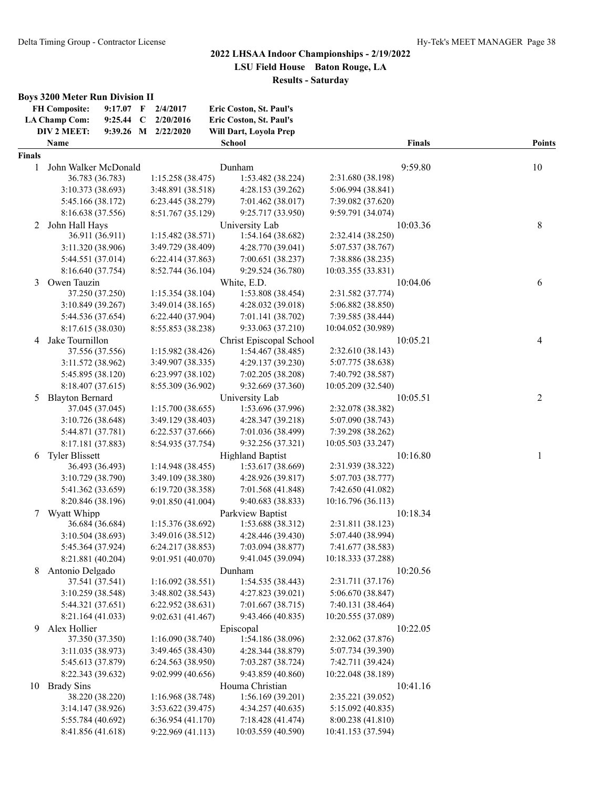#### **Boys 3200 Meter Run Division II**

|               | <b>FH Composite:</b><br><b>LA Champ Com:</b> | 9:17.07<br>9:25.44 C | $\mathbf F$ | 2/4/2017<br>2/20/2016 | Eric Coston, St. Paul's<br>Eric Coston, St. Paul's |                    |               |                |
|---------------|----------------------------------------------|----------------------|-------------|-----------------------|----------------------------------------------------|--------------------|---------------|----------------|
|               | DIV 2 MEET:                                  |                      |             | 9:39.26 M 2/22/2020   | Will Dart, Loyola Prep                             |                    |               |                |
|               | Name                                         |                      |             |                       | <b>School</b>                                      |                    | <b>Finals</b> | <b>Points</b>  |
| <b>Finals</b> |                                              |                      |             |                       |                                                    |                    |               |                |
| 1             | John Walker McDonald                         |                      |             |                       | Dunham                                             |                    | 9:59.80       | 10             |
|               | 36.783 (36.783)                              |                      |             | 1:15.258(38.475)      | 1:53.482 (38.224)                                  | 2:31.680 (38.198)  |               |                |
|               | 3:10.373 (38.693)                            |                      |             | 3:48.891 (38.518)     | 4:28.153 (39.262)                                  | 5:06.994 (38.841)  |               |                |
|               | 5:45.166 (38.172)                            |                      |             | 6:23.445 (38.279)     | 7:01.462 (38.017)                                  | 7:39.082 (37.620)  |               |                |
|               | 8:16.638 (37.556)                            |                      |             | 8:51.767 (35.129)     | 9:25.717 (33.950)                                  | 9:59.791 (34.074)  |               |                |
| 2             | John Hall Hays                               |                      |             |                       | University Lab                                     |                    | 10:03.36      | 8              |
|               | 36.911 (36.911)                              |                      |             | 1:15.482(38.571)      | 1:54.164 (38.682)                                  | 2:32.414 (38.250)  |               |                |
|               | 3:11.320 (38.906)                            |                      |             | 3:49.729 (38.409)     | 4:28.770 (39.041)                                  | 5:07.537 (38.767)  |               |                |
|               | 5:44.551 (37.014)                            |                      |             | 6:22.414(37.863)      | 7:00.651 (38.237)                                  | 7:38.886 (38.235)  |               |                |
|               | 8:16.640 (37.754)                            |                      |             | 8:52.744 (36.104)     | 9:29.524 (36.780)                                  | 10:03.355 (33.831) |               |                |
| 3             | Owen Tauzin                                  |                      |             |                       | White, E.D.                                        |                    | 10:04.06      | 6              |
|               | 37.250 (37.250)                              |                      |             | 1:15.354 (38.104)     | 1:53.808 (38.454)                                  | 2:31.582 (37.774)  |               |                |
|               | 3:10.849(39.267)                             |                      |             | 3:49.014 (38.165)     | 4:28.032 (39.018)                                  | 5:06.882 (38.850)  |               |                |
|               | 5:44.536 (37.654)                            |                      |             | 6:22.440(37.904)      | 7:01.141 (38.702)                                  | 7:39.585 (38.444)  |               |                |
|               | 8:17.615 (38.030)                            |                      |             | 8:55.853 (38.238)     | 9:33.063 (37.210)                                  | 10:04.052 (30.989) |               |                |
| 4             | Jake Tournillon                              |                      |             |                       | Christ Episcopal School                            |                    | 10:05.21      | 4              |
|               | 37.556 (37.556)                              |                      |             | 1:15.982 (38.426)     | 1:54.467 (38.485)                                  | 2:32.610 (38.143)  |               |                |
|               | 3:11.572 (38.962)                            |                      |             | 3:49.907 (38.335)     | 4:29.137 (39.230)                                  | 5:07.775 (38.638)  |               |                |
|               | 5:45.895 (38.120)                            |                      |             | 6:23.997 (38.102)     | 7:02.205 (38.208)                                  | 7:40.792 (38.587)  |               |                |
|               | 8:18.407 (37.615)                            |                      |             | 8:55.309 (36.902)     | 9:32.669 (37.360)                                  | 10:05.209 (32.540) |               |                |
|               | <b>Blayton Bernard</b>                       |                      |             |                       | University Lab                                     |                    | 10:05.51      | $\overline{c}$ |
| 5             | 37.045 (37.045)                              |                      |             | 1:15.700(38.655)      | 1:53.696 (37.996)                                  | 2:32.078 (38.382)  |               |                |
|               |                                              |                      |             |                       |                                                    |                    |               |                |
|               | 3:10.726 (38.648)                            |                      |             | 3:49.129 (38.403)     | 4:28.347 (39.218)                                  | 5:07.090 (38.743)  |               |                |
|               | 5:44.871 (37.781)                            |                      |             | 6:22.537 (37.666)     | 7:01.036 (38.499)                                  | 7:39.298 (38.262)  |               |                |
|               | 8:17.181 (37.883)                            |                      |             | 8:54.935 (37.754)     | 9:32.256 (37.321)                                  | 10:05.503 (33.247) |               |                |
| 6             | <b>Tyler Blissett</b>                        |                      |             |                       | <b>Highland Baptist</b>                            |                    | 10:16.80      | 1              |
|               | 36.493 (36.493)                              |                      |             | 1:14.948 (38.455)     | 1:53.617 (38.669)                                  | 2:31.939 (38.322)  |               |                |
|               | 3:10.729 (38.790)                            |                      |             | 3:49.109 (38.380)     | 4:28.926 (39.817)                                  | 5:07.703 (38.777)  |               |                |
|               | 5:41.362 (33.659)                            |                      |             | 6:19.720 (38.358)     | 7:01.568 (41.848)                                  | 7:42.650 (41.082)  |               |                |
|               | 8:20.846 (38.196)                            |                      |             | 9:01.850(41.004)      | 9:40.683 (38.833)                                  | 10:16.796 (36.113) |               |                |
| 7             | Wyatt Whipp                                  |                      |             |                       | Parkview Baptist                                   |                    | 10:18.34      |                |
|               | 36.684 (36.684)                              |                      |             | 1:15.376 (38.692)     | 1:53.688 (38.312)                                  | 2:31.811 (38.123)  |               |                |
|               | 3:10.504 (38.693)                            |                      |             | 3:49.016 (38.512)     | 4:28.446 (39.430)                                  | 5:07.440 (38.994)  |               |                |
|               | 5:45.364 (37.924)                            |                      |             | 6:24.217 (38.853)     | 7:03.094 (38.877)                                  | 7:41.677 (38.583)  |               |                |
|               | 8:21.881 (40.204)                            |                      |             | 9:01.951 (40.070)     | 9:41.045 (39.094)                                  | 10:18.333 (37.288) |               |                |
| 8             | Antonio Delgado                              |                      |             |                       | Dunham                                             |                    | 10:20.56      |                |
|               | 37.541 (37.541)                              |                      |             | 1:16.092(38.551)      | 1:54.535 (38.443)                                  | 2:31.711 (37.176)  |               |                |
|               | 3:10.259(38.548)                             |                      |             | 3:48.802 (38.543)     | 4:27.823 (39.021)                                  | 5:06.670 (38.847)  |               |                |
|               | 5:44.321 (37.651)                            |                      |             | 6:22.952(38.631)      | 7:01.667 (38.715)                                  | 7:40.131 (38.464)  |               |                |
|               | 8:21.164 (41.033)                            |                      |             | 9:02.631 (41.467)     | 9:43.466 (40.835)                                  | 10:20.555 (37.089) |               |                |
| 9             | Alex Hollier                                 |                      |             |                       | Episcopal                                          |                    | 10:22.05      |                |
|               | 37.350 (37.350)                              |                      |             | 1:16.090 (38.740)     | 1:54.186 (38.096)                                  | 2:32.062 (37.876)  |               |                |
|               | 3:11.035 (38.973)                            |                      |             | 3:49.465 (38.430)     | 4:28.344 (38.879)                                  | 5:07.734 (39.390)  |               |                |
|               | 5:45.613 (37.879)                            |                      |             | 6:24.563 (38.950)     | 7:03.287 (38.724)                                  | 7:42.711 (39.424)  |               |                |
|               | 8:22.343 (39.632)                            |                      |             | 9:02.999 (40.656)     | 9:43.859 (40.860)                                  | 10:22.048 (38.189) |               |                |
| 10            | <b>Brady Sins</b>                            |                      |             |                       | Houma Christian                                    |                    | 10:41.16      |                |
|               | 38.220 (38.220)                              |                      |             | 1:16.968 (38.748)     | 1:56.169 (39.201)                                  | 2:35.221 (39.052)  |               |                |
|               | 3:14.147(38.926)                             |                      |             | 3:53.622 (39.475)     | 4:34.257(40.635)                                   | 5:15.092 (40.835)  |               |                |
|               | 5:55.784 (40.692)                            |                      |             | 6:36.954(41.170)      | 7:18.428 (41.474)                                  | 8:00.238 (41.810)  |               |                |
|               | 8:41.856 (41.618)                            |                      |             | 9:22.969 (41.113)     | 10:03.559 (40.590)                                 | 10:41.153 (37.594) |               |                |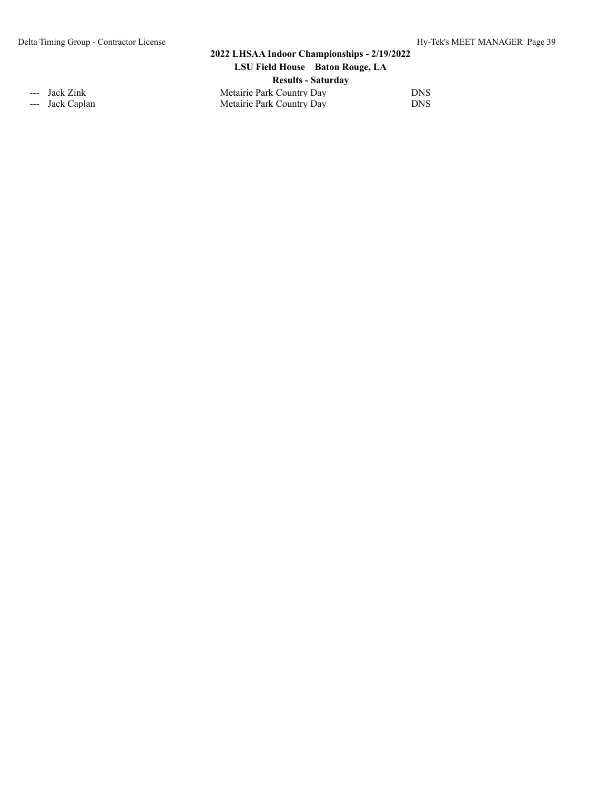## **2022 LHSAA Indoor Championships - 2/19/2022 LSU Field House Baton Rouge, LA Results - Saturday** --- Jack Zink 2008 2012 Metairie Park Country Day

--- Jack Caplan DNS Metairie Park Country Day DNS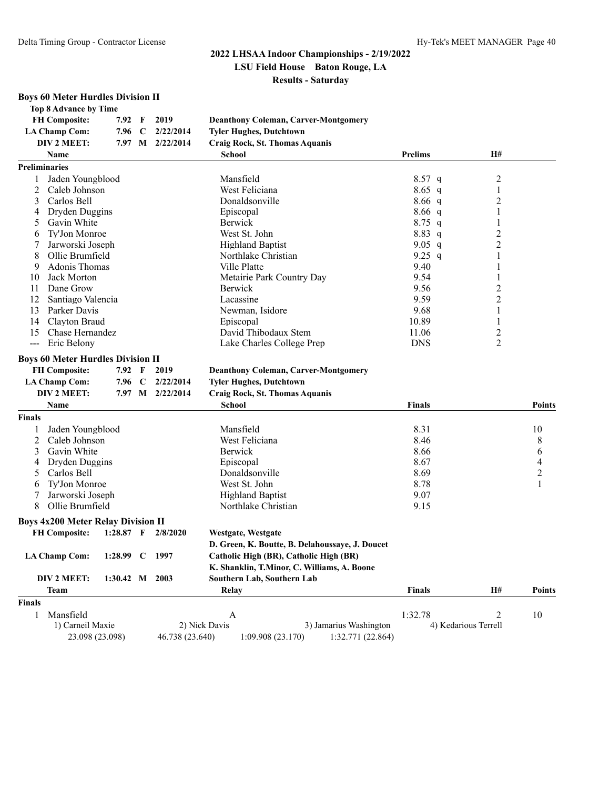| <b>Boys 60 Meter Hurdles Division II</b>  |                |             |                  |                                                 |                |                      |                |
|-------------------------------------------|----------------|-------------|------------------|-------------------------------------------------|----------------|----------------------|----------------|
| <b>Top 8 Advance by Time</b>              |                |             |                  |                                                 |                |                      |                |
| <b>FH Composite:</b>                      | 7.92           | F           | 2019             | <b>Deanthony Coleman, Carver-Montgomery</b>     |                |                      |                |
| <b>LA Champ Com:</b>                      | 7.96           | C           | 2/22/2014        | <b>Tyler Hughes, Dutchtown</b>                  |                |                      |                |
| DIV 2 MEET:                               |                |             | 7.97 M 2/22/2014 | Craig Rock, St. Thomas Aquanis                  |                |                      |                |
| Name                                      |                |             |                  | <b>School</b>                                   | <b>Prelims</b> | H#                   |                |
| <b>Preliminaries</b>                      |                |             |                  |                                                 |                |                      |                |
| Jaden Youngblood                          |                |             |                  | Mansfield                                       | $8.57$ q       | 2                    |                |
| 2<br>Caleb Johnson                        |                |             |                  | West Feliciana                                  | $8.65$ q       | 1                    |                |
| Carlos Bell<br>3                          |                |             |                  | Donaldsonville                                  | 8.66 q         | 2                    |                |
| Dryden Duggins<br>4                       |                |             |                  | Episcopal                                       | $8.66$ q       | 1                    |                |
| Gavin White<br>5                          |                |             |                  | Berwick                                         | $8.75$ q       | 1                    |                |
| Ty'Jon Monroe<br>6                        |                |             |                  | West St. John                                   | 8.83 q         | 2                    |                |
| Jarworski Joseph<br>7                     |                |             |                  | <b>Highland Baptist</b>                         | 9.05 $q$       | $\overline{c}$       |                |
| Ollie Brumfield<br>8                      |                |             |                  | Northlake Christian                             | 9.25 $q$       | 1                    |                |
| Adonis Thomas<br>9                        |                |             |                  | Ville Platte                                    | 9.40           | 1                    |                |
| Jack Morton<br>10                         |                |             |                  | Metairie Park Country Day                       | 9.54           | 1                    |                |
| Dane Grow<br>11                           |                |             |                  | Berwick                                         | 9.56           | 2                    |                |
| 12<br>Santiago Valencia                   |                |             |                  | Lacassine                                       | 9.59           | 2                    |                |
| Parker Davis<br>13                        |                |             |                  | Newman, Isidore                                 | 9.68           |                      |                |
| Clayton Braud<br>14                       |                |             |                  |                                                 | 10.89          | 1<br>1               |                |
|                                           |                |             |                  | Episcopal                                       |                |                      |                |
| Chase Hernandez<br>15                     |                |             |                  | David Thibodaux Stem                            | 11.06          | 2                    |                |
| Eric Belony<br>$\frac{1}{2}$              |                |             |                  | Lake Charles College Prep                       | <b>DNS</b>     | $\overline{2}$       |                |
| <b>Boys 60 Meter Hurdles Division II</b>  |                |             |                  |                                                 |                |                      |                |
| <b>FH Composite:</b>                      | 7.92           | F           | 2019             | <b>Deanthony Coleman, Carver-Montgomery</b>     |                |                      |                |
| <b>LA Champ Com:</b>                      | 7.96 C         |             | 2/22/2014        | <b>Tyler Hughes, Dutchtown</b>                  |                |                      |                |
| DIV 2 MEET:                               |                |             | 7.97 M 2/22/2014 | Craig Rock, St. Thomas Aquanis                  |                |                      |                |
| Name                                      |                |             |                  | <b>School</b>                                   | <b>Finals</b>  |                      | Points         |
| <b>Finals</b>                             |                |             |                  |                                                 |                |                      |                |
| Jaden Youngblood                          |                |             |                  | Mansfield                                       | 8.31           |                      | 10             |
| 2<br>Caleb Johnson                        |                |             |                  | West Feliciana                                  | 8.46           |                      | 8              |
| Gavin White<br>3                          |                |             |                  | Berwick                                         | 8.66           |                      | 6              |
| Dryden Duggins<br>4                       |                |             |                  | Episcopal                                       | 8.67           |                      | 4              |
| Carlos Bell<br>5                          |                |             |                  | Donaldsonville                                  | 8.69           |                      | $\overline{c}$ |
| Ty'Jon Monroe<br>6                        |                |             |                  | West St. John                                   | 8.78           |                      | 1              |
| Jarworski Joseph                          |                |             |                  | <b>Highland Baptist</b>                         | 9.07           |                      |                |
| Ollie Brumfield<br>8                      |                |             |                  | Northlake Christian                             | 9.15           |                      |                |
|                                           |                |             |                  |                                                 |                |                      |                |
| <b>Boys 4x200 Meter Relay Division II</b> |                |             |                  |                                                 |                |                      |                |
| <b>FH Composite:</b>                      | $1:28.87$ F    |             | 2/8/2020         | Westgate, Westgate                              |                |                      |                |
|                                           |                |             |                  | D. Green, K. Boutte, B. Delahoussaye, J. Doucet |                |                      |                |
| <b>LA Champ Com:</b>                      | 1:28.99        | $\mathbf C$ | 1997             | Catholic High (BR), Catholic High (BR)          |                |                      |                |
|                                           |                |             |                  | K. Shanklin, T.Minor, C. Williams, A. Boone     |                |                      |                |
| DIV 2 MEET:                               | 1:30.42 M 2003 |             |                  | Southern Lab, Southern Lab                      |                |                      |                |
| <b>Team</b>                               |                |             |                  | Relay                                           | <b>Finals</b>  | <b>H#</b>            | Points         |
| <b>Finals</b>                             |                |             |                  |                                                 |                |                      |                |
| Mansfield<br>$\mathbf{1}$                 |                |             |                  | A                                               | 1:32.78        | 2                    | 10             |
| 1) Carneil Maxie                          |                |             |                  | 2) Nick Davis<br>3) Jamarius Washington         |                | 4) Kedarious Terrell |                |

23.098 (23.098) 46.738 (23.640) 1:09.908 (23.170) 1:32.771 (22.864)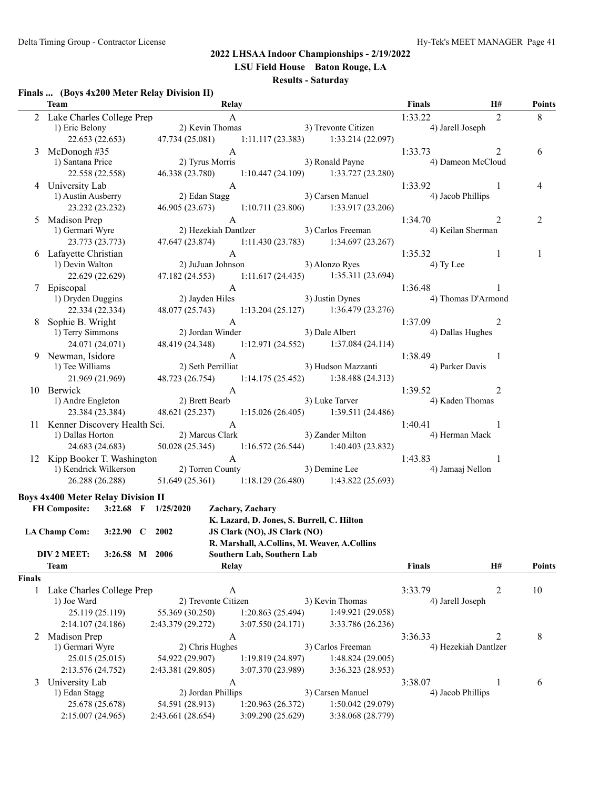**LSU Field House Baton Rouge, LA**

#### **Results - Saturday**

#### **Finals ... (Boys 4x200 Meter Relay Division II)**

|               | Team                                                                                         | Relay                                                                                                  |                                                                |                  |                   | Finals                                          | H#             | <b>Points</b>  |
|---------------|----------------------------------------------------------------------------------------------|--------------------------------------------------------------------------------------------------------|----------------------------------------------------------------|------------------|-------------------|-------------------------------------------------|----------------|----------------|
|               |                                                                                              |                                                                                                        |                                                                |                  |                   | 1:33.22                                         | 2              | 8              |
|               | 2 Lake Charles College Prep<br>1) Eric Belony 2) Kevin Thomas 3) Trevonte Citizen            |                                                                                                        |                                                                |                  |                   | 4) Jarell Joseph                                |                |                |
|               | 22.653 (22.653) 47.734 (25.081) 1:11.117 (23.383) 1:33.214 (22.097)                          |                                                                                                        |                                                                |                  |                   |                                                 |                |                |
|               | 3 McDonogh #35                                                                               | A                                                                                                      |                                                                |                  |                   | 1:33.73                                         | 2              | 6              |
|               | 1) Santana Price                                                                             | 2) Tyrus<br>2) Tyrus Morris                                                                            |                                                                |                  | 3) Ronald Payne   | 4) Dameon McCloud                               |                |                |
|               | 22.558 (22.558)                                                                              | 46.338 (23.780) 1:10.447 (24.109) 1:33.727 (23.280)                                                    |                                                                |                  |                   |                                                 |                |                |
|               | 4 University Lab                                                                             | $\mathbf{A}$                                                                                           |                                                                |                  |                   | 1:33.92                                         | $\overline{1}$ | 4              |
|               | 1) Austin Ausberry                                                                           |                                                                                                        | 2) Edan Stagg $\overline{)}$ 3) Carsen Manuel                  |                  |                   | 4) Jacob Phillips                               |                |                |
|               | 23.232 (23.232)                                                                              | 46.905 (23.673) 1:10.711 (23.806) 1:33.917 (23.206)                                                    |                                                                |                  |                   |                                                 |                |                |
|               | 5 Madison Prep                                                                               |                                                                                                        |                                                                |                  |                   | 1:34.70                                         | 2              | $\overline{c}$ |
|               | 1) Germari Wyre                                                                              | 2 A<br>2 (2 1:34.70 A<br>2 (3 1:34.70 Pezekiah Dantlzer 3) Carlos Freeman (4 1:34.70 A) Keilan Sherman |                                                                |                  |                   |                                                 |                |                |
|               | 23.773 (23.773)                                                                              | 47.647 (23.874) 1:11.430 (23.783) 1:34.697 (23.267)                                                    |                                                                |                  |                   |                                                 |                |                |
|               | 6 Lafayette Christian                                                                        |                                                                                                        |                                                                |                  |                   | 1:35.32                                         | -1             | 1              |
|               | 1) Devin Walton                                                                              | A<br>2) JuJuan Johnson 3) Alonzo Ryes                                                                  |                                                                |                  |                   | 4) Ty Lee                                       |                |                |
|               | 22.629 (22.629)                                                                              | 47.182 (24.553) 1:11.617 (24.435) 1:35.311 (23.694)                                                    |                                                                |                  |                   |                                                 |                |                |
|               | 7 Episcopal                                                                                  |                                                                                                        | A                                                              |                  |                   | 1:36.48                                         | $\overline{1}$ |                |
|               | 1) Dryden Duggins                                                                            | A<br>2) Jayden Hiles 3) Justin Dynes                                                                   |                                                                |                  |                   | 4) Thomas D'Armond                              |                |                |
|               | 22.334 (22.334)                                                                              | 48.077 (25.743) 1:13.204 (25.127) 1:36.479 (23.276)                                                    |                                                                |                  |                   |                                                 |                |                |
|               | 8 Sophie B. Wright                                                                           |                                                                                                        |                                                                |                  |                   | 1:37.09                                         | 2              |                |
|               | 1) Terry Simmons                                                                             | A<br>2) Jordan Winder 3) Dale Albert 1:37.09<br>4) Dallas Hughes                                       |                                                                |                  |                   |                                                 |                |                |
|               | 24.071 (24.071)                                                                              | 48.419 (24.348) 1:12.971 (24.552) 1:37.084 (24.114)                                                    |                                                                |                  |                   |                                                 |                |                |
|               | 9 Newman, Isidore                                                                            |                                                                                                        |                                                                |                  |                   | 1:38.49                                         | -1             |                |
|               | 1) Tee Williams                                                                              | A<br>2) Seth Perrilliat (3) Hudson Mazzanti (4) Parker Davis                                           |                                                                |                  |                   |                                                 |                |                |
|               | 21.969 (21.969)                                                                              | 48.723 (26.754) 1:14.175 (25.452) 1:38.488 (24.313)                                                    |                                                                |                  |                   |                                                 |                |                |
|               | 10 Berwick                                                                                   |                                                                                                        | A                                                              |                  |                   | 1:39.52                                         | 2              |                |
|               | 1) Andre Engleton                                                                            | 2) Brett Bearb                                                                                         | 3) Luke Tarver                                                 |                  |                   | 4) Kaden Thomas                                 |                |                |
|               | 23.384 (23.384)                                                                              | 48.621 (25.237) 1:15.026 (26.405) 1:39.511 (24.486)                                                    |                                                                |                  |                   |                                                 |                |                |
|               | 11 Kenner Discovery Health Sci. A                                                            |                                                                                                        |                                                                |                  |                   | 1:40.41                                         | $\overline{1}$ |                |
|               | 1) Dallas Horton                                                                             |                                                                                                        |                                                                |                  |                   | 2) Marcus Clark 3) Zander Milton 4) Herman Mack |                |                |
|               | 24.683 (24.683)                                                                              | 50.028 (25.345) 1:16.572 (26.544) 1:40.403 (23.832)                                                    |                                                                |                  |                   |                                                 |                |                |
|               |                                                                                              |                                                                                                        |                                                                |                  |                   |                                                 | $\overline{1}$ |                |
|               | 12 Kipp Booker T. Washington<br>1:43.83<br>1:43.83<br>1:43.83<br>1:43.83<br>4) Jamaaj Nellon |                                                                                                        |                                                                |                  |                   |                                                 |                |                |
|               | 26.288 (26.288)                                                                              | $51.649(25.361)$ $1:18.129(26.480)$ $1:43.822(25.693)$                                                 |                                                                |                  |                   |                                                 |                |                |
|               |                                                                                              |                                                                                                        |                                                                |                  |                   |                                                 |                |                |
|               | <b>Boys 4x400 Meter Relay Division II</b><br>FH Composite: 3:22.68 F 1/25/2020               |                                                                                                        |                                                                |                  |                   |                                                 |                |                |
|               |                                                                                              |                                                                                                        | Zachary, Zachary<br>K. Lazard, D. Jones, S. Burrell, C. Hilton |                  |                   |                                                 |                |                |
|               | LA Champ Com: 3:22.90 C 2002                                                                 |                                                                                                        | JS Clark (NO), JS Clark (NO)                                   |                  |                   |                                                 |                |                |
|               |                                                                                              |                                                                                                        | R. Marshall, A.Collins, M. Weaver, A.Collins                   |                  |                   |                                                 |                |                |
|               | DIV 2 MEET:<br>3:26.58 M 2006                                                                |                                                                                                        | Southern Lab, Southern Lab                                     |                  |                   |                                                 |                |                |
|               | <b>Team</b>                                                                                  | Relay                                                                                                  |                                                                |                  |                   | <b>Finals</b>                                   | H#             | <b>Points</b>  |
| <b>Finals</b> |                                                                                              |                                                                                                        |                                                                |                  |                   |                                                 |                |                |
| 1             | Lake Charles College Prep                                                                    | A                                                                                                      |                                                                |                  |                   | 3:33.79                                         | 2              | 10             |
|               | 1) Joe Ward                                                                                  | 2) Trevonte Citizen                                                                                    |                                                                | 3) Kevin Thomas  |                   | 4) Jarell Joseph                                |                |                |
|               | 25.119 (25.119)                                                                              | 55.369 (30.250)                                                                                        | 1:20.863 (25.494)                                              |                  | 1:49.921 (29.058) |                                                 |                |                |
|               | 2:14.107(24.186)                                                                             | 2:43.379 (29.272)                                                                                      | 3:07.550 (24.171)                                              |                  | 3:33.786 (26.236) |                                                 |                |                |
| 2             | Madison Prep                                                                                 | A                                                                                                      |                                                                |                  |                   | 3:36.33                                         | 2              | 8              |
|               | 1) Germari Wyre                                                                              | 2) Chris Hughes                                                                                        |                                                                |                  | 3) Carlos Freeman | 4) Hezekiah Dantlzer                            |                |                |
|               | 25.015 (25.015)                                                                              | 54.922 (29.907)                                                                                        | 1:19.819 (24.897)                                              |                  | 1:48.824 (29.005) |                                                 |                |                |
|               | 2:13.576 (24.752)                                                                            | 2:43.381 (29.805)                                                                                      | 3:07.370 (23.989)                                              |                  | 3:36.323 (28.953) |                                                 |                |                |
|               | University Lab                                                                               |                                                                                                        |                                                                |                  |                   | 3:38.07                                         | 1              | 6              |
| 3             | 1) Edan Stagg                                                                                | A<br>2) Jordan Phillips                                                                                |                                                                | 3) Carsen Manuel |                   | 4) Jacob Phillips                               |                |                |
|               | 25.678 (25.678)                                                                              | 54.591 (28.913)                                                                                        | 1:20.963 (26.372)                                              |                  | 1:50.042 (29.079) |                                                 |                |                |
|               | 2:15.007 (24.965)                                                                            | 2:43.661 (28.654)                                                                                      | 3:09.290 (25.629)                                              |                  | 3:38.068 (28.779) |                                                 |                |                |
|               |                                                                                              |                                                                                                        |                                                                |                  |                   |                                                 |                |                |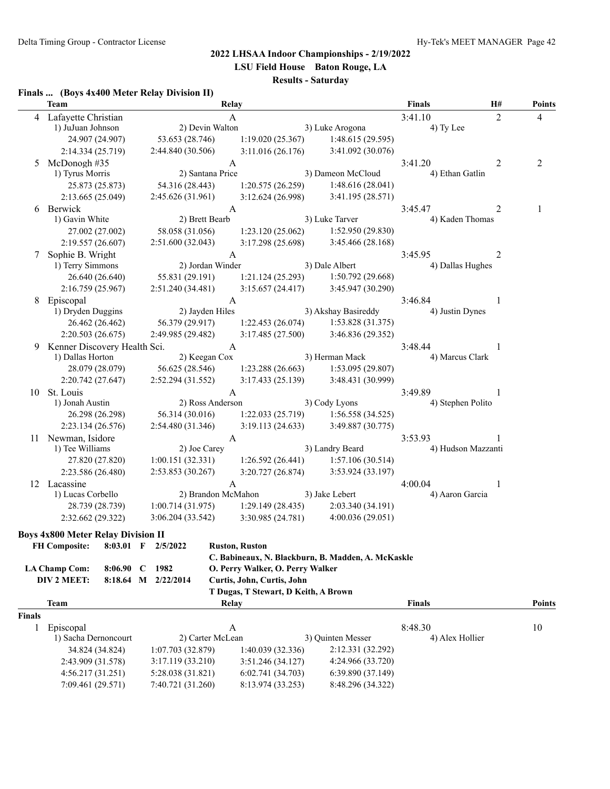**LSU Field House Baton Rouge, LA**

# **Results - Saturday**

#### **Finals ... (Boys 4x400 Meter Relay Division II)**

|               | <b>Team</b>                               |                     | Relay                                |                                                    | <b>Finals</b>              | H# | <b>Points</b>  |
|---------------|-------------------------------------------|---------------------|--------------------------------------|----------------------------------------------------|----------------------------|----|----------------|
|               | 4 Lafayette Christian                     |                     | A                                    |                                                    | 3:41.10                    | 2  | 4              |
|               | 1) JuJuan Johnson                         | 2) Devin Walton     |                                      | 3) Luke Arogona                                    | 4) Ty Lee                  |    |                |
|               | 24.907 (24.907)                           | 53.653 (28.746)     | 1:19.020(25.367)                     | 1:48.615 (29.595)                                  |                            |    |                |
|               | 2:14.334 (25.719)                         | 2:44.840 (30.506)   | 3:11.016(26.176)                     | 3:41.092 (30.076)                                  |                            |    |                |
|               | 5 McDonogh #35                            |                     | A                                    |                                                    | 3:41.20                    | 2  | $\overline{2}$ |
|               | 1) Tyrus Morris                           | 2) Santana Price    |                                      | 3) Dameon McCloud                                  | 4) Ethan Gatlin            |    |                |
|               | 25.873 (25.873)                           | 54.316 (28.443)     | 1:20.575(26.259)                     | 1:48.616(28.041)                                   |                            |    |                |
|               | 2:13.665 (25.049)                         | 2:45.626 (31.961)   | 3:12.624 (26.998)                    | 3:41.195 (28.571)                                  |                            |    |                |
|               | 6 Berwick                                 |                     | A                                    |                                                    | 3:45.47                    | 2  | 1              |
|               | 1) Gavin White                            | 2) Brett Bearb      |                                      | 3) Luke Tarver                                     | 4) Kaden Thomas            |    |                |
|               | 27.002 (27.002)                           | 58.058 (31.056)     | 1:23.120(25.062)                     | 1:52.950 (29.830)                                  |                            |    |                |
|               | 2:19.557(26.607)                          | 2:51.600(32.043)    | 3:17.298 (25.698)                    | 3:45.466 (28.168)                                  |                            |    |                |
|               | Sophie B. Wright                          |                     | A                                    |                                                    | 3:45.95                    | 2  |                |
|               | 1) Terry Simmons                          | 2) Jordan Winder    |                                      | 3) Dale Albert                                     | 4) Dallas Hughes           |    |                |
|               | 26.640 (26.640)                           | 55.831 (29.191)     | 1:21.124(25.293)                     | 1:50.792(29.668)                                   |                            |    |                |
|               | 2:16.759 (25.967)                         | 2:51.240 (34.481)   | 3:15.657(24.417)                     | 3:45.947 (30.290)                                  |                            |    |                |
|               | 8 Episcopal                               |                     | A                                    |                                                    | 3:46.84                    | 1  |                |
|               | 1) Dryden Duggins                         | 2) Jayden Hiles     |                                      | 3) Akshay Basireddy                                | 4) Justin Dynes            |    |                |
|               | 26.462 (26.462)                           | 56.379 (29.917)     | 1:22.453(26.074)                     | 1:53.828 (31.375)                                  |                            |    |                |
|               | 2:20.503 (26.675)                         | 2:49.985 (29.482)   | 3:17.485(27.500)                     | 3:46.836 (29.352)                                  |                            |    |                |
| 9             | Kenner Discovery Health Sci.              |                     | A                                    |                                                    | 3:48.44                    |    |                |
|               | 1) Dallas Horton                          | 2) Keegan Cox       |                                      | 3) Herman Mack                                     | 4) Marcus Clark            |    |                |
|               | 28.079 (28.079)                           | 56.625 (28.546)     | 1:23.288 (26.663)                    | 1:53.095(29.807)                                   |                            |    |                |
|               | 2:20.742 (27.647)                         | 2:52.294 (31.552)   | 3:17.433 (25.139)                    | 3:48.431 (30.999)                                  |                            |    |                |
|               | 10 St. Louis                              |                     | A                                    |                                                    | 3:49.89                    |    |                |
|               | 1) Jonah Austin                           | 2) Ross Anderson    |                                      | 3) Cody Lyons                                      | 4) Stephen Polito          |    |                |
|               | 26.298 (26.298)                           | 56.314 (30.016)     | 1:22.033(25.719)                     | 1:56.558(34.525)                                   |                            |    |                |
|               | 2:23.134(26.576)                          | 2:54.480(31.346)    | 3:19.113(24.633)                     | 3:49.887 (30.775)                                  |                            |    |                |
|               | 11 Newman, Isidore                        |                     | A                                    |                                                    | 3:53.93                    |    |                |
|               | 1) Tee Williams                           | 2) Joe Carey        |                                      | 3) Landry Beard                                    | 4) Hudson Mazzanti         |    |                |
|               | 27.820 (27.820)                           | 1:00.151(32.331)    | 1:26.592(26.441)                     | 1:57.106(30.514)                                   |                            |    |                |
|               | 2:23.586 (26.480)                         | 2:53.853 (30.267)   | 3:20.727(26.874)                     | 3:53.924 (33.197)                                  |                            |    |                |
|               | 12 Lacassine                              |                     | A                                    |                                                    | 4:00.04                    | 1  |                |
|               | 1) Lucas Corbello                         | 2) Brandon McMahon  |                                      | 3) Jake Lebert                                     | 4) Aaron Garcia            |    |                |
|               | 28.739 (28.739)                           | 1:00.714(31.975)    | 1:29.149(28.435)                     | 2:03.340 (34.191)                                  |                            |    |                |
|               | 2:32.662 (29.322)                         | 3:06.204(33.542)    | 3:30.985 (24.781)                    | 4:00.036(29.051)                                   |                            |    |                |
|               |                                           |                     |                                      |                                                    |                            |    |                |
|               | <b>Boys 4x800 Meter Relay Division II</b> |                     |                                      |                                                    |                            |    |                |
|               | FH Composite: 8:03.01 F                   | 2/5/2022            | <b>Ruston, Ruston</b>                |                                                    |                            |    |                |
|               |                                           |                     |                                      | C. Babineaux, N. Blackburn, B. Madden, A. McKaskle |                            |    |                |
|               | <b>LA Champ Com:</b><br>$8:06.90$ C       | 1982                | O. Perry Walker, O. Perry Walker     |                                                    |                            |    |                |
|               | DIV 2 MEET:                               | 8:18.64 M 2/22/2014 | Curtis, John, Curtis, John           |                                                    |                            |    |                |
|               |                                           |                     | T Dugas, T Stewart, D Keith, A Brown |                                                    |                            |    |                |
|               | <b>Team</b>                               |                     | Relay                                |                                                    | <b>Finals</b>              |    | <b>Points</b>  |
| <b>Finals</b> |                                           |                     |                                      |                                                    |                            |    |                |
| 1             | Episcopal                                 | 2) Carter McLean    | A                                    | 3) Quinten Messer                                  | 8:48.30<br>4) Alex Hollier |    | 10             |
|               | 1) Sacha Dernoncourt<br>34.824 (34.824)   |                     |                                      | 2:12.331 (32.292)                                  |                            |    |                |
|               |                                           | 1:07.703(32.879)    | 1:40.039 (32.336)                    |                                                    |                            |    |                |
|               | 2:43.909 (31.578)                         | 3:17.119 (33.210)   | 3:51.246 (34.127)                    | 4:24.966 (33.720)<br>6:39.890 (37.149)             |                            |    |                |
|               | 4:56.217 (31.251)                         | 5:28.038 (31.821)   | 6:02.741 (34.703)                    |                                                    |                            |    |                |
|               | 7:09.461 (29.571)                         | 7:40.721 (31.260)   | 8:13.974 (33.253)                    | 8:48.296 (34.322)                                  |                            |    |                |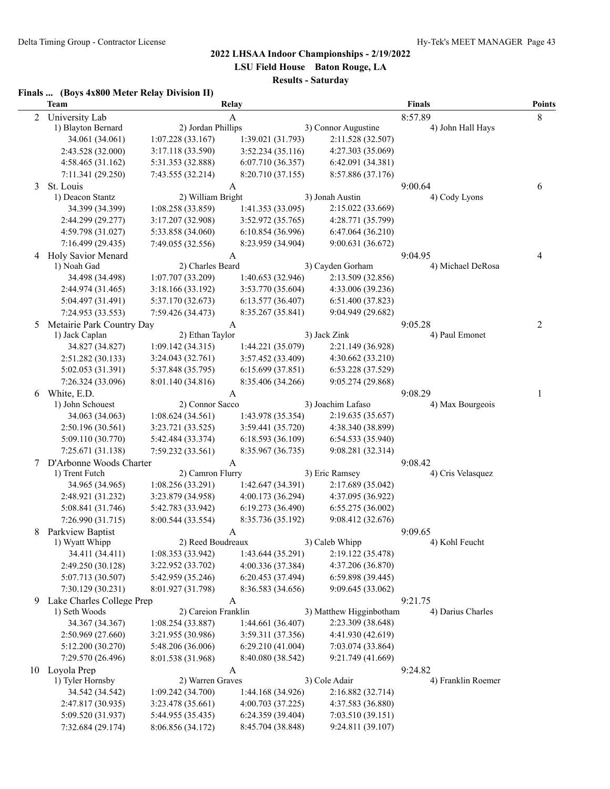**LSU Field House Baton Rouge, LA**

# **Results - Saturday**

#### **Finals ... (Boys 4x800 Meter Relay Division II)**

|                | <b>Team</b>                     |                                       | Relay             |                                        | <b>Finals</b>                | <b>Points</b> |
|----------------|---------------------------------|---------------------------------------|-------------------|----------------------------------------|------------------------------|---------------|
| $\overline{2}$ | University Lab                  | A                                     |                   |                                        | 8                            |               |
|                | 1) Blayton Bernard              | 2) Jordan Phillips                    |                   | 3) Connor Augustine                    | 8:57.89<br>4) John Hall Hays |               |
|                | 34.061 (34.061)                 | 1:07.228(33.167)                      | 1:39.021 (31.793) | 2:11.528 (32.507)                      |                              |               |
|                | 2:43.528 (32.000)               | 3:17.118 (33.590)                     | 3:52.234 (35.116) | 4:27.303 (35.069)                      |                              |               |
|                | 4:58.465 (31.162)               | 5:31.353 (32.888)                     | 6:07.710 (36.357) | 6:42.091 (34.381)                      |                              |               |
|                | 7:11.341 (29.250)               | 7:43.555 (32.214)                     | 8:20.710 (37.155) | 8:57.886 (37.176)                      |                              |               |
| 3              | St. Louis                       |                                       | A                 |                                        | 9:00.64                      | 6             |
|                | 1) Deacon Stantz                | 2) William Bright                     |                   | 3) Jonah Austin                        | 4) Cody Lyons                |               |
|                | 34.399 (34.399)                 | 1:08.258 (33.859)                     | 1:41.353 (33.095) | 2:15.022 (33.669)                      |                              |               |
|                | 2:44.299 (29.277)               | 3:17.207 (32.908)                     | 3:52.972 (35.765) | 4:28.771 (35.799)                      |                              |               |
|                | 4:59.798 (31.027)               | 5:33.858 (34.060)                     | 6:10.854(36.996)  | 6:47.064(36.210)                       |                              |               |
|                | 7:16.499 (29.435)               | 7:49.055 (32.556)                     | 8:23.959 (34.904) | 9:00.631 (36.672)                      |                              |               |
| 4              | Holy Savior Menard              |                                       | A                 |                                        | 9:04.95                      | 4             |
|                | 1) Noah Gad                     | 2) Charles Beard                      |                   | 3) Cayden Gorham                       | 4) Michael DeRosa            |               |
|                | 34.498 (34.498)                 | 1:07.707 (33.209)                     | 1:40.653 (32.946) | 2:13.509 (32.856)                      |                              |               |
|                | 2:44.974 (31.465)               | 3:18.166 (33.192)                     | 3:53.770 (35.604) | 4:33.006 (39.236)                      |                              |               |
|                | 5:04.497 (31.491)               | 5:37.170 (32.673)                     | 6:13.577(36.407)  | 6:51.400 (37.823)                      |                              |               |
|                | 7:24.953 (33.553)               | 7:59.426 (34.473)                     | 8:35.267 (35.841) | 9:04.949 (29.682)                      |                              |               |
| 5              | Metairie Park Country Day       |                                       | A                 |                                        | 9:05.28                      | 2             |
|                | 1) Jack Caplan                  | 2) Ethan Taylor                       |                   | 3) Jack Zink                           | 4) Paul Emonet               |               |
|                | 34.827 (34.827)                 | 1:09.142(34.315)                      | 1:44.221 (35.079) | 2:21.149 (36.928)                      |                              |               |
|                | 2:51.282 (30.133)               | 3:24.043 (32.761)                     | 3:57.452 (33.409) | 4:30.662 (33.210)                      |                              |               |
|                | 5:02.053 (31.391)               | 5:37.848 (35.795)                     | 6:15.699(37.851)  | 6:53.228 (37.529)                      |                              |               |
|                | 7:26.324 (33.096)               | 8:01.140 (34.816)                     | 8:35.406 (34.266) | 9:05.274 (29.868)                      |                              |               |
| 6              | White, E.D.<br>1) John Schouest | 2) Connor Sacco                       | A                 | 3) Joachim Lafaso                      | 9:08.29<br>4) Max Bourgeois  | 1             |
|                | 34.063 (34.063)                 | 1:08.624(34.561)                      | 1:43.978 (35.354) | 2:19.635 (35.657)                      |                              |               |
|                | 2:50.196 (30.561)               | 3:23.721 (33.525)                     | 3:59.441 (35.720) | 4:38.340 (38.899)                      |                              |               |
|                | 5:09.110 (30.770)               | 5:42.484 (33.374)                     | 6:18.593 (36.109) | 6:54.533 (35.940)                      |                              |               |
|                | 7:25.671 (31.138)               | 7:59.232 (33.561)                     | 8:35.967 (36.735) | 9:08.281 (32.314)                      |                              |               |
| 7              | D'Arbonne Woods Charter         |                                       | A                 |                                        | 9:08.42                      |               |
|                | 1) Trent Futch                  | 2) Camron Flurry                      |                   | 3) Eric Ramsey                         | 4) Cris Velasquez            |               |
|                | 34.965 (34.965)                 | 1:08.256 (33.291)                     | 1:42.647 (34.391) | 2:17.689 (35.042)                      |                              |               |
|                | 2:48.921 (31.232)               | 3:23.879 (34.958)                     | 4:00.173 (36.294) | 4:37.095 (36.922)                      |                              |               |
|                | 5:08.841 (31.746)               | 5:42.783 (33.942)                     | 6:19.273 (36.490) | 6:55.275(36.002)                       |                              |               |
|                | 7:26.990 (31.715)               | 8:00.544 (33.554)                     | 8:35.736 (35.192) | 9:08.412 (32.676)                      |                              |               |
| 8              | Parkview Baptist                |                                       | A                 |                                        | 9:09.65                      |               |
|                | 1) Wyatt Whipp                  | 2) Reed Boudreaux                     |                   | 3) Caleb Whipp                         | 4) Kohl Feucht               |               |
|                | 34.411 (34.411)                 | 1:08.353 (33.942)                     | 1:43.644 (35.291) | 2:19.122 (35.478)                      |                              |               |
|                | 2:49.250 (30.128)               | 3:22.952 (33.702)                     | 4:00.336 (37.384) | 4:37.206 (36.870)                      |                              |               |
|                | 5:07.713 (30.507)               | 5:42.959 (35.246)                     | 6:20.453 (37.494) | 6:59.898 (39.445)                      |                              |               |
|                | 7:30.129 (30.231)               | 8:01.927 (31.798)                     | 8:36.583 (34.656) | 9:09.645 (33.062)                      |                              |               |
| 9              | Lake Charles College Prep       |                                       | A                 |                                        | 9:21.75                      |               |
|                | 1) Seth Woods                   | 2) Careion Franklin                   |                   | 3) Matthew Higginbotham                | 4) Darius Charles            |               |
|                | 34.367 (34.367)                 | 1:08.254 (33.887)                     | 1:44.661 (36.407) | 2:23.309 (38.648)                      |                              |               |
|                | 2:50.969 (27.660)               | 3:21.955 (30.986)                     | 3:59.311 (37.356) | 4:41.930 (42.619)                      |                              |               |
|                | 5:12.200 (30.270)               | 5:48.206 (36.006)                     | 6:29.210 (41.004) | 7:03.074 (33.864)                      |                              |               |
|                | 7:29.570 (26.496)               | 8:01.538 (31.968)                     | 8:40.080 (38.542) | 9:21.749 (41.669)                      |                              |               |
| 10             | Loyola Prep<br>1) Tyler Hornsby | 2) Warren Graves                      | A                 | 9:24.82                                |                              |               |
|                | 34.542 (34.542)                 |                                       | 1:44.168 (34.926) | 3) Cole Adair                          | 4) Franklin Roemer           |               |
|                | 2:47.817 (30.935)               | 1:09.242(34.700)<br>3:23.478 (35.661) | 4:00.703 (37.225) | 2:16.882 (32.714)<br>4:37.583 (36.880) |                              |               |
|                | 5:09.520 (31.937)               | 5:44.955 (35.435)                     | 6:24.359 (39.404) | 7:03.510 (39.151)                      |                              |               |
|                | 7:32.684 (29.174)               | 8:06.856 (34.172)                     | 8:45.704 (38.848) | 9:24.811 (39.107)                      |                              |               |
|                |                                 |                                       |                   |                                        |                              |               |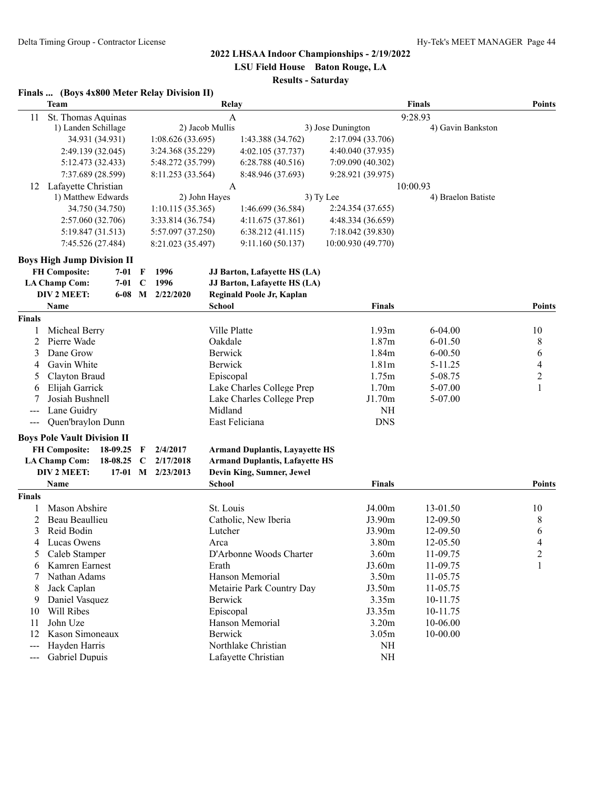**LSU Field House Baton Rouge, LA**

# **Results - Saturday**

|  | Finals  (Boys 4x800 Meter Relay Division II) |  |  |
|--|----------------------------------------------|--|--|
|--|----------------------------------------------|--|--|

|                          | <b>Team</b>                        | Relay       |                   |                 |                                       | <b>Points</b>      |                    |                |
|--------------------------|------------------------------------|-------------|-------------------|-----------------|---------------------------------------|--------------------|--------------------|----------------|
| St. Thomas Aquinas<br>11 |                                    | A           |                   |                 |                                       |                    |                    |                |
|                          | 1) Landen Schillage                |             |                   | 2) Jacob Mullis |                                       | 3) Jose Dunington  | 4) Gavin Bankston  |                |
|                          | 34.931 (34.931)                    |             | 1:08.626 (33.695) |                 | 1:43.388 (34.762)                     | 2:17.094 (33.706)  |                    |                |
|                          | 2:49.139 (32.045)                  |             | 3:24.368 (35.229) |                 | 4:02.105(37.737)                      | 4:40.040 (37.935)  |                    |                |
|                          | 5:12.473 (32.433)                  |             | 5:48.272 (35.799) |                 | 6:28.788(40.516)                      | 7:09.090 (40.302)  |                    |                |
|                          | 7:37.689 (28.599)                  |             | 8:11.253 (33.564) |                 | 8:48.946 (37.693)                     | 9:28.921 (39.975)  |                    |                |
| 12                       | Lafayette Christian                |             |                   | A               |                                       |                    | 10:00.93           |                |
|                          | 1) Matthew Edwards                 |             |                   | 2) John Hayes   |                                       | 3) Ty Lee          | 4) Braelon Batiste |                |
|                          | 34.750 (34.750)                    |             | 1:10.115(35.365)  |                 | 1:46.699 (36.584)                     | 2:24.354 (37.655)  |                    |                |
|                          | 2:57.060 (32.706)                  |             | 3:33.814 (36.754) |                 | 4:11.675 (37.861)                     | 4:48.334 (36.659)  |                    |                |
|                          | 5:19.847 (31.513)                  |             | 5:57.097 (37.250) |                 | 6:38.212(41.115)                      | 7:18.042 (39.830)  |                    |                |
|                          | 7:45.526 (27.484)                  |             | 8:21.023 (35.497) |                 | 9:11.160 (50.137)                     | 10:00.930 (49.770) |                    |                |
|                          | <b>Boys High Jump Division II</b>  |             |                   |                 |                                       |                    |                    |                |
|                          | <b>FH Composite:</b><br>$7 - 01$   | F           | 1996              |                 | JJ Barton, Lafayette HS (LA)          |                    |                    |                |
|                          | <b>LA Champ Com:</b><br>7-01       | $\mathbf C$ | 1996              |                 | JJ Barton, Lafayette HS (LA)          |                    |                    |                |
|                          | <b>DIV 2 MEET:</b><br>$6 - 08$     | M           | 2/22/2020         |                 | Reginald Poole Jr, Kaplan             |                    |                    |                |
|                          | Name                               |             |                   | <b>School</b>   |                                       | Finals             |                    | <b>Points</b>  |
| <b>Finals</b>            |                                    |             |                   |                 |                                       |                    |                    |                |
| 1                        | Micheal Berry                      |             |                   | Ville Platte    |                                       | 1.93m              | $6 - 04.00$        | 10             |
| $\overline{2}$           | Pierre Wade                        |             |                   | Oakdale         |                                       | 1.87 <sub>m</sub>  | 6-01.50            | 8              |
| 3                        | Dane Grow                          |             |                   | Berwick         |                                       | 1.84m              | $6 - 00.50$        | 6              |
| 4                        | Gavin White                        |             |                   | Berwick         |                                       | 1.81 <sub>m</sub>  | 5-11.25            | 4              |
| 5                        | Clayton Braud                      |             |                   | Episcopal       |                                       | 1.75m              | 5-08.75            | $\overline{c}$ |
| 6                        | Elijah Garrick                     |             |                   |                 | Lake Charles College Prep             | 1.70m              | 5-07.00            | 1              |
|                          | Josiah Bushnell                    |             |                   |                 | Lake Charles College Prep             | J1.70m             | 5-07.00            |                |
| ---                      | Lane Guidry                        |             |                   | Midland         |                                       | <b>NH</b>          |                    |                |
|                          | Quen'braylon Dunn                  |             |                   |                 | East Feliciana                        | <b>DNS</b>         |                    |                |
|                          | <b>Boys Pole Vault Division II</b> |             |                   |                 |                                       |                    |                    |                |
|                          | <b>FH Composite:</b><br>18-09.25   | F           | 2/4/2017          |                 | <b>Armand Duplantis, Layayette HS</b> |                    |                    |                |
|                          | <b>LA Champ Com:</b><br>18-08.25   | C           | 2/17/2018         |                 | <b>Armand Duplantis, Lafayette HS</b> |                    |                    |                |
|                          | DIV 2 MEET:<br>$17-01$             | M           | 2/23/2013         |                 | Devin King, Sumner, Jewel             |                    |                    |                |
|                          | Name                               |             |                   | <b>School</b>   |                                       | <b>Finals</b>      |                    | <b>Points</b>  |
| Finals                   |                                    |             |                   |                 |                                       |                    |                    |                |
|                          | Mason Abshire                      |             |                   | St. Louis       |                                       | J4.00m             | 13-01.50           | 10             |
| 2                        | Beau Beaullieu                     |             |                   |                 | Catholic, New Iberia                  | J3.90m             | 12-09.50           | 8              |
| 3                        | Reid Bodin                         |             |                   | Lutcher         |                                       | J3.90m             | 12-09.50           | 6              |
| 4                        | Lucas Owens                        |             |                   | Arca            |                                       | 3.80m              | 12-05.50           | 4              |
| 5                        | Caleb Stamper                      |             |                   |                 | D'Arbonne Woods Charter               | 3.60m              | 11-09.75           | 2              |
| 6                        | Kamren Earnest                     |             |                   | Erath           |                                       | J3.60m             | 11-09.75           | 1              |
|                          | Nathan Adams                       |             |                   |                 | Hanson Memorial                       | 3.50m              | 11-05.75           |                |
| 8                        | Jack Caplan                        |             |                   |                 | Metairie Park Country Day             | J3.50m             | 11-05.75           |                |
| 9                        | Daniel Vasquez                     |             |                   | Berwick         |                                       | 3.35m              | 10-11.75           |                |
| 10                       | Will Ribes                         |             |                   | Episcopal       |                                       | J3.35m             | 10-11.75           |                |
| 11                       | John Uze                           |             |                   |                 | Hanson Memorial                       | 3.20 <sub>m</sub>  | 10-06.00           |                |
| 12                       | Kason Simoneaux                    |             |                   | <b>Berwick</b>  |                                       | 3.05m              | 10-00.00           |                |
| $---$                    | Hayden Harris                      |             |                   |                 | Northlake Christian                   | NH                 |                    |                |
| $\qquad \qquad - -$      | Gabriel Dupuis                     |             |                   |                 | Lafayette Christian                   | $\rm NH$           |                    |                |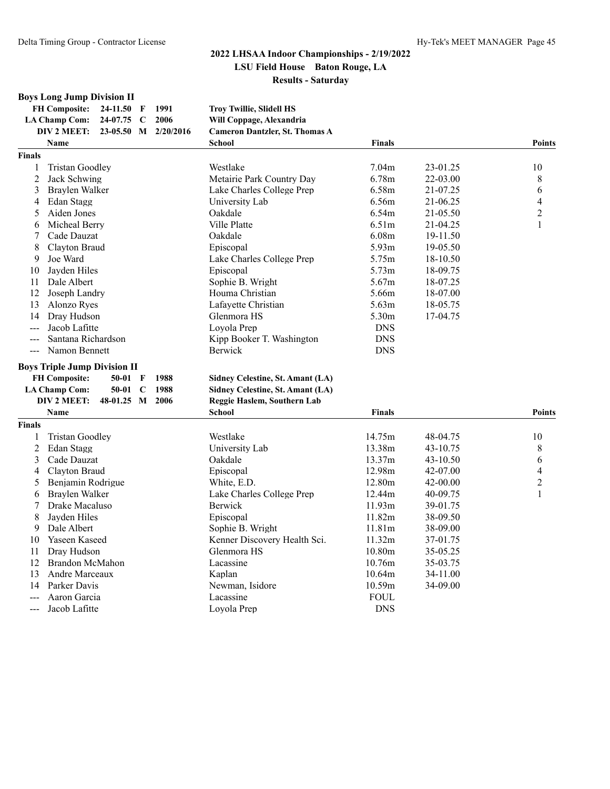## **Boys Long Jump Division II**

| FH Composite: $24-11.50$ F       |  | -1991 | <b>Troy Twillie, Slidell HS</b>       |
|----------------------------------|--|-------|---------------------------------------|
| LA Champ Com: 24-07.75 C 2006    |  |       | Will Coppage, Alexandria              |
| DIV 2 MEET: 23-05.50 M 2/20/2016 |  |       | <b>Cameron Dantzler, St. Thomas A</b> |

|                | <b>Name</b>                                          | <b>School</b>                    | <b>Finals</b>     |          | <b>Points</b>            |
|----------------|------------------------------------------------------|----------------------------------|-------------------|----------|--------------------------|
| <b>Finals</b>  |                                                      |                                  |                   |          |                          |
| 1              | <b>Tristan Goodley</b>                               | Westlake                         | 7.04m             | 23-01.25 | 10                       |
| $\overline{2}$ | Jack Schwing                                         | Metairie Park Country Day        | 6.78m             | 22-03.00 | $8\,$                    |
| 3              | Braylen Walker                                       | Lake Charles College Prep        | 6.58m             | 21-07.25 | 6                        |
| 4              | Edan Stagg                                           | University Lab                   | 6.56m             | 21-06.25 | $\overline{\mathcal{L}}$ |
| 5              | Aiden Jones                                          | Oakdale                          | 6.54m             | 21-05.50 | $\overline{2}$           |
| 6              | Micheal Berry                                        | Ville Platte                     | 6.51m             | 21-04.25 | 1                        |
| 7              | Cade Dauzat                                          | Oakdale                          | 6.08m             | 19-11.50 |                          |
| 8              | Clayton Braud                                        | Episcopal                        | 5.93 <sub>m</sub> | 19-05.50 |                          |
| 9              | Joe Ward                                             | Lake Charles College Prep        | 5.75m             | 18-10.50 |                          |
| 10             | Jayden Hiles                                         | Episcopal                        | 5.73m             | 18-09.75 |                          |
| 11             | Dale Albert                                          | Sophie B. Wright                 | 5.67m             | 18-07.25 |                          |
| 12             | Joseph Landry                                        | Houma Christian                  | 5.66m             | 18-07.00 |                          |
| 13             | Alonzo Ryes                                          | Lafayette Christian              | 5.63m             | 18-05.75 |                          |
| 14             | Dray Hudson                                          | Glenmora HS                      | 5.30m             | 17-04.75 |                          |
| $ -$           | Jacob Lafitte                                        | Loyola Prep                      | <b>DNS</b>        |          |                          |
| $---$          | Santana Richardson                                   | Kipp Booker T. Washington        | <b>DNS</b>        |          |                          |
|                | --- Namon Bennett                                    | <b>Berwick</b>                   | <b>DNS</b>        |          |                          |
|                | <b>Boys Triple Jump Division II</b>                  |                                  |                   |          |                          |
|                | <b>FH Composite:</b><br>$50-01$ F<br>1988            | Sidney Celestine, St. Amant (LA) |                   |          |                          |
|                | 1988<br><b>LA Champ Com:</b><br>50-01<br>$\mathbf C$ | Sidney Celestine, St. Amant (LA) |                   |          |                          |
|                | DIV 2 MEET:<br>48-01.25 M 2006                       | Reggie Haslem, Southern Lab      |                   |          |                          |
|                | Name                                                 | <b>School</b>                    | Finals            |          | <b>Points</b>            |
| <b>Finals</b>  |                                                      |                                  |                   |          |                          |
| 1              | <b>Tristan Goodley</b>                               | Westlake                         | 14.75m            | 48-04.75 | 10                       |
| 2              | Edan Stagg                                           | University Lab                   | 13.38m            | 43-10.75 | 8                        |
| 3              | Cade Dauzat                                          | Oakdale                          | 13.37m            | 43-10.50 | 6                        |
| 4              | Clayton Braud                                        | Episcopal                        | 12.98m            | 42-07.00 | 4                        |
| 5              | Benjamin Rodrigue                                    | White, E.D.                      | 12.80m            | 42-00.00 | 2                        |
| 6              | Braylen Walker                                       | Lake Charles College Prep        | 12.44m            | 40-09.75 | $\mathbf{1}$             |
| 7              | Drake Macaluso                                       | <b>Berwick</b>                   | 11.93m            | 39-01.75 |                          |
| 8              | Jayden Hiles                                         | Episcopal                        | 11.82m            | 38-09.50 |                          |
| 9              | Dale Albert                                          | Sophie B. Wright                 | 11.81m            | 38-09.00 |                          |
| 10             | Yaseen Kaseed                                        | Kenner Discovery Health Sci.     | 11.32m            | 37-01.75 |                          |
| 11             | Dray Hudson                                          | Glenmora HS                      | 10.80m            | 35-05.25 |                          |
| 12             | <b>Brandon McMahon</b>                               | Lacassine                        | 10.76m            | 35-03.75 |                          |
| 13             | Andre Marceaux                                       | Kaplan                           | 10.64m            | 34-11.00 |                          |
| 14             | Parker Davis                                         | Newman, Isidore                  | 10.59m            | 34-09.00 |                          |
|                | Aaron Garcia                                         | Lacassine                        | <b>FOUL</b>       |          |                          |
| ---            | Jacob Lafitte                                        | Lovola Prep                      | <b>DNS</b>        |          |                          |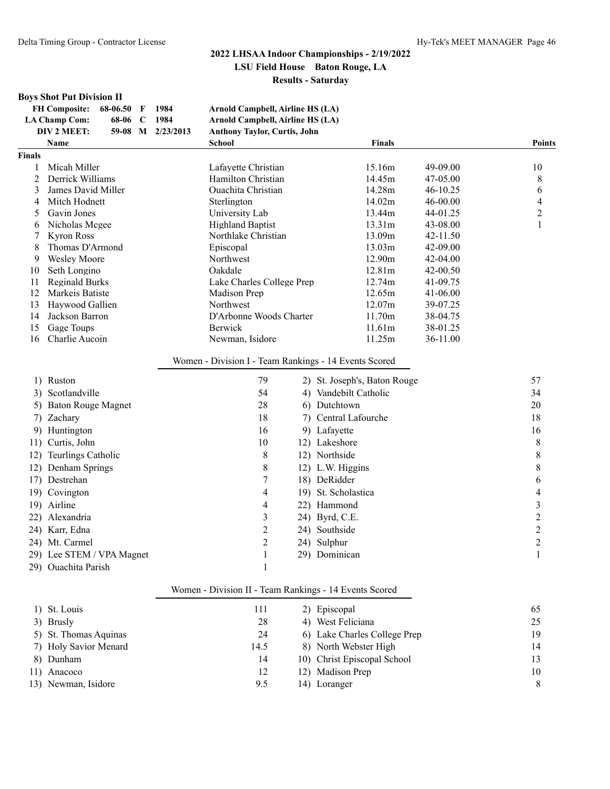#### **Boys Shot Put Division II**

| <b>FH Composite:</b>        | $68-06.50$ F | 1984              | Arnold Campbell, Airline HS (LA)    |
|-----------------------------|--------------|-------------------|-------------------------------------|
| LA Champ Com:               | 68-06 C 1984 |                   | Arnold Campbell, Airline HS (LA)    |
| DIV 2 MEET:                 |              | 59-08 M 2/23/2013 | <b>Anthony Taylor, Curtis, John</b> |
| $N_{\alpha \, m \, \alpha}$ |              |                   | Schad                               |

|                | <b>Name</b>               | <b>School</b>                                         |        | <b>Finals</b>                |              | <b>Points</b>           |
|----------------|---------------------------|-------------------------------------------------------|--------|------------------------------|--------------|-------------------------|
| <b>Finals</b>  |                           |                                                       |        |                              |              |                         |
| 1              | Micah Miller              | Lafayette Christian                                   |        | 15.16m                       | 49-09.00     | 10                      |
| $\overline{2}$ | Derrick Williams          | Hamilton Christian                                    | 14.45m | 47-05.00                     | 8            |                         |
| 3              | James David Miller        | <b>Ouachita Christian</b>                             |        | 14.28m                       | $46 - 10.25$ | 6                       |
| 4              | Mitch Hodnett             | Sterlington                                           |        | 14.02m                       | 46-00.00     | 4                       |
| 5              | Gavin Jones               | University Lab                                        |        | 13.44m                       | 44-01.25     | $\overline{\mathbf{c}}$ |
| 6              | Nicholas Mcgee            | <b>Highland Baptist</b>                               |        | 13.31m                       | 43-08.00     | 1                       |
| 7              | <b>Kyron Ross</b>         | Northlake Christian                                   |        | 13.09m                       | 42-11.50     |                         |
| 8              | Thomas D'Armond           | Episcopal                                             |        | 13.03m                       | 42-09.00     |                         |
| 9              | <b>Wesley Moore</b>       | Northwest                                             |        | 12.90m                       | 42-04.00     |                         |
| 10             | Seth Longino              | Oakdale                                               |        | 12.81m                       | 42-00.50     |                         |
| 11             | <b>Reginald Burks</b>     | Lake Charles College Prep                             |        | 12.74m                       | 41-09.75     |                         |
| 12             | Markeis Batiste           | Madison Prep                                          |        | 12.65m                       | $41 - 06.00$ |                         |
| 13             | Haywood Gallien           | Northwest                                             |        | 12.07m                       | 39-07.25     |                         |
| 14             | Jackson Barron            | D'Arbonne Woods Charter                               |        | 11.70m                       | 38-04.75     |                         |
| 15             | Gage Toups                | <b>Berwick</b>                                        |        | 11.61m                       | 38-01.25     |                         |
| 16             | Charlie Aucoin            | Newman, Isidore                                       |        | 11.25m                       | 36-11.00     |                         |
|                |                           | Women - Division I - Team Rankings - 14 Events Scored |        |                              |              |                         |
|                | 1) Ruston                 | 79                                                    |        | 2) St. Joseph's, Baton Rouge |              | 57                      |
|                | 3) Scotlandville          | 54                                                    |        | 4) Vandebilt Catholic        |              | 34                      |
|                | 5) Baton Rouge Magnet     | 28                                                    |        | 6) Dutchtown                 |              | 20                      |
|                | 7) Zachary                | 18                                                    |        | 7) Central Lafourche         |              | 18                      |
| 9)             | Huntington                | 16                                                    |        | 9) Lafayette                 |              | 16                      |
| 11)            | Curtis, John              | $10\,$                                                |        | 12) Lakeshore                |              | $\,$ $\,$               |
|                | 12) Teurlings Catholic    | 8                                                     |        | 12) Northside                |              | 8                       |
|                | 12) Denham Springs        | $\,$ $\,$                                             |        | 12) L.W. Higgins             |              | 8                       |
|                | 17) Destrehan             | $\boldsymbol{7}$                                      |        | 18) DeRidder                 |              | 6                       |
|                | 19) Covington             | 4                                                     |        | 19) St. Scholastica          |              | 4                       |
|                | 19) Airline               | 4                                                     |        | 22) Hammond                  |              | $\overline{\mathbf{3}}$ |
|                | 22) Alexandria            | 3                                                     |        | 24) Byrd, C.E.               |              | $\overline{2}$          |
|                | 24) Karr, Edna            | $\overline{c}$                                        |        | 24) Southside                |              | $\overline{c}$          |
|                | 24) Mt. Carmel            | $\overline{2}$                                        |        | 24) Sulphur                  |              | $\overline{2}$          |
|                | 29) Lee STEM / VPA Magnet | $\mathbf{1}$                                          |        | 29) Dominican                |              | $\mathbf{1}$            |
|                | 29) Ouachita Parish       | 1                                                     |        |                              |              |                         |

#### Women - Division II - Team Rankings - 14 Events Scored

| 1) St. Louis          | 111  | 2) Episcopal                 | 65 |
|-----------------------|------|------------------------------|----|
| 3) Brusly             | 28   | 4) West Feliciana            | 25 |
| 5) St. Thomas Aquinas | 24   | 6) Lake Charles College Prep | 19 |
| 7) Holy Savior Menard | 14.5 | 8) North Webster High        | 14 |
| 8) Dunham             | 14   | 10) Christ Episcopal School  | 13 |
| 11) Anacoco           | 12   | 12) Madison Prep             | 10 |
| 13) Newman, Isidore   | 9.5  | 14) Loranger                 | 8  |
|                       |      |                              |    |